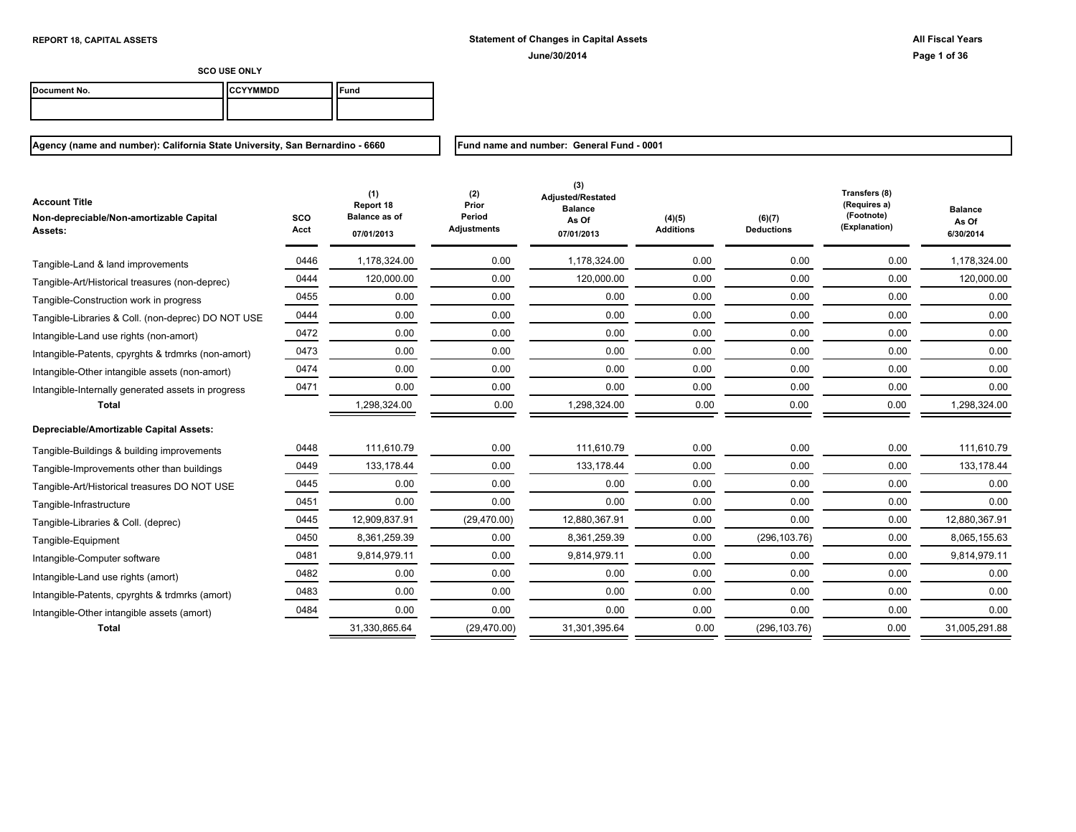| Document No. | <b>ICCYYMMDD</b> | "und |
|--------------|------------------|------|
|              |                  |      |

**Agency (name and number): California State University, San Bernardino - 6660**

**Fund name and number: General Fund - 0001**

| <b>Account Title</b><br>Non-depreciable/Non-amortizable Capital<br><b>Assets:</b> | SCO<br>Acct | (1)<br>Report 18<br><b>Balance as of</b><br>07/01/2013 | (2)<br>Prior<br>Period<br><b>Adjustments</b> | (3)<br><b>Adjusted/Restated</b><br><b>Balance</b><br>As Of<br>07/01/2013 | (4)(5)<br><b>Additions</b> | (6)(7)<br><b>Deductions</b> | Transfers (8)<br>(Requires a)<br>(Footnote)<br>(Explanation) | <b>Balance</b><br>As Of<br>6/30/2014 |
|-----------------------------------------------------------------------------------|-------------|--------------------------------------------------------|----------------------------------------------|--------------------------------------------------------------------------|----------------------------|-----------------------------|--------------------------------------------------------------|--------------------------------------|
| Tangible-Land & land improvements                                                 | 0446        | 1,178,324.00                                           | 0.00                                         | 1,178,324.00                                                             | 0.00                       | 0.00                        | 0.00                                                         | 1,178,324.00                         |
| Tangible-Art/Historical treasures (non-deprec)                                    | 0444        | 120,000.00                                             | 0.00                                         | 120,000.00                                                               | 0.00                       | 0.00                        | 0.00                                                         | 120,000.00                           |
| Tangible-Construction work in progress                                            | 0455        | 0.00                                                   | 0.00                                         | 0.00                                                                     | 0.00                       | 0.00                        | 0.00                                                         | 0.00                                 |
| Tangible-Libraries & Coll. (non-deprec) DO NOT USE                                | 0444        | 0.00                                                   | 0.00                                         | 0.00                                                                     | 0.00                       | 0.00                        | 0.00                                                         | 0.00                                 |
| Intangible-Land use rights (non-amort)                                            | 0472        | 0.00                                                   | 0.00                                         | 0.00                                                                     | 0.00                       | 0.00                        | 0.00                                                         | 0.00                                 |
| Intangible-Patents, cpyrghts & trdmrks (non-amort)                                | 0473        | 0.00                                                   | 0.00                                         | 0.00                                                                     | 0.00                       | 0.00                        | 0.00                                                         | 0.00                                 |
| Intangible-Other intangible assets (non-amort)                                    | 0474        | 0.00                                                   | 0.00                                         | 0.00                                                                     | 0.00                       | 0.00                        | 0.00                                                         | 0.00                                 |
| Intangible-Internally generated assets in progress                                | 0471        | 0.00                                                   | 0.00                                         | 0.00                                                                     | 0.00                       | 0.00                        | 0.00                                                         | 0.00                                 |
| <b>Total</b>                                                                      |             | 1,298,324.00                                           | 0.00                                         | 1,298,324.00                                                             | 0.00                       | 0.00                        | 0.00                                                         | 1,298,324.00                         |
| Depreciable/Amortizable Capital Assets:                                           |             |                                                        |                                              |                                                                          |                            |                             |                                                              |                                      |
| Tangible-Buildings & building improvements                                        | 0448        | 111,610.79                                             | 0.00                                         | 111,610.79                                                               | 0.00                       | 0.00                        | 0.00                                                         | 111,610.79                           |
| Tangible-Improvements other than buildings                                        | 0449        | 133,178.44                                             | 0.00                                         | 133,178.44                                                               | 0.00                       | 0.00                        | 0.00                                                         | 133,178.44                           |
| Tangible-Art/Historical treasures DO NOT USE                                      | 0445        | 0.00                                                   | 0.00                                         | 0.00                                                                     | 0.00                       | 0.00                        | 0.00                                                         | 0.00                                 |
| Tangible-Infrastructure                                                           | 0451        | 0.00                                                   | 0.00                                         | 0.00                                                                     | 0.00                       | 0.00                        | 0.00                                                         | 0.00                                 |
| Tangible-Libraries & Coll. (deprec)                                               | 0445        | 12,909,837.91                                          | (29, 470.00)                                 | 12,880,367.91                                                            | 0.00                       | 0.00                        | 0.00                                                         | 12,880,367.91                        |
| Tangible-Equipment                                                                | 0450        | 8,361,259.39                                           | 0.00                                         | 8,361,259.39                                                             | 0.00                       | (296, 103.76)               | 0.00                                                         | 8,065,155.63                         |
| Intangible-Computer software                                                      | 0481        | 9,814,979.11                                           | 0.00                                         | 9,814,979.11                                                             | 0.00                       | 0.00                        | 0.00                                                         | 9,814,979.11                         |
| Intangible-Land use rights (amort)                                                | 0482        | 0.00                                                   | 0.00                                         | 0.00                                                                     | 0.00                       | 0.00                        | 0.00                                                         | 0.00                                 |
| Intangible-Patents, cpyrghts & trdmrks (amort)                                    | 0483        | 0.00                                                   | 0.00                                         | 0.00                                                                     | 0.00                       | 0.00                        | 0.00                                                         | 0.00                                 |
| Intangible-Other intangible assets (amort)                                        | 0484        | 0.00                                                   | 0.00                                         | 0.00                                                                     | 0.00                       | 0.00                        | 0.00                                                         | 0.00                                 |
| <b>Total</b>                                                                      |             | 31,330,865.64                                          | (29, 470.00)                                 | 31,301,395.64                                                            | 0.00                       | (296, 103.76)               | 0.00                                                         | 31,005,291.88                        |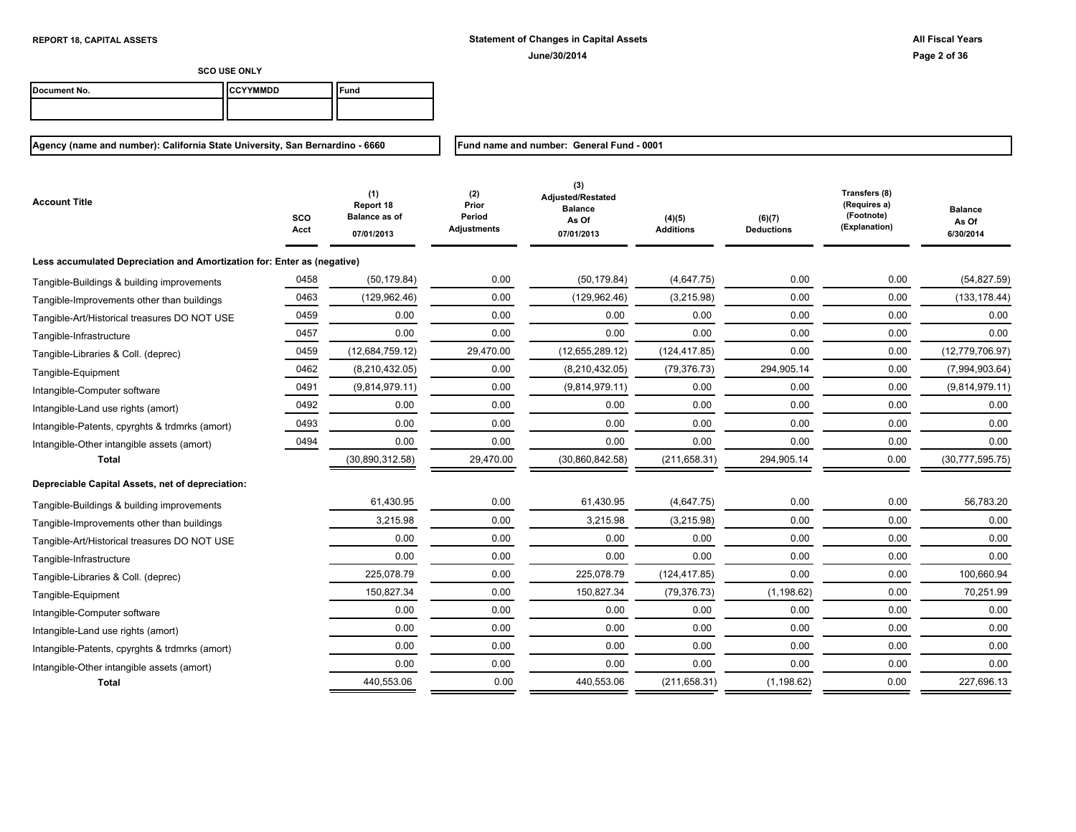**SCO USE ONLY**

| Document No. | <b>ICCYYMMDD</b> | und |
|--------------|------------------|-----|
|              |                  |     |
|              |                  |     |

# **Agency (name and number): California State University, San Bernardino - 6660**

**Fund name and number: General Fund - 0001**

| <b>Account Title</b>                                                    | <b>SCO</b><br>Acct | (1)<br>Report 18<br><b>Balance as of</b><br>07/01/2013 | (2)<br>Prior<br>Period<br>Adjustments | (3)<br>Adjusted/Restated<br><b>Balance</b><br>As Of<br>07/01/2013 | (4)(5)<br><b>Additions</b> | (6)(7)<br><b>Deductions</b> | Transfers (8)<br>(Requires a)<br>(Footnote)<br>(Explanation) | <b>Balance</b><br>As Of<br>6/30/2014 |
|-------------------------------------------------------------------------|--------------------|--------------------------------------------------------|---------------------------------------|-------------------------------------------------------------------|----------------------------|-----------------------------|--------------------------------------------------------------|--------------------------------------|
| Less accumulated Depreciation and Amortization for: Enter as (negative) |                    |                                                        |                                       |                                                                   |                            |                             |                                                              |                                      |
| Tangible-Buildings & building improvements                              | 0458               | (50, 179.84)                                           | 0.00                                  | (50, 179.84)                                                      | (4,647.75)                 | 0.00                        | 0.00                                                         | (54, 827.59)                         |
| Tangible-Improvements other than buildings                              | 0463               | (129, 962.46)                                          | 0.00                                  | (129, 962.46)                                                     | (3,215.98)                 | 0.00                        | 0.00                                                         | (133, 178.44)                        |
| Tangible-Art/Historical treasures DO NOT USE                            | 0459               | 0.00                                                   | 0.00                                  | 0.00                                                              | 0.00                       | 0.00                        | 0.00                                                         | 0.00                                 |
| Tangible-Infrastructure                                                 | 0457               | 0.00                                                   | 0.00                                  | 0.00                                                              | 0.00                       | 0.00                        | 0.00                                                         | 0.00                                 |
| Tangible-Libraries & Coll. (deprec)                                     | 0459               | (12,684,759.12)                                        | 29,470.00                             | (12,655,289.12)                                                   | (124, 417.85)              | 0.00                        | 0.00                                                         | (12, 779, 706.97)                    |
| Tangible-Equipment                                                      | 0462               | (8,210,432.05)                                         | 0.00                                  | (8,210,432.05)                                                    | (79, 376.73)               | 294,905.14                  | 0.00                                                         | (7,994,903.64)                       |
| Intangible-Computer software                                            | 0491               | (9,814,979.11)                                         | 0.00                                  | (9,814,979.11)                                                    | 0.00                       | 0.00                        | 0.00                                                         | (9,814,979.11)                       |
| Intangible-Land use rights (amort)                                      | 0492               | 0.00                                                   | 0.00                                  | 0.00                                                              | 0.00                       | 0.00                        | 0.00                                                         | 0.00                                 |
| Intangible-Patents, cpyrghts & trdmrks (amort)                          | 0493               | 0.00                                                   | 0.00                                  | 0.00                                                              | 0.00                       | 0.00                        | 0.00                                                         | 0.00                                 |
| Intangible-Other intangible assets (amort)                              | 0494               | 0.00                                                   | 0.00                                  | 0.00                                                              | 0.00                       | 0.00                        | 0.00                                                         | 0.00                                 |
| <b>Total</b>                                                            |                    | (30, 890, 312.58)                                      | 29,470.00                             | (30,860,842.58)                                                   | (211, 658.31)              | 294,905.14                  | 0.00                                                         | (30,777,595.75)                      |
| Depreciable Capital Assets, net of depreciation:                        |                    |                                                        |                                       |                                                                   |                            |                             |                                                              |                                      |
| Tangible-Buildings & building improvements                              |                    | 61,430.95                                              | 0.00                                  | 61,430.95                                                         | (4,647.75)                 | 0.00                        | 0.00                                                         | 56,783.20                            |
| Tangible-Improvements other than buildings                              |                    | 3,215.98                                               | 0.00                                  | 3,215.98                                                          | (3,215.98)                 | 0.00                        | 0.00                                                         | 0.00                                 |
| Tangible-Art/Historical treasures DO NOT USE                            |                    | 0.00                                                   | 0.00                                  | 0.00                                                              | 0.00                       | 0.00                        | 0.00                                                         | 0.00                                 |
| Tangible-Infrastructure                                                 |                    | 0.00                                                   | 0.00                                  | 0.00                                                              | 0.00                       | 0.00                        | 0.00                                                         | 0.00                                 |
| Tangible-Libraries & Coll. (deprec)                                     |                    | 225,078.79                                             | 0.00                                  | 225,078.79                                                        | (124, 417.85)              | 0.00                        | 0.00                                                         | 100,660.94                           |
| Tangible-Equipment                                                      |                    | 150,827.34                                             | 0.00                                  | 150,827.34                                                        | (79, 376.73)               | (1, 198.62)                 | 0.00                                                         | 70,251.99                            |
| Intangible-Computer software                                            |                    | 0.00                                                   | 0.00                                  | 0.00                                                              | 0.00                       | 0.00                        | 0.00                                                         | 0.00                                 |
| Intangible-Land use rights (amort)                                      |                    | 0.00                                                   | 0.00                                  | 0.00                                                              | 0.00                       | 0.00                        | 0.00                                                         | 0.00                                 |
| Intangible-Patents, cpyrghts & trdmrks (amort)                          |                    | 0.00                                                   | 0.00                                  | 0.00                                                              | 0.00                       | 0.00                        | 0.00                                                         | 0.00                                 |
| Intangible-Other intangible assets (amort)                              |                    | 0.00                                                   | 0.00                                  | 0.00                                                              | 0.00                       | 0.00                        | 0.00                                                         | 0.00                                 |
| <b>Total</b>                                                            |                    | 440,553.06                                             | 0.00                                  | 440,553.06                                                        | (211, 658.31)              | (1, 198.62)                 | 0.00                                                         | 227,696.13                           |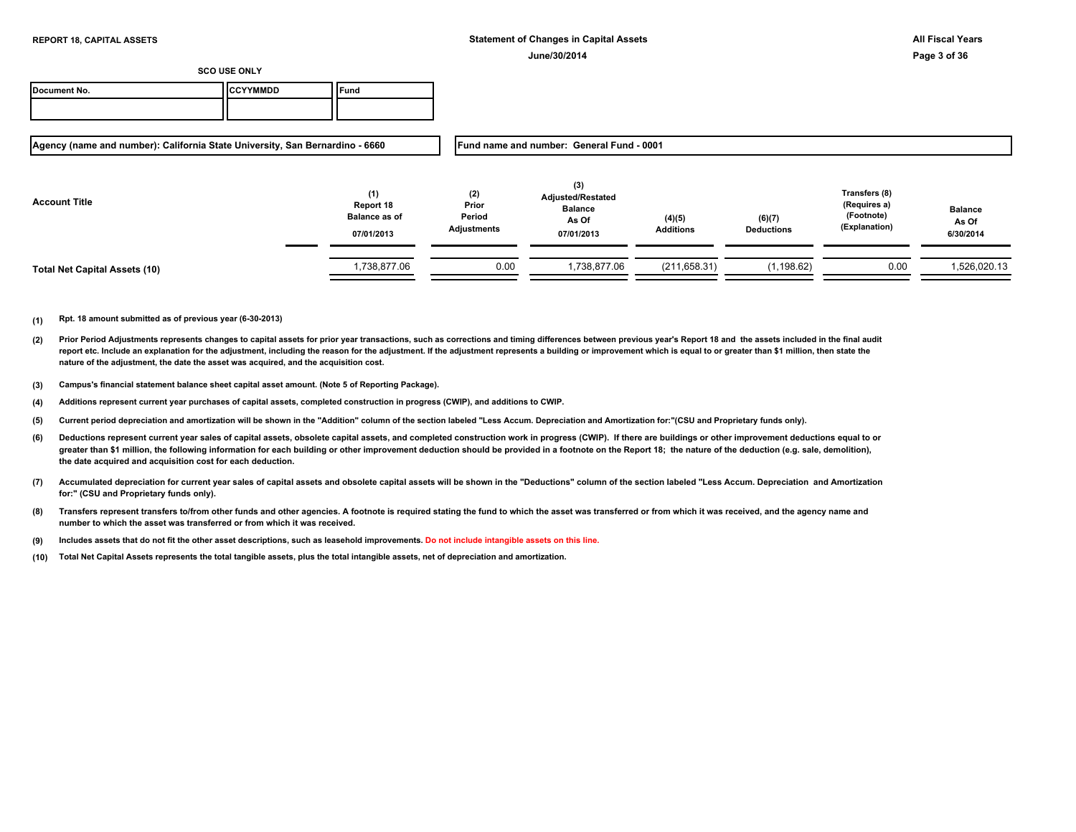| Document No. | <b>ICCYYMMDD</b> | <b>und</b> |
|--------------|------------------|------------|
|              |                  |            |

**Agency (name and number): California State University, San Bernardino - 6660**

**Fund name and number: General Fund - 0001**

| <b>Account Title</b>          | (1)<br>Report 18<br><b>Balance as of</b><br>07/01/2013 | (2)<br>Prior<br>Period<br>Adjustments | (3)<br><b>Adjusted/Restated</b><br><b>Balance</b><br>As Of<br>07/01/2013 | (4)(5)<br><b>Additions</b> | (6)(7)<br><b>Deductions</b> | Transfers (8)<br>(Requires a)<br>(Footnote)<br>(Explanation) | <b>Balance</b><br>As Of<br>6/30/2014 |
|-------------------------------|--------------------------------------------------------|---------------------------------------|--------------------------------------------------------------------------|----------------------------|-----------------------------|--------------------------------------------------------------|--------------------------------------|
| Total Net Capital Assets (10) | 1,738,877.06                                           | 0.00                                  | ,738,877.06                                                              | (211, 658.31)              | (1, 198.62)                 | 0.00                                                         | 1,526,020.13                         |

- **(2)** Prior Period Adjustments represents changes to capital assets for prior year transactions, such as corrections and timing differences between previous year's Report 18 and the assets included in the final audit report etc. Include an explanation for the adjustment, including the reason for the adjustment. If the adjustment represents a building or improvement which is equal to or greater than \$1 million, then state the **nature of the adjustment, the date the asset was acquired, and the acquisition cost.**
- **(3) Campus's financial statement balance sheet capital asset amount. (Note 5 of Reporting Package).**
- **(4) Additions represent current year purchases of capital assets, completed construction in progress (CWIP), and additions to CWIP.**
- **(5) Current period depreciation and amortization will be shown in the "Addition" column of the section labeled "Less Accum. Depreciation and Amortization for:"(CSU and Proprietary funds only).**
- **(6)** Deductions represent current year sales of capital assets, obsolete capital assets, and completed construction work in progress (CWIP). If there are buildings or other improvement deductions equal to or greater than \$1 million, the following information for each building or other improvement deduction should be provided in a footnote on the Report 18; the nature of the deduction (e.g. sale, demolition), **the date acquired and acquisition cost for each deduction.**
- **(7) Accumulated depreciation for current year sales of capital assets and obsolete capital assets will be shown in the "Deductions" column of the section labeled "Less Accum. Depreciation and Amortization for:" (CSU and Proprietary funds only).**
- **(8) Transfers represent transfers to/from other funds and other agencies. A footnote is required stating the fund to which the asset was transferred or from which it was received, and the agency name and number to which the asset was transferred or from which it was received.**
- **(9) Includes assets that do not fit the other asset descriptions, such as leasehold improvements. Do not include intangible assets on this line.**
- **(10) Total Net Capital Assets represents the total tangible assets, plus the total intangible assets, net of depreciation and amortization.**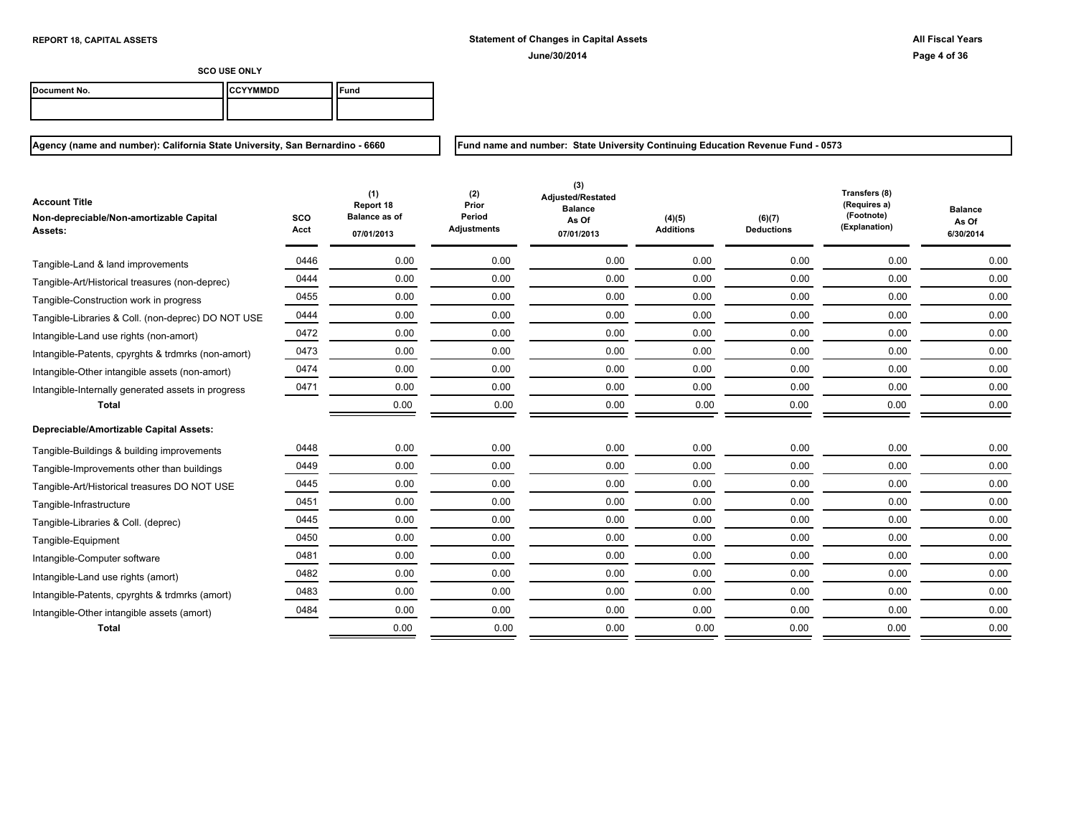**Fund name and number: State University Continuing Education Revenue Fund - 0573**

**SCO USE ONLY**

| Document No. | <b>CYYMMDD</b><br>нсс | ™und |
|--------------|-----------------------|------|
|              |                       |      |

**Agency (name and number): California State University, San Bernardino - 6660**

**SCO Acct (1) Report 18 Balance as of 07/01/2013 (2) Prior Period Adjustments (4)(5) Additions (3) Adjusted/Restated Balance As Of 07/01/2013 (6)(7) Deductions Transfers (8) (Requires a) (Footnote) (Explanation) Balance As Of 6/30/2014 Account Title Non-depreciable/Non-amortizable Capital Assets:** Tangible-Land & land improvements  $0.00$   $0.00$   $0.00$   $0.00$   $0.00$   $0.00$   $0.00$   $0.00$   $0.00$   $0.00$   $0.00$   $0.00$   $0.00$   $0.00$ 0444 0.00 0.00 0.00 0.00 0.00 0.00 0.00 Tangible-Art/Historical treasures (non-deprec) 0455 0.00 0.00 0.00 0.00 0.00 0.00 0.00 Tangible-Construction work in progress Tangible-Libraries & Coll. (non-deprec) DO NOT USE  $\frac{0.0444}{0.00}$   $\frac{0.00}{0.00}$   $\frac{0.00}{0.00}$   $\frac{0.00}{0.00}$   $\frac{0.00}{0.00}$   $\frac{0.00}{0.00}$   $\frac{0.00}{0.00}$   $\frac{0.00}{0.00}$ 0472 0.00 0.00 0.00 0.00 0.00 0.00 0.00 Intangible-Land use rights (non-amort) 0473 0.00 0.00 0.00 0.00 0.00 0.00 0.00 Intangible-Patents, cpyrghts & trdmrks (non-amort) Intangible-Other intangible assets (non-amort)  $0.00 \qquad 0.00 \qquad 0.00 \qquad 0.00 \qquad 0.00 \qquad 0.00 \qquad 0.00 \qquad 0.00 \qquad 0.00$ Intangible-Internally generated assets in progress and the control or computer or computer or computer or computer or computer or computer or computer or computer or computer or computer or computer or computer or computer **Total** 0.00 0.00 0.00 0.00 0.00 0.00 0.00 **Depreciable/Amortizable Capital Assets:** 0448 0.00 0.00 0.00 0.00 0.00 0.00 0.00 Tangible-Buildings & building improvements Tangible-Improvements other than buildings  $0.00$   $0.00$   $0.00$   $0.00$   $0.00$   $0.00$   $0.00$   $0.00$   $0.00$   $0.00$   $0.00$   $0.00$   $0.00$   $0.00$   $0.00$   $0.00$   $0.00$   $0.00$   $0.00$   $0.00$   $0.00$   $0.00$   $0.00$   $0.00$   $0.00$   $0.0$ 0445 0.00 0.00 0.00 0.00 0.00 0.00 0.00 Tangible-Art/Historical treasures DO NOT USE 0451 0.00 0.00 0.00 0.00 0.00 0.00 0.00 Tangible-Infrastructure 0445 0.00 0.00 0.00 0.00 0.00 0.00 0.00 Tangible-Libraries & Coll. (deprec) 0450 0.00 0.00 0.00 0.00 0.00 0.00 0.00 Tangible-Equipment 0481 0.00 0.00 0.00 0.00 0.00 0.00 0.00 Intangible-Computer software Intangible-Land use rights (amort)  $0.00$   $0.00$   $0.00$   $0.00$   $0.00$   $0.00$   $0.00$   $0.00$   $0.00$   $0.00$   $0.00$   $0.00$   $0.00$   $0.00$   $0.00$   $0.00$   $0.00$   $0.00$   $0.00$   $0.00$   $0.00$   $0.00$   $0.00$   $0.00$   $0.00$   $0.00$   $0.00$ 0483 0.00 0.00 0.00 0.00 0.00 0.00 0.00 Intangible-Patents, cpyrghts & trdmrks (amort) 0484 0.00 0.00 0.00 0.00 0.00 0.00 0.00 Intangible-Other intangible assets (amort) **Total** 0.00 0.00 0.00 0.00 0.00 0.00 0.00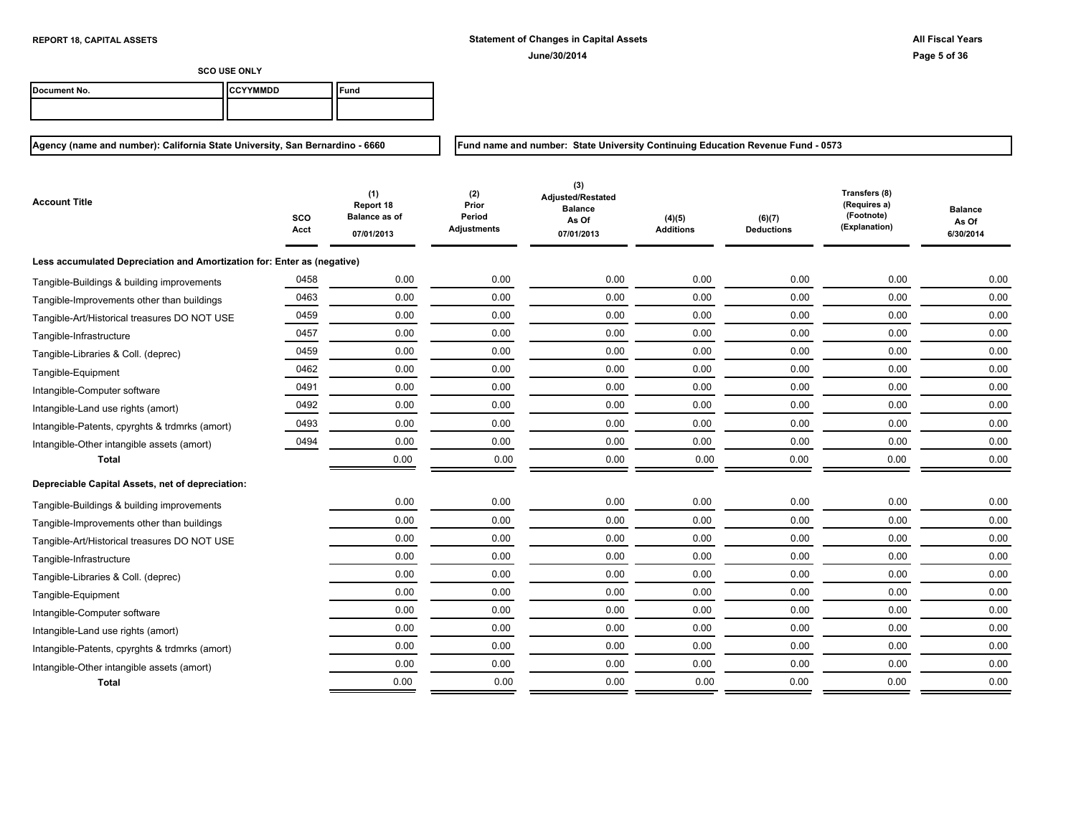**Fund name and number: State University Continuing Education Revenue Fund - 0573**

**SCO USE ONLY**

| Document No. | <b>ICCYYMMDD</b> | ≂und |
|--------------|------------------|------|
|              |                  |      |

| Account Title                                                           | SCO<br>Acct | (1)<br>Report 18<br><b>Balance as of</b><br>07/01/2013 | (2)<br>Prior<br>Period<br>Adjustments | (3)<br>Adjusted/Restated<br><b>Balance</b><br>As Of<br>07/01/2013 | (4)(5)<br><b>Additions</b> | (6)(7)<br><b>Deductions</b> | Transfers (8)<br>(Requires a)<br>(Footnote)<br>(Explanation) | <b>Balance</b><br>As Of<br>6/30/2014 |
|-------------------------------------------------------------------------|-------------|--------------------------------------------------------|---------------------------------------|-------------------------------------------------------------------|----------------------------|-----------------------------|--------------------------------------------------------------|--------------------------------------|
| Less accumulated Depreciation and Amortization for: Enter as (negative) |             |                                                        |                                       |                                                                   |                            |                             |                                                              |                                      |
| Tangible-Buildings & building improvements                              | 0458        | 0.00                                                   | 0.00                                  | 0.00                                                              | 0.00                       | 0.00                        | 0.00                                                         | 0.00                                 |
| Tangible-Improvements other than buildings                              | 0463        | 0.00                                                   | 0.00                                  | 0.00                                                              | 0.00                       | 0.00                        | 0.00                                                         | 0.00                                 |
| Tangible-Art/Historical treasures DO NOT USE                            | 0459        | 0.00                                                   | 0.00                                  | 0.00                                                              | 0.00                       | 0.00                        | 0.00                                                         | 0.00                                 |
| Tangible-Infrastructure                                                 | 0457        | 0.00                                                   | 0.00                                  | 0.00                                                              | 0.00                       | 0.00                        | 0.00                                                         | 0.00                                 |
| Tangible-Libraries & Coll. (deprec)                                     | 0459        | 0.00                                                   | 0.00                                  | 0.00                                                              | 0.00                       | 0.00                        | 0.00                                                         | 0.00                                 |
| Tangible-Equipment                                                      | 0462        | 0.00                                                   | 0.00                                  | 0.00                                                              | 0.00                       | 0.00                        | 0.00                                                         | 0.00                                 |
| Intangible-Computer software                                            | 0491        | 0.00                                                   | 0.00                                  | 0.00                                                              | 0.00                       | 0.00                        | 0.00                                                         | 0.00                                 |
| Intangible-Land use rights (amort)                                      | 0492        | 0.00                                                   | 0.00                                  | 0.00                                                              | 0.00                       | 0.00                        | 0.00                                                         | 0.00                                 |
| Intangible-Patents, cpyrghts & trdmrks (amort)                          | 0493        | 0.00                                                   | 0.00                                  | 0.00                                                              | 0.00                       | 0.00                        | 0.00                                                         | 0.00                                 |
| Intangible-Other intangible assets (amort)                              | 0494        | 0.00                                                   | 0.00                                  | 0.00                                                              | 0.00                       | 0.00                        | 0.00                                                         | 0.00                                 |
| <b>Total</b>                                                            |             | 0.00                                                   | 0.00                                  | 0.00                                                              | 0.00                       | 0.00                        | 0.00                                                         | 0.00                                 |
| Depreciable Capital Assets, net of depreciation:                        |             |                                                        |                                       |                                                                   |                            |                             |                                                              |                                      |
| Tangible-Buildings & building improvements                              |             | 0.00                                                   | 0.00                                  | 0.00                                                              | 0.00                       | 0.00                        | 0.00                                                         | 0.00                                 |
| Tangible-Improvements other than buildings                              |             | 0.00                                                   | 0.00                                  | 0.00                                                              | 0.00                       | 0.00                        | 0.00                                                         | 0.00                                 |
| Tangible-Art/Historical treasures DO NOT USE                            |             | 0.00                                                   | 0.00                                  | 0.00                                                              | 0.00                       | 0.00                        | 0.00                                                         | 0.00                                 |
| Tangible-Infrastructure                                                 |             | 0.00                                                   | 0.00                                  | 0.00                                                              | 0.00                       | 0.00                        | 0.00                                                         | 0.00                                 |
| Tangible-Libraries & Coll. (deprec)                                     |             | 0.00                                                   | 0.00                                  | 0.00                                                              | 0.00                       | 0.00                        | 0.00                                                         | 0.00                                 |
| Tangible-Equipment                                                      |             | 0.00                                                   | 0.00                                  | 0.00                                                              | 0.00                       | 0.00                        | 0.00                                                         | 0.00                                 |
| Intangible-Computer software                                            |             | 0.00                                                   | 0.00                                  | 0.00                                                              | 0.00                       | 0.00                        | 0.00                                                         | 0.00                                 |
| Intangible-Land use rights (amort)                                      |             | 0.00                                                   | 0.00                                  | 0.00                                                              | 0.00                       | 0.00                        | 0.00                                                         | 0.00                                 |
| Intangible-Patents, cpyrghts & trdmrks (amort)                          |             | 0.00                                                   | 0.00                                  | 0.00                                                              | 0.00                       | 0.00                        | 0.00                                                         | 0.00                                 |
| Intangible-Other intangible assets (amort)                              |             | 0.00                                                   | 0.00                                  | 0.00                                                              | 0.00                       | 0.00                        | 0.00                                                         | 0.00                                 |
| <b>Total</b>                                                            |             | 0.00                                                   | 0.00                                  | 0.00                                                              | 0.00                       | 0.00                        | 0.00                                                         | 0.00                                 |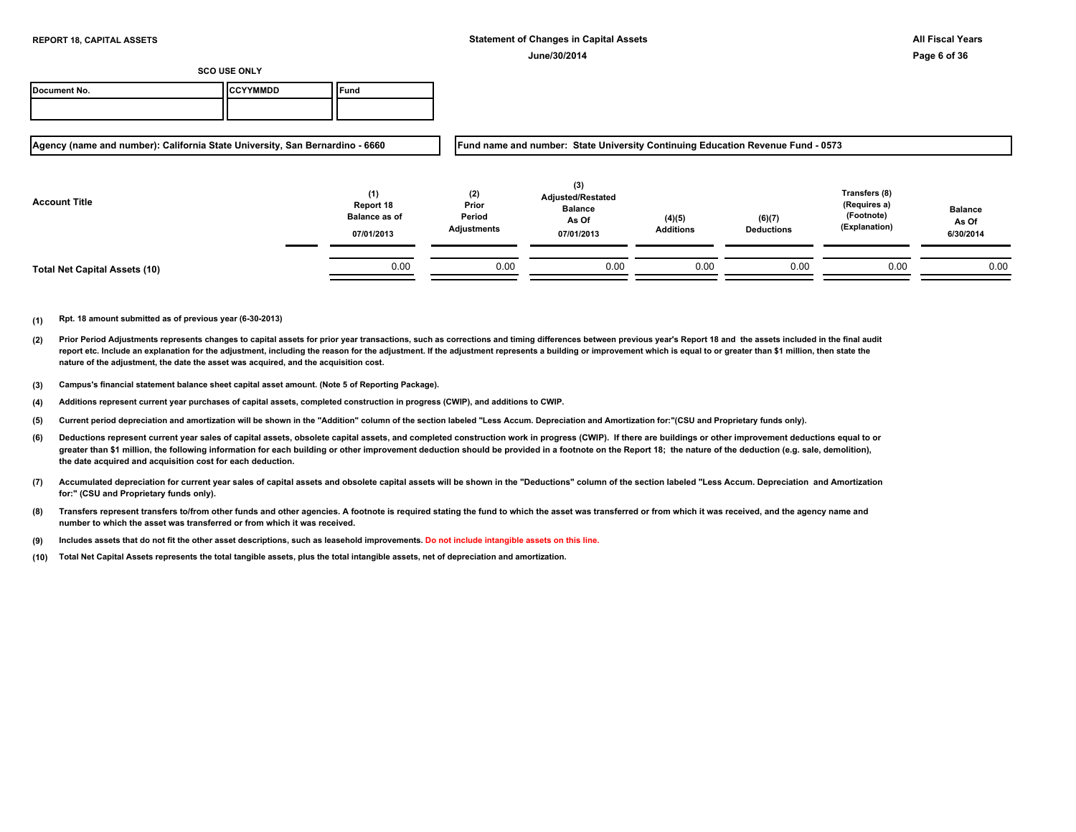| Document No. | <b>ICCYYMMDD</b> | <b>Fund</b> |
|--------------|------------------|-------------|
|              |                  |             |

**Agency (name and number): California State University, San Bernardino - 6660**

**Fund name and number: State University Continuing Education Revenue Fund - 0573**

| <b>Account Title</b>                 | (1)<br>Report 18<br><b>Balance as of</b><br>07/01/2013 | (2)<br>Prior<br>Period<br><b>Adjustments</b> | (3)<br><b>Adjusted/Restated</b><br><b>Balance</b><br>As Of<br>07/01/2013 | (4)(5)<br><b>Additions</b> | (6)(7)<br><b>Deductions</b> | Transfers (8)<br>(Requires a)<br>(Footnote)<br>(Explanation) | <b>Balance</b><br>As Of<br>6/30/2014 |
|--------------------------------------|--------------------------------------------------------|----------------------------------------------|--------------------------------------------------------------------------|----------------------------|-----------------------------|--------------------------------------------------------------|--------------------------------------|
| <b>Total Net Capital Assets (10)</b> | 0.00                                                   | 0.00                                         | 0.00                                                                     | 0.00                       | 0.00                        | 0.00                                                         | 0.00                                 |

- **(2)** Prior Period Adjustments represents changes to capital assets for prior year transactions, such as corrections and timing differences between previous year's Report 18 and the assets included in the final audit report etc. Include an explanation for the adjustment, including the reason for the adjustment. If the adjustment represents a building or improvement which is equal to or greater than \$1 million, then state the **nature of the adjustment, the date the asset was acquired, and the acquisition cost.**
- **(3) Campus's financial statement balance sheet capital asset amount. (Note 5 of Reporting Package).**
- **(4) Additions represent current year purchases of capital assets, completed construction in progress (CWIP), and additions to CWIP.**
- **(5) Current period depreciation and amortization will be shown in the "Addition" column of the section labeled "Less Accum. Depreciation and Amortization for:"(CSU and Proprietary funds only).**
- **(6)** Deductions represent current year sales of capital assets, obsolete capital assets, and completed construction work in progress (CWIP). If there are buildings or other improvement deductions equal to or greater than \$1 million, the following information for each building or other improvement deduction should be provided in a footnote on the Report 18; the nature of the deduction (e.g. sale, demolition), **the date acquired and acquisition cost for each deduction.**
- **(7) Accumulated depreciation for current year sales of capital assets and obsolete capital assets will be shown in the "Deductions" column of the section labeled "Less Accum. Depreciation and Amortization for:" (CSU and Proprietary funds only).**
- **(8) Transfers represent transfers to/from other funds and other agencies. A footnote is required stating the fund to which the asset was transferred or from which it was received, and the agency name and number to which the asset was transferred or from which it was received.**
- **(9) Includes assets that do not fit the other asset descriptions, such as leasehold improvements. Do not include intangible assets on this line.**
- **(10) Total Net Capital Assets represents the total tangible assets, plus the total intangible assets, net of depreciation and amortization.**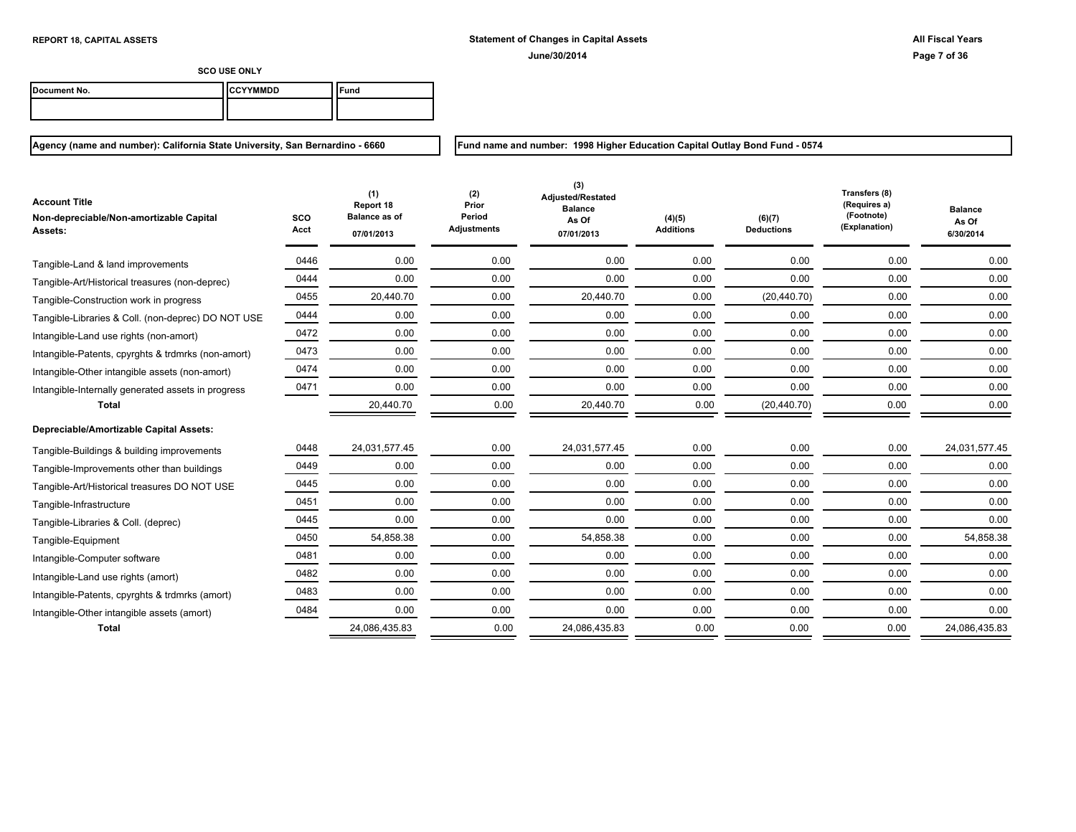| Document No. | <b>ICCYYMMDD</b> | `Fund |
|--------------|------------------|-------|
|              |                  |       |

**Agency (name and number): California State University, San Bernardino - 6660**

**Fund name and number: 1998 Higher Education Capital Outlay Bond Fund - 0574**

| <b>Account Title</b><br>Non-depreciable/Non-amortizable Capital<br>Assets: | SCO<br>Acct | (1)<br>Report 18<br><b>Balance as of</b><br>07/01/2013 | (2)<br>Prior<br>Period<br><b>Adjustments</b> | (3)<br>Adjusted/Restated<br><b>Balance</b><br>As Of<br>07/01/2013 | (4)(5)<br><b>Additions</b> | (6)(7)<br><b>Deductions</b> | Transfers (8)<br>(Requires a)<br>(Footnote)<br>(Explanation) | <b>Balance</b><br>As Of<br>6/30/2014 |
|----------------------------------------------------------------------------|-------------|--------------------------------------------------------|----------------------------------------------|-------------------------------------------------------------------|----------------------------|-----------------------------|--------------------------------------------------------------|--------------------------------------|
| Tangible-Land & land improvements                                          | 0446        | 0.00                                                   | 0.00                                         | 0.00                                                              | 0.00                       | 0.00                        | 0.00                                                         | 0.00                                 |
| Tangible-Art/Historical treasures (non-deprec)                             | 0444        | 0.00                                                   | 0.00                                         | 0.00                                                              | 0.00                       | 0.00                        | 0.00                                                         | 0.00                                 |
| Tangible-Construction work in progress                                     | 0455        | 20,440.70                                              | 0.00                                         | 20,440.70                                                         | 0.00                       | (20, 440.70)                | 0.00                                                         | 0.00                                 |
| Tangible-Libraries & Coll. (non-deprec) DO NOT USE                         | 0444        | 0.00                                                   | 0.00                                         | 0.00                                                              | 0.00                       | 0.00                        | 0.00                                                         | 0.00                                 |
| Intangible-Land use rights (non-amort)                                     | 0472        | 0.00                                                   | 0.00                                         | 0.00                                                              | 0.00                       | 0.00                        | 0.00                                                         | 0.00                                 |
| Intangible-Patents, cpyrghts & trdmrks (non-amort)                         | 0473        | 0.00                                                   | 0.00                                         | 0.00                                                              | 0.00                       | 0.00                        | 0.00                                                         | 0.00                                 |
| Intangible-Other intangible assets (non-amort)                             | 0474        | 0.00                                                   | 0.00                                         | 0.00                                                              | 0.00                       | 0.00                        | 0.00                                                         | 0.00                                 |
| Intangible-Internally generated assets in progress                         | 0471        | 0.00                                                   | 0.00                                         | 0.00                                                              | 0.00                       | 0.00                        | 0.00                                                         | 0.00                                 |
| <b>Total</b>                                                               |             | 20,440.70                                              | 0.00                                         | 20,440.70                                                         | 0.00                       | (20, 440.70)                | 0.00                                                         | 0.00                                 |
| Depreciable/Amortizable Capital Assets:                                    |             |                                                        |                                              |                                                                   |                            |                             |                                                              |                                      |
| Tangible-Buildings & building improvements                                 | 0448        | 24,031,577.45                                          | 0.00                                         | 24,031,577.45                                                     | 0.00                       | 0.00                        | 0.00                                                         | 24,031,577.45                        |
| Tangible-Improvements other than buildings                                 | 0449        | 0.00                                                   | 0.00                                         | 0.00                                                              | 0.00                       | 0.00                        | 0.00                                                         | 0.00                                 |
| Tangible-Art/Historical treasures DO NOT USE                               | 0445        | 0.00                                                   | 0.00                                         | 0.00                                                              | 0.00                       | 0.00                        | 0.00                                                         | 0.00                                 |
| Tangible-Infrastructure                                                    | 0451        | 0.00                                                   | 0.00                                         | 0.00                                                              | 0.00                       | 0.00                        | 0.00                                                         | 0.00                                 |
| Tangible-Libraries & Coll. (deprec)                                        | 0445        | 0.00                                                   | 0.00                                         | 0.00                                                              | 0.00                       | 0.00                        | 0.00                                                         | 0.00                                 |
| Tangible-Equipment                                                         | 0450        | 54,858.38                                              | 0.00                                         | 54,858.38                                                         | 0.00                       | 0.00                        | 0.00                                                         | 54,858.38                            |
| Intangible-Computer software                                               | 0481        | 0.00                                                   | 0.00                                         | 0.00                                                              | 0.00                       | 0.00                        | 0.00                                                         | 0.00                                 |
| Intangible-Land use rights (amort)                                         | 0482        | 0.00                                                   | 0.00                                         | 0.00                                                              | 0.00                       | 0.00                        | 0.00                                                         | 0.00                                 |
| Intangible-Patents, cpyrghts & trdmrks (amort)                             | 0483        | 0.00                                                   | 0.00                                         | 0.00                                                              | 0.00                       | 0.00                        | 0.00                                                         | 0.00                                 |
| Intangible-Other intangible assets (amort)                                 | 0484        | 0.00                                                   | 0.00                                         | 0.00                                                              | 0.00                       | 0.00                        | 0.00                                                         | 0.00                                 |
| <b>Total</b>                                                               |             | 24,086,435.83                                          | 0.00                                         | 24,086,435.83                                                     | 0.00                       | 0.00                        | 0.00                                                         | 24,086,435.83                        |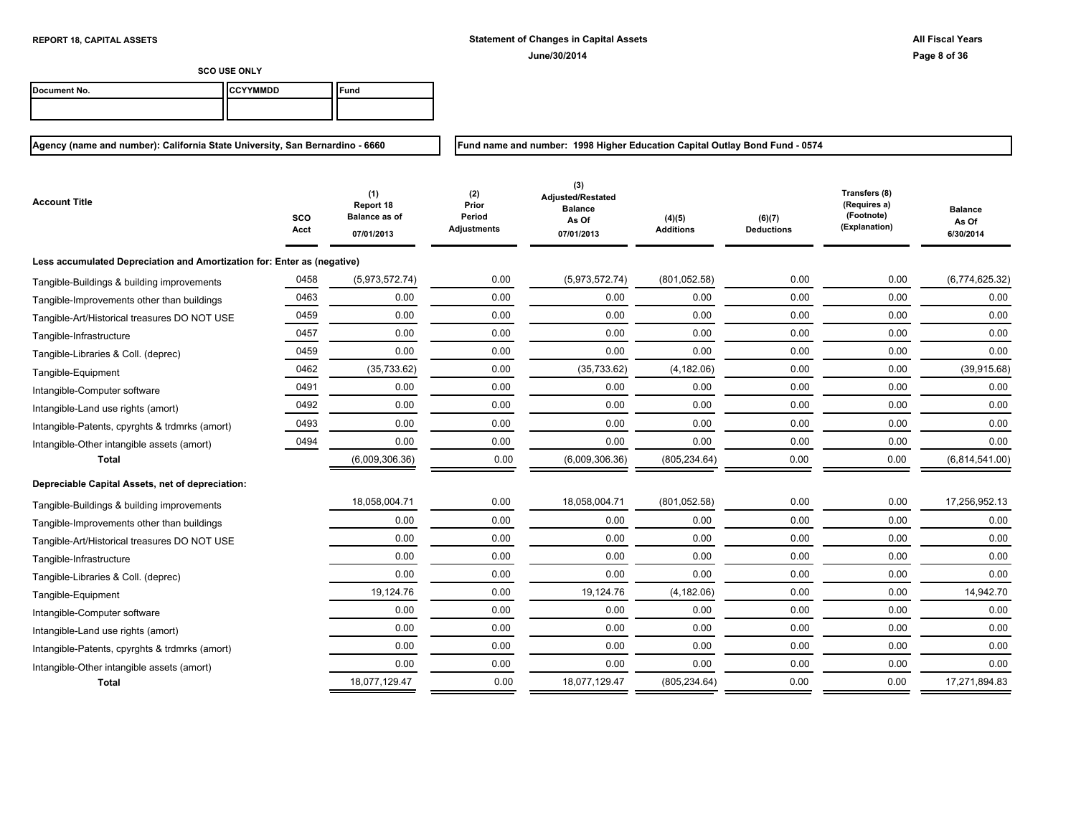**Fund name and number: 1998 Higher Education Capital Outlay Bond Fund - 0574**

**SCO USE ONLY**

| Document No. | <b>ICCYYMMDD</b> | ≂und |
|--------------|------------------|------|
|              |                  |      |

| Account Title                                                           | sco<br>Acct | (1)<br>Report 18<br><b>Balance as of</b><br>07/01/2013 | (2)<br>Prior<br>Period<br><b>Adjustments</b> | (3)<br>Adjusted/Restated<br><b>Balance</b><br>As Of<br>07/01/2013 | (4)(5)<br><b>Additions</b> | (6)(7)<br><b>Deductions</b> | Transfers (8)<br>(Requires a)<br>(Footnote)<br>(Explanation) | Balance<br>As Of<br>6/30/2014 |
|-------------------------------------------------------------------------|-------------|--------------------------------------------------------|----------------------------------------------|-------------------------------------------------------------------|----------------------------|-----------------------------|--------------------------------------------------------------|-------------------------------|
| Less accumulated Depreciation and Amortization for: Enter as (negative) |             |                                                        |                                              |                                                                   |                            |                             |                                                              |                               |
| Tangible-Buildings & building improvements                              | 0458        | (5,973,572.74)                                         | 0.00                                         | (5,973,572.74)                                                    | (801, 052.58)              | 0.00                        | 0.00                                                         | (6,774,625.32)                |
| Tangible-Improvements other than buildings                              | 0463        | 0.00                                                   | 0.00                                         | 0.00                                                              | 0.00                       | 0.00                        | 0.00                                                         | 0.00                          |
| Tangible-Art/Historical treasures DO NOT USE                            | 0459        | 0.00                                                   | 0.00                                         | 0.00                                                              | 0.00                       | 0.00                        | 0.00                                                         | 0.00                          |
| Tangible-Infrastructure                                                 | 0457        | 0.00                                                   | 0.00                                         | 0.00                                                              | 0.00                       | 0.00                        | 0.00                                                         | 0.00                          |
| Tangible-Libraries & Coll. (deprec)                                     | 0459        | 0.00                                                   | 0.00                                         | 0.00                                                              | 0.00                       | 0.00                        | 0.00                                                         | 0.00                          |
| Tangible-Equipment                                                      | 0462        | (35, 733.62)                                           | 0.00                                         | (35, 733.62)                                                      | (4, 182.06)                | 0.00                        | 0.00                                                         | (39, 915.68)                  |
| Intangible-Computer software                                            | 0491        | 0.00                                                   | 0.00                                         | 0.00                                                              | 0.00                       | 0.00                        | 0.00                                                         | 0.00                          |
| Intangible-Land use rights (amort)                                      | 0492        | 0.00                                                   | 0.00                                         | 0.00                                                              | 0.00                       | 0.00                        | 0.00                                                         | 0.00                          |
| Intangible-Patents, cpyrghts & trdmrks (amort)                          | 0493        | 0.00                                                   | 0.00                                         | 0.00                                                              | 0.00                       | 0.00                        | 0.00                                                         | 0.00                          |
| Intangible-Other intangible assets (amort)                              | 0494        | 0.00                                                   | 0.00                                         | 0.00                                                              | 0.00                       | 0.00                        | 0.00                                                         | 0.00                          |
| <b>Total</b>                                                            |             | (6,009,306.36)                                         | 0.00                                         | (6,009,306.36)                                                    | (805, 234.64)              | 0.00                        | 0.00                                                         | (6,814,541.00)                |
| Depreciable Capital Assets, net of depreciation:                        |             |                                                        |                                              |                                                                   |                            |                             |                                                              |                               |
| Tangible-Buildings & building improvements                              |             | 18,058,004.71                                          | 0.00                                         | 18,058,004.71                                                     | (801, 052.58)              | 0.00                        | 0.00                                                         | 17,256,952.13                 |
| Tangible-Improvements other than buildings                              |             | 0.00                                                   | 0.00                                         | 0.00                                                              | 0.00                       | 0.00                        | 0.00                                                         | 0.00                          |
| Tangible-Art/Historical treasures DO NOT USE                            |             | 0.00                                                   | 0.00                                         | 0.00                                                              | 0.00                       | 0.00                        | 0.00                                                         | 0.00                          |
| Tangible-Infrastructure                                                 |             | 0.00                                                   | 0.00                                         | 0.00                                                              | 0.00                       | 0.00                        | 0.00                                                         | 0.00                          |
| Tangible-Libraries & Coll. (deprec)                                     |             | 0.00                                                   | 0.00                                         | 0.00                                                              | 0.00                       | 0.00                        | 0.00                                                         | 0.00                          |
| Tangible-Equipment                                                      |             | 19,124.76                                              | 0.00                                         | 19,124.76                                                         | (4, 182.06)                | 0.00                        | 0.00                                                         | 14,942.70                     |
| Intangible-Computer software                                            |             | 0.00                                                   | 0.00                                         | 0.00                                                              | 0.00                       | 0.00                        | 0.00                                                         | 0.00                          |
| Intangible-Land use rights (amort)                                      |             | 0.00                                                   | 0.00                                         | 0.00                                                              | 0.00                       | 0.00                        | 0.00                                                         | 0.00                          |
| Intangible-Patents, cpyrghts & trdmrks (amort)                          |             | 0.00                                                   | 0.00                                         | 0.00                                                              | 0.00                       | 0.00                        | 0.00                                                         | 0.00                          |
| Intangible-Other intangible assets (amort)                              |             | 0.00                                                   | 0.00                                         | 0.00                                                              | 0.00                       | 0.00                        | 0.00                                                         | 0.00                          |
| <b>Total</b>                                                            |             | 18,077,129.47                                          | 0.00                                         | 18,077,129.47                                                     | (805, 234.64)              | 0.00                        | 0.00                                                         | 17,271,894.83                 |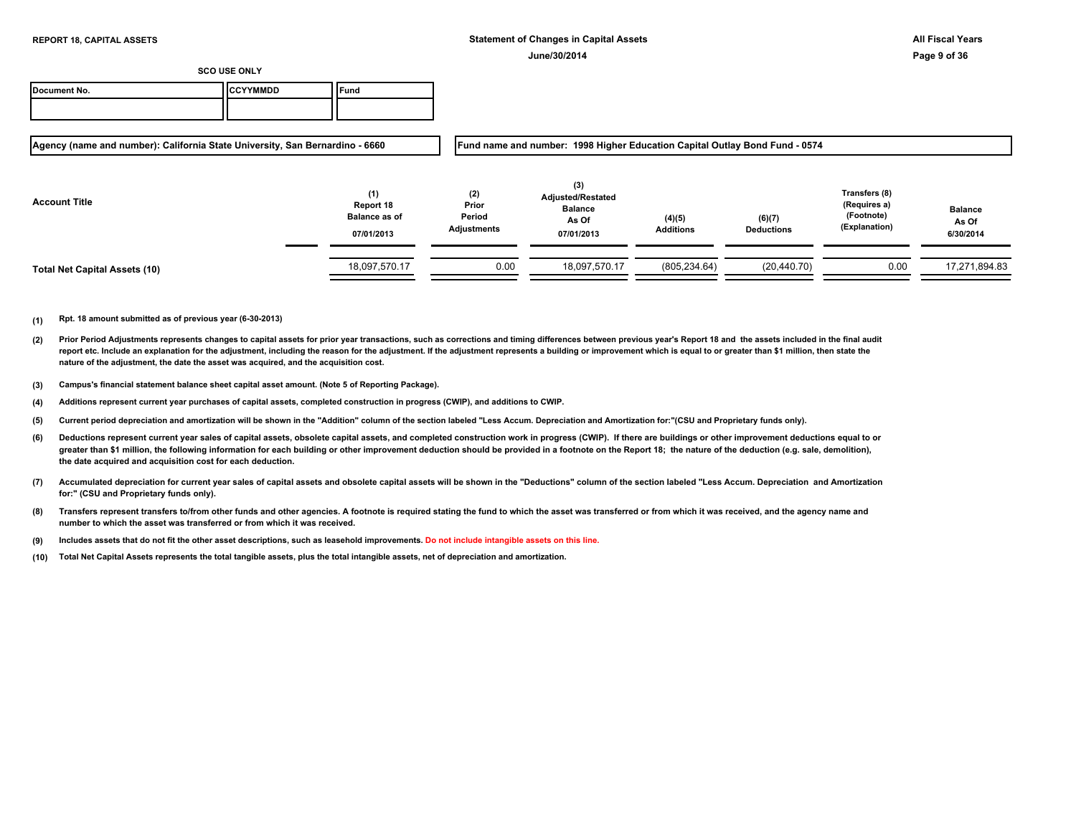| Document No. | <b>ICCYYMMDD</b> | <b>Fund</b> |
|--------------|------------------|-------------|
|              |                  |             |

**Agency (name and number): California State University, San Bernardino - 6660**

**Fund name and number: 1998 Higher Education Capital Outlay Bond Fund - 0574**

| <b>Account Title</b>                 | (1)<br>Report 18<br><b>Balance as of</b><br>07/01/2013 | (2)<br>Prior<br>Period<br>Adjustments | (3)<br><b>Adjusted/Restated</b><br><b>Balance</b><br>As Of<br>07/01/2013 | (4)(5)<br><b>Additions</b> | (6)(7)<br><b>Deductions</b> | Transfers (8)<br>(Requires a)<br>(Footnote)<br>(Explanation) | <b>Balance</b><br>As Of<br>6/30/2014 |
|--------------------------------------|--------------------------------------------------------|---------------------------------------|--------------------------------------------------------------------------|----------------------------|-----------------------------|--------------------------------------------------------------|--------------------------------------|
| <b>Total Net Capital Assets (10)</b> | 18,097,570.17                                          | 0.00                                  | 18,097,570.17                                                            | (805, 234.64)              | (20, 440.70)                | 0.00                                                         | 17,271,894.83                        |

- **(2)** Prior Period Adjustments represents changes to capital assets for prior year transactions, such as corrections and timing differences between previous year's Report 18 and the assets included in the final audit report etc. Include an explanation for the adjustment, including the reason for the adjustment. If the adjustment represents a building or improvement which is equal to or greater than \$1 million, then state the **nature of the adjustment, the date the asset was acquired, and the acquisition cost.**
- **(3) Campus's financial statement balance sheet capital asset amount. (Note 5 of Reporting Package).**
- **(4) Additions represent current year purchases of capital assets, completed construction in progress (CWIP), and additions to CWIP.**
- **(5) Current period depreciation and amortization will be shown in the "Addition" column of the section labeled "Less Accum. Depreciation and Amortization for:"(CSU and Proprietary funds only).**
- **(6)** Deductions represent current year sales of capital assets, obsolete capital assets, and completed construction work in progress (CWIP). If there are buildings or other improvement deductions equal to or greater than \$1 million, the following information for each building or other improvement deduction should be provided in a footnote on the Report 18; the nature of the deduction (e.g. sale, demolition), **the date acquired and acquisition cost for each deduction.**
- **(7) Accumulated depreciation for current year sales of capital assets and obsolete capital assets will be shown in the "Deductions" column of the section labeled "Less Accum. Depreciation and Amortization for:" (CSU and Proprietary funds only).**
- **(8) Transfers represent transfers to/from other funds and other agencies. A footnote is required stating the fund to which the asset was transferred or from which it was received, and the agency name and number to which the asset was transferred or from which it was received.**
- **(9) Includes assets that do not fit the other asset descriptions, such as leasehold improvements. Do not include intangible assets on this line.**
- **(10) Total Net Capital Assets represents the total tangible assets, plus the total intangible assets, net of depreciation and amortization.**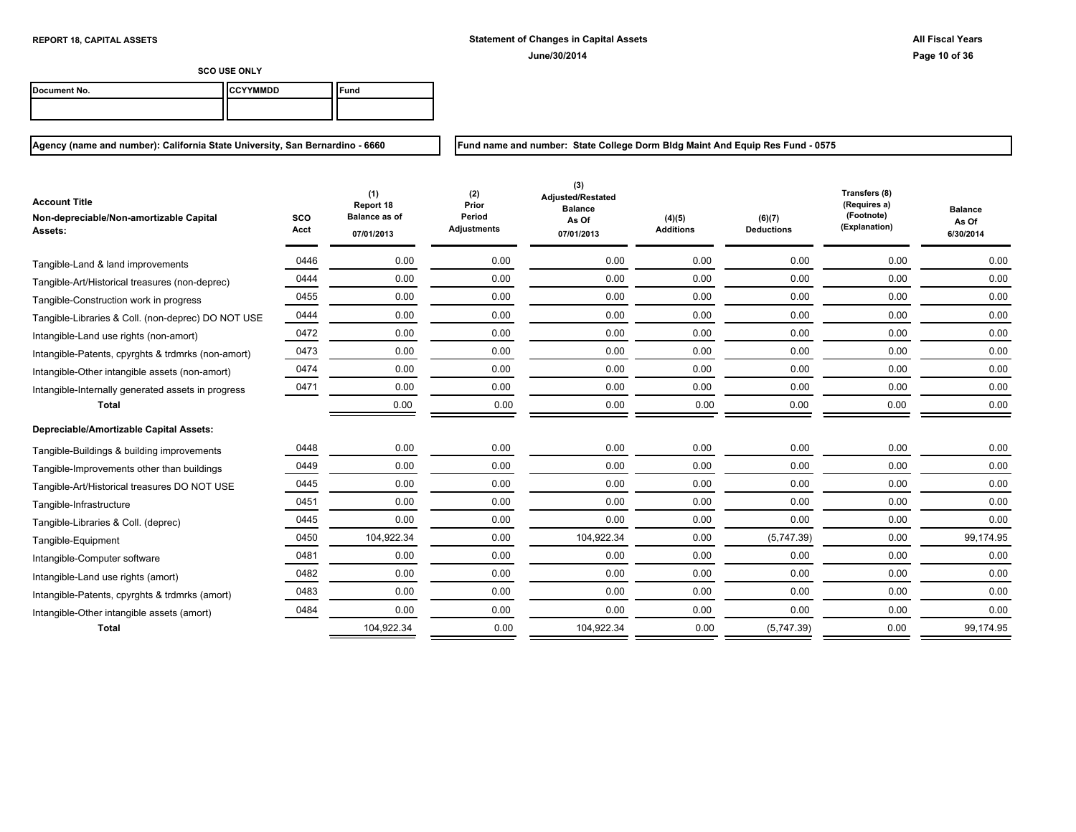**Fund name and number: State College Dorm Bldg Maint And Equip Res Fund - 0575**

Ξ

**SCO USE ONLY**

| Document No. | ICCYYMMDD | `Fund |
|--------------|-----------|-------|
|              |           |       |

**Agency (name and number): California State University, San Bernardino - 6660**

| <b>Account Title</b><br>Non-depreciable/Non-amortizable Capital<br>Assets: | <b>SCO</b><br>Acct | (1)<br>Report 18<br><b>Balance as of</b><br>07/01/2013 | (2)<br>Prior<br>Period<br><b>Adjustments</b> | (3)<br>Adjusted/Restated<br><b>Balance</b><br>As Of<br>07/01/2013 | (4)(5)<br><b>Additions</b> | (6)(7)<br><b>Deductions</b> | Transfers (8)<br>(Requires a)<br>(Footnote)<br>(Explanation) | <b>Balance</b><br>As Of<br>6/30/2014 |
|----------------------------------------------------------------------------|--------------------|--------------------------------------------------------|----------------------------------------------|-------------------------------------------------------------------|----------------------------|-----------------------------|--------------------------------------------------------------|--------------------------------------|
| Tangible-Land & land improvements                                          | 0446               | 0.00                                                   | 0.00                                         | 0.00                                                              | 0.00                       | 0.00                        | 0.00                                                         | 0.00                                 |
| Tangible-Art/Historical treasures (non-deprec)                             | 0444               | 0.00                                                   | 0.00                                         | 0.00                                                              | 0.00                       | 0.00                        | 0.00                                                         | 0.00                                 |
| Tangible-Construction work in progress                                     | 0455               | 0.00                                                   | 0.00                                         | 0.00                                                              | 0.00                       | 0.00                        | 0.00                                                         | 0.00                                 |
| Tangible-Libraries & Coll. (non-deprec) DO NOT USE                         | 0444               | 0.00                                                   | 0.00                                         | 0.00                                                              | 0.00                       | 0.00                        | 0.00                                                         | 0.00                                 |
| Intangible-Land use rights (non-amort)                                     | 0472               | 0.00                                                   | 0.00                                         | 0.00                                                              | 0.00                       | 0.00                        | 0.00                                                         | 0.00                                 |
| Intangible-Patents, cpyrghts & trdmrks (non-amort)                         | 0473               | 0.00                                                   | 0.00                                         | 0.00                                                              | 0.00                       | 0.00                        | 0.00                                                         | 0.00                                 |
| Intangible-Other intangible assets (non-amort)                             | 0474               | 0.00                                                   | 0.00                                         | 0.00                                                              | 0.00                       | 0.00                        | 0.00                                                         | 0.00                                 |
| Intangible-Internally generated assets in progress                         | 0471               | 0.00                                                   | 0.00                                         | 0.00                                                              | 0.00                       | 0.00                        | 0.00                                                         | 0.00                                 |
| <b>Total</b>                                                               |                    | 0.00                                                   | 0.00                                         | 0.00                                                              | 0.00                       | 0.00                        | 0.00                                                         | 0.00                                 |
| Depreciable/Amortizable Capital Assets:                                    |                    |                                                        |                                              |                                                                   |                            |                             |                                                              |                                      |
| Tangible-Buildings & building improvements                                 | 0448               | 0.00                                                   | 0.00                                         | 0.00                                                              | 0.00                       | 0.00                        | 0.00                                                         | 0.00                                 |
| Tangible-Improvements other than buildings                                 | 0449               | 0.00                                                   | 0.00                                         | 0.00                                                              | 0.00                       | 0.00                        | 0.00                                                         | 0.00                                 |
| Tangible-Art/Historical treasures DO NOT USE                               | 0445               | 0.00                                                   | 0.00                                         | 0.00                                                              | 0.00                       | 0.00                        | 0.00                                                         | 0.00                                 |
| Tangible-Infrastructure                                                    | 0451               | 0.00                                                   | 0.00                                         | 0.00                                                              | 0.00                       | 0.00                        | 0.00                                                         | 0.00                                 |
| Tangible-Libraries & Coll. (deprec)                                        | 0445               | 0.00                                                   | 0.00                                         | 0.00                                                              | 0.00                       | 0.00                        | 0.00                                                         | 0.00                                 |
| Tangible-Equipment                                                         | 0450               | 104,922.34                                             | 0.00                                         | 104,922.34                                                        | 0.00                       | (5,747.39)                  | 0.00                                                         | 99,174.95                            |
| Intangible-Computer software                                               | 0481               | 0.00                                                   | 0.00                                         | 0.00                                                              | 0.00                       | 0.00                        | 0.00                                                         | 0.00                                 |
| Intangible-Land use rights (amort)                                         | 0482               | 0.00                                                   | 0.00                                         | 0.00                                                              | 0.00                       | 0.00                        | 0.00                                                         | 0.00                                 |
| Intangible-Patents, cpyrghts & trdmrks (amort)                             | 0483               | 0.00                                                   | 0.00                                         | 0.00                                                              | 0.00                       | 0.00                        | 0.00                                                         | 0.00                                 |
| Intangible-Other intangible assets (amort)                                 | 0484               | 0.00                                                   | 0.00                                         | 0.00                                                              | 0.00                       | 0.00                        | 0.00                                                         | 0.00                                 |
| <b>Total</b>                                                               |                    | 104,922.34                                             | 0.00                                         | 104,922.34                                                        | 0.00                       | (5,747.39)                  | 0.00                                                         | 99,174.95                            |

 $\equiv$ 

= - 11 <u>т</u>

=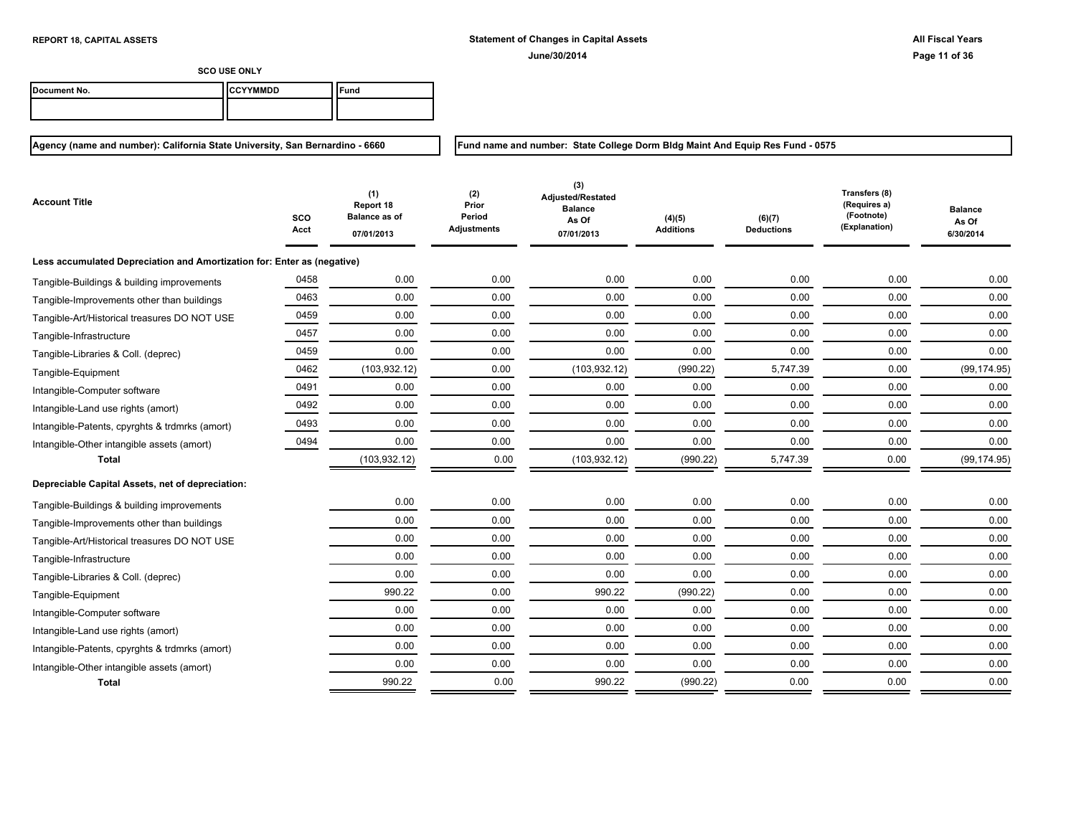**Fund name and number: State College Dorm Bldg Maint And Equip Res Fund - 0575**

**SCO USE ONLY**

| Document No. | <b>ICCYYMMDD</b> | ≂und |
|--------------|------------------|------|
|              |                  |      |

| <b>Account Title</b>                                                    | sco<br>Acct | (1)<br>Report 18<br><b>Balance as of</b><br>07/01/2013 | (2)<br>Prior<br>Period<br><b>Adjustments</b> | (3)<br>Adjusted/Restated<br><b>Balance</b><br>As Of<br>07/01/2013 | (4)(5)<br><b>Additions</b> | (6)(7)<br><b>Deductions</b> | Transfers (8)<br>(Requires a)<br>(Footnote)<br>(Explanation) | <b>Balance</b><br>As Of<br>6/30/2014 |
|-------------------------------------------------------------------------|-------------|--------------------------------------------------------|----------------------------------------------|-------------------------------------------------------------------|----------------------------|-----------------------------|--------------------------------------------------------------|--------------------------------------|
| Less accumulated Depreciation and Amortization for: Enter as (negative) |             |                                                        |                                              |                                                                   |                            |                             |                                                              |                                      |
| Tangible-Buildings & building improvements                              | 0458        | 0.00                                                   | 0.00                                         | 0.00                                                              | 0.00                       | 0.00                        | 0.00                                                         | 0.00                                 |
| Tangible-Improvements other than buildings                              | 0463        | 0.00                                                   | 0.00                                         | 0.00                                                              | 0.00                       | 0.00                        | 0.00                                                         | 0.00                                 |
| Tangible-Art/Historical treasures DO NOT USE                            | 0459        | 0.00                                                   | 0.00                                         | 0.00                                                              | 0.00                       | 0.00                        | 0.00                                                         | 0.00                                 |
| Tangible-Infrastructure                                                 | 0457        | 0.00                                                   | 0.00                                         | 0.00                                                              | 0.00                       | 0.00                        | 0.00                                                         | 0.00                                 |
| Tangible-Libraries & Coll. (deprec)                                     | 0459        | 0.00                                                   | 0.00                                         | 0.00                                                              | 0.00                       | 0.00                        | 0.00                                                         | 0.00                                 |
| Tangible-Equipment                                                      | 0462        | (103, 932.12)                                          | 0.00                                         | (103, 932.12)                                                     | (990.22)                   | 5,747.39                    | 0.00                                                         | (99, 174.95)                         |
| Intangible-Computer software                                            | 0491        | 0.00                                                   | 0.00                                         | 0.00                                                              | 0.00                       | 0.00                        | 0.00                                                         | 0.00                                 |
| Intangible-Land use rights (amort)                                      | 0492        | 0.00                                                   | 0.00                                         | 0.00                                                              | 0.00                       | 0.00                        | 0.00                                                         | 0.00                                 |
| Intangible-Patents, cpyrghts & trdmrks (amort)                          | 0493        | 0.00                                                   | 0.00                                         | 0.00                                                              | 0.00                       | 0.00                        | 0.00                                                         | 0.00                                 |
| Intangible-Other intangible assets (amort)                              | 0494        | 0.00                                                   | 0.00                                         | 0.00                                                              | 0.00                       | 0.00                        | 0.00                                                         | 0.00                                 |
| <b>Total</b>                                                            |             | (103, 932.12)                                          | 0.00                                         | (103, 932.12)                                                     | (990.22)                   | 5,747.39                    | 0.00                                                         | (99, 174.95)                         |
| Depreciable Capital Assets, net of depreciation:                        |             |                                                        |                                              |                                                                   |                            |                             |                                                              |                                      |
| Tangible-Buildings & building improvements                              |             | 0.00                                                   | 0.00                                         | 0.00                                                              | 0.00                       | 0.00                        | 0.00                                                         | 0.00                                 |
| Tangible-Improvements other than buildings                              |             | 0.00                                                   | 0.00                                         | 0.00                                                              | 0.00                       | 0.00                        | 0.00                                                         | 0.00                                 |
| Tangible-Art/Historical treasures DO NOT USE                            |             | 0.00                                                   | 0.00                                         | 0.00                                                              | 0.00                       | 0.00                        | 0.00                                                         | 0.00                                 |
| Tangible-Infrastructure                                                 |             | 0.00                                                   | 0.00                                         | 0.00                                                              | 0.00                       | 0.00                        | 0.00                                                         | 0.00                                 |
| Tangible-Libraries & Coll. (deprec)                                     |             | 0.00                                                   | 0.00                                         | 0.00                                                              | 0.00                       | 0.00                        | 0.00                                                         | 0.00                                 |
| Tangible-Equipment                                                      |             | 990.22                                                 | 0.00                                         | 990.22                                                            | (990.22)                   | 0.00                        | 0.00                                                         | 0.00                                 |
| Intangible-Computer software                                            |             | 0.00                                                   | 0.00                                         | 0.00                                                              | 0.00                       | 0.00                        | 0.00                                                         | 0.00                                 |
| Intangible-Land use rights (amort)                                      |             | 0.00                                                   | 0.00                                         | 0.00                                                              | 0.00                       | 0.00                        | 0.00                                                         | 0.00                                 |
| Intangible-Patents, cpyrghts & trdmrks (amort)                          |             | 0.00                                                   | 0.00                                         | 0.00                                                              | 0.00                       | 0.00                        | 0.00                                                         | 0.00                                 |
| Intangible-Other intangible assets (amort)                              |             | 0.00                                                   | 0.00                                         | 0.00                                                              | 0.00                       | 0.00                        | 0.00                                                         | 0.00                                 |
| Total                                                                   |             | 990.22                                                 | 0.00                                         | 990.22                                                            | (990.22)                   | 0.00                        | 0.00                                                         | 0.00                                 |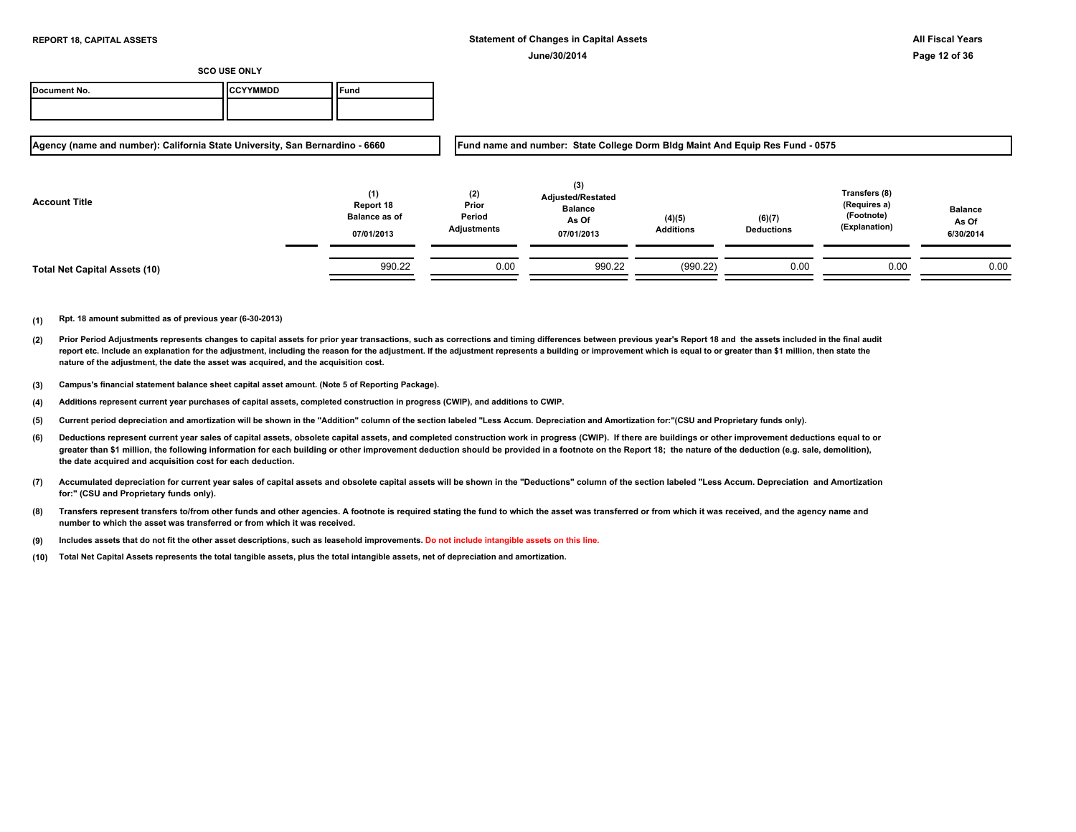| Document No. | <b>`YYMMDD</b> | Fund |
|--------------|----------------|------|
|              |                |      |

**Agency (name and number): California State University, San Bernardino - 6660**

**Fund name and number: State College Dorm Bldg Maint And Equip Res Fund - 0575**

| <b>Account Title</b>                 | (1)<br>Report 18<br><b>Balance as of</b><br>07/01/2013 | (2)<br>Prior<br>Period<br>Adjustments | (3)<br><b>Adjusted/Restated</b><br><b>Balance</b><br>As Of<br>07/01/2013 | (4)(5)<br><b>Additions</b> | (6)(7)<br><b>Deductions</b> | Transfers (8)<br>(Requires a)<br>(Footnote)<br>(Explanation) | <b>Balance</b><br>As Of<br>6/30/2014 |
|--------------------------------------|--------------------------------------------------------|---------------------------------------|--------------------------------------------------------------------------|----------------------------|-----------------------------|--------------------------------------------------------------|--------------------------------------|
| <b>Total Net Capital Assets (10)</b> | 990.22                                                 | 0.00                                  | 990.22                                                                   | (990.22)                   | 0.00                        | 0.00                                                         | 0.00                                 |

- **(2)** Prior Period Adjustments represents changes to capital assets for prior year transactions, such as corrections and timing differences between previous year's Report 18 and the assets included in the final audit report etc. Include an explanation for the adjustment, including the reason for the adjustment. If the adjustment represents a building or improvement which is equal to or greater than \$1 million, then state the **nature of the adjustment, the date the asset was acquired, and the acquisition cost.**
- **(3) Campus's financial statement balance sheet capital asset amount. (Note 5 of Reporting Package).**
- **(4) Additions represent current year purchases of capital assets, completed construction in progress (CWIP), and additions to CWIP.**
- **(5) Current period depreciation and amortization will be shown in the "Addition" column of the section labeled "Less Accum. Depreciation and Amortization for:"(CSU and Proprietary funds only).**
- **(6)** Deductions represent current year sales of capital assets, obsolete capital assets, and completed construction work in progress (CWIP). If there are buildings or other improvement deductions equal to or greater than \$1 million, the following information for each building or other improvement deduction should be provided in a footnote on the Report 18; the nature of the deduction (e.g. sale, demolition), **the date acquired and acquisition cost for each deduction.**
- **(7) Accumulated depreciation for current year sales of capital assets and obsolete capital assets will be shown in the "Deductions" column of the section labeled "Less Accum. Depreciation and Amortization for:" (CSU and Proprietary funds only).**
- **(8) Transfers represent transfers to/from other funds and other agencies. A footnote is required stating the fund to which the asset was transferred or from which it was received, and the agency name and number to which the asset was transferred or from which it was received.**
- **(9) Includes assets that do not fit the other asset descriptions, such as leasehold improvements. Do not include intangible assets on this line.**
- **(10) Total Net Capital Assets represents the total tangible assets, plus the total intangible assets, net of depreciation and amortization.**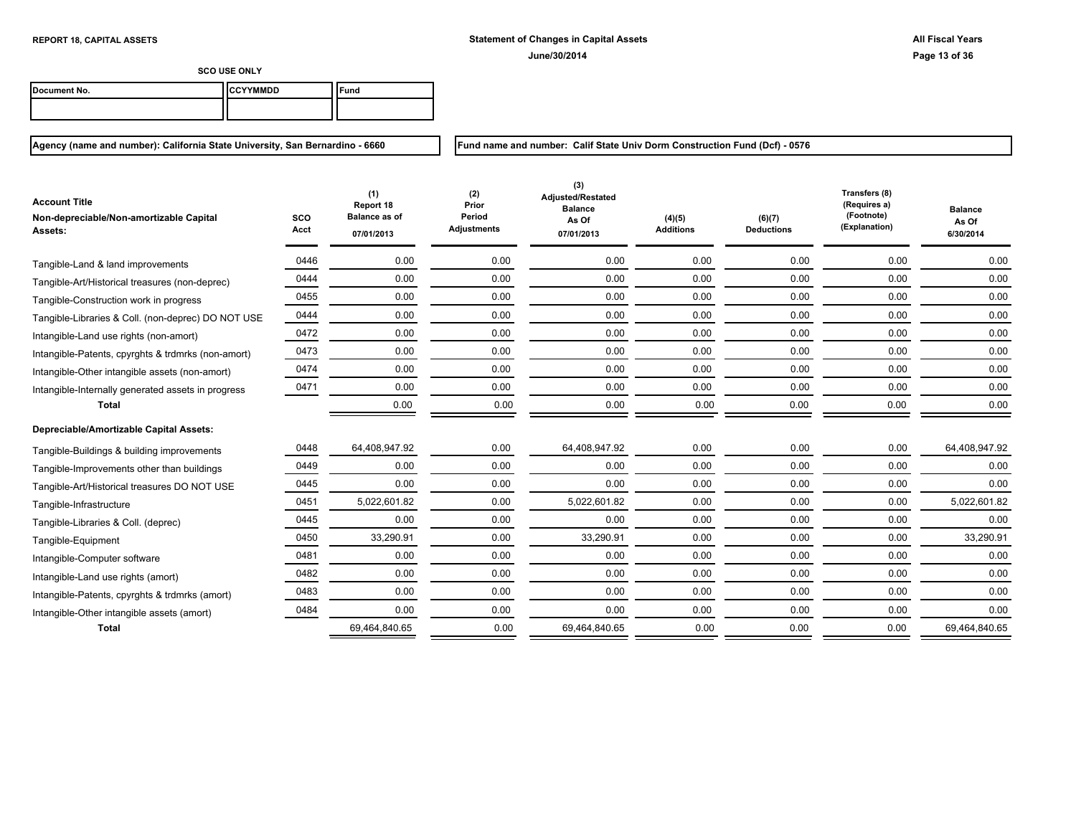| Document No. | <b>ICCYYMMDD</b> | "und |
|--------------|------------------|------|
|              |                  |      |

**Agency (name and number): California State University, San Bernardino - 6660**

**Fund name and number: Calif State Univ Dorm Construction Fund (Dcf) - 0576**

| <b>Account Title</b><br>Non-depreciable/Non-amortizable Capital<br>Assets: | sco<br>Acct | (1)<br>Report 18<br><b>Balance as of</b><br>07/01/2013 | (2)<br>Prior<br>Period<br><b>Adjustments</b> | (3)<br>Adjusted/Restated<br><b>Balance</b><br>As Of<br>07/01/2013 | (4)(5)<br><b>Additions</b> | (6)(7)<br><b>Deductions</b> | Transfers (8)<br>(Requires a)<br>(Footnote)<br>(Explanation) | <b>Balance</b><br>As Of<br>6/30/2014 |
|----------------------------------------------------------------------------|-------------|--------------------------------------------------------|----------------------------------------------|-------------------------------------------------------------------|----------------------------|-----------------------------|--------------------------------------------------------------|--------------------------------------|
|                                                                            |             |                                                        |                                              |                                                                   |                            |                             |                                                              |                                      |
| Tangible-Land & land improvements                                          | 0446        | 0.00                                                   | 0.00                                         | 0.00                                                              | 0.00                       | 0.00                        | 0.00                                                         | 0.00                                 |
| Tangible-Art/Historical treasures (non-deprec)                             | 0444        | 0.00                                                   | 0.00                                         | 0.00                                                              | 0.00                       | 0.00                        | 0.00                                                         | 0.00                                 |
| Tangible-Construction work in progress                                     | 0455        | 0.00                                                   | 0.00                                         | 0.00                                                              | 0.00                       | 0.00                        | 0.00                                                         | 0.00                                 |
| Tangible-Libraries & Coll. (non-deprec) DO NOT USE                         | 0444        | 0.00                                                   | 0.00                                         | 0.00                                                              | 0.00                       | 0.00                        | 0.00                                                         | 0.00                                 |
| Intangible-Land use rights (non-amort)                                     | 0472        | 0.00                                                   | 0.00                                         | 0.00                                                              | 0.00                       | 0.00                        | 0.00                                                         | 0.00                                 |
| Intangible-Patents, cpyrghts & trdmrks (non-amort)                         | 0473        | 0.00                                                   | 0.00                                         | 0.00                                                              | 0.00                       | 0.00                        | 0.00                                                         | 0.00                                 |
| Intangible-Other intangible assets (non-amort)                             | 0474        | 0.00                                                   | 0.00                                         | 0.00                                                              | 0.00                       | 0.00                        | 0.00                                                         | 0.00                                 |
| Intangible-Internally generated assets in progress                         | 0471        | 0.00                                                   | 0.00                                         | 0.00                                                              | 0.00                       | 0.00                        | 0.00                                                         | 0.00                                 |
| <b>Total</b>                                                               |             | 0.00                                                   | 0.00                                         | 0.00                                                              | 0.00                       | 0.00                        | 0.00                                                         | 0.00                                 |
| Depreciable/Amortizable Capital Assets:                                    |             |                                                        |                                              |                                                                   |                            |                             |                                                              |                                      |
| Tangible-Buildings & building improvements                                 | 0448        | 64,408,947.92                                          | 0.00                                         | 64,408,947.92                                                     | 0.00                       | 0.00                        | 0.00                                                         | 64,408,947.92                        |
| Tangible-Improvements other than buildings                                 | 0449        | 0.00                                                   | 0.00                                         | 0.00                                                              | 0.00                       | 0.00                        | 0.00                                                         | 0.00                                 |
| Tangible-Art/Historical treasures DO NOT USE                               | 0445        | 0.00                                                   | 0.00                                         | 0.00                                                              | 0.00                       | 0.00                        | 0.00                                                         | 0.00                                 |
| Tangible-Infrastructure                                                    | 0451        | 5,022,601.82                                           | 0.00                                         | 5,022,601.82                                                      | 0.00                       | 0.00                        | 0.00                                                         | 5,022,601.82                         |
| Tangible-Libraries & Coll. (deprec)                                        | 0445        | 0.00                                                   | 0.00                                         | 0.00                                                              | 0.00                       | 0.00                        | 0.00                                                         | 0.00                                 |
| Tangible-Equipment                                                         | 0450        | 33,290.91                                              | 0.00                                         | 33,290.91                                                         | 0.00                       | 0.00                        | 0.00                                                         | 33,290.91                            |
| Intangible-Computer software                                               | 0481        | 0.00                                                   | 0.00                                         | 0.00                                                              | 0.00                       | 0.00                        | 0.00                                                         | 0.00                                 |
| Intangible-Land use rights (amort)                                         | 0482        | 0.00                                                   | 0.00                                         | 0.00                                                              | 0.00                       | 0.00                        | 0.00                                                         | 0.00                                 |
| Intangible-Patents, cpyrghts & trdmrks (amort)                             | 0483        | 0.00                                                   | 0.00                                         | 0.00                                                              | 0.00                       | 0.00                        | 0.00                                                         | 0.00                                 |
| Intangible-Other intangible assets (amort)                                 | 0484        | 0.00                                                   | 0.00                                         | 0.00                                                              | 0.00                       | 0.00                        | 0.00                                                         | 0.00                                 |
| <b>Total</b>                                                               |             | 69,464,840.65                                          | 0.00                                         | 69,464,840.65                                                     | 0.00                       | 0.00                        | 0.00                                                         | 69,464,840.65                        |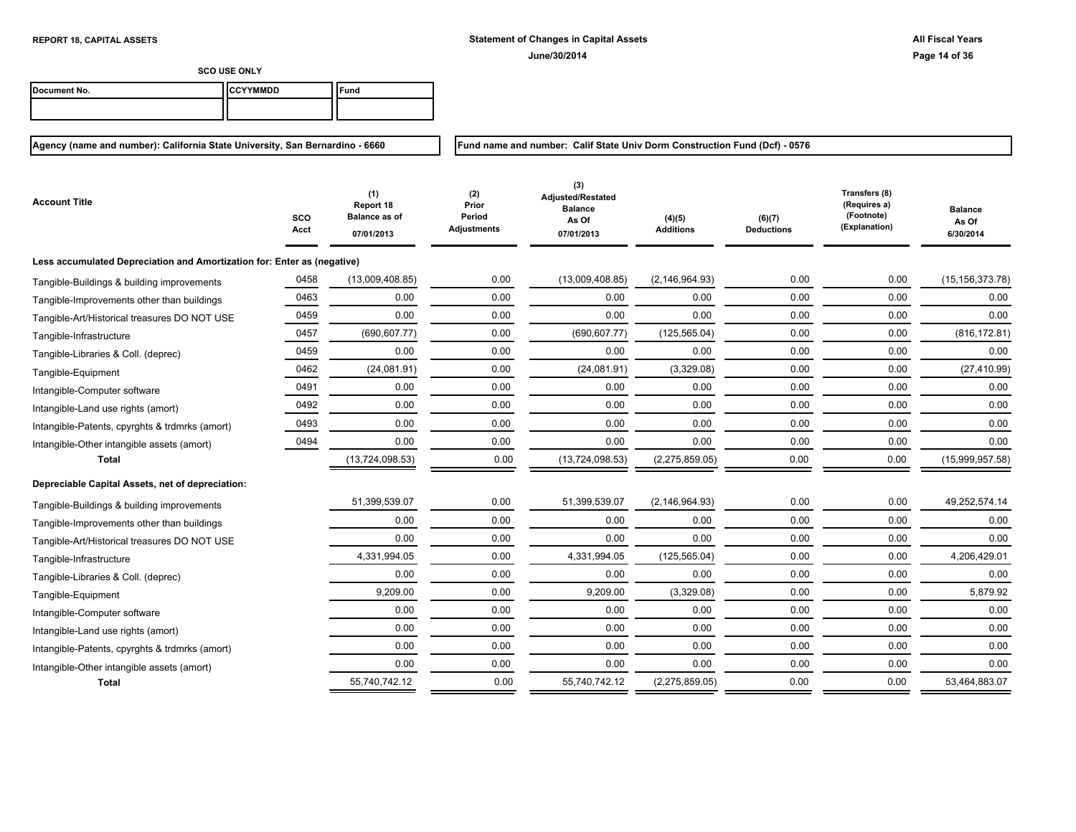**Fund name and number: Calif State Univ Dorm Construction Fund (Dcf) - 0576**

**SCO USE ONLY**

| Document No. | <b>ICCYYMMDD</b> | ≂und |
|--------------|------------------|------|
|              |                  |      |

| Account Title                                                           | sco<br>Acct | (1)<br>Report 18<br><b>Balance as of</b><br>07/01/2013 | (2)<br>Prior<br>Period<br><b>Adjustments</b> | (3)<br>Adjusted/Restated<br><b>Balance</b><br>As Of<br>07/01/2013 | (4)(5)<br><b>Additions</b> | (6)(7)<br><b>Deductions</b> | Transfers (8)<br>(Requires a)<br>(Footnote)<br>(Explanation) | <b>Balance</b><br>As Of<br>6/30/2014 |
|-------------------------------------------------------------------------|-------------|--------------------------------------------------------|----------------------------------------------|-------------------------------------------------------------------|----------------------------|-----------------------------|--------------------------------------------------------------|--------------------------------------|
| Less accumulated Depreciation and Amortization for: Enter as (negative) |             |                                                        |                                              |                                                                   |                            |                             |                                                              |                                      |
| Tangible-Buildings & building improvements                              | 0458        | (13,009,408.85)                                        | 0.00                                         | (13,009,408.85)                                                   | (2, 146, 964.93)           | 0.00                        | 0.00                                                         | (15, 156, 373.78)                    |
| Tangible-Improvements other than buildings                              | 0463        | 0.00                                                   | 0.00                                         | 0.00                                                              | 0.00                       | 0.00                        | 0.00                                                         | 0.00                                 |
| Tangible-Art/Historical treasures DO NOT USE                            | 0459        | 0.00                                                   | 0.00                                         | 0.00                                                              | 0.00                       | 0.00                        | 0.00                                                         | 0.00                                 |
| Tangible-Infrastructure                                                 | 0457        | (690, 607.77)                                          | 0.00                                         | (690, 607.77)                                                     | (125, 565.04)              | 0.00                        | 0.00                                                         | (816, 172.81)                        |
| Tangible-Libraries & Coll. (deprec)                                     | 0459        | 0.00                                                   | 0.00                                         | 0.00                                                              | 0.00                       | 0.00                        | 0.00                                                         | 0.00                                 |
| Tangible-Equipment                                                      | 0462        | (24,081.91)                                            | 0.00                                         | (24,081.91)                                                       | (3,329.08)                 | 0.00                        | 0.00                                                         | (27, 410.99)                         |
| Intangible-Computer software                                            | 0491        | 0.00                                                   | 0.00                                         | 0.00                                                              | 0.00                       | 0.00                        | 0.00                                                         | 0.00                                 |
| Intangible-Land use rights (amort)                                      | 0492        | 0.00                                                   | 0.00                                         | 0.00                                                              | 0.00                       | 0.00                        | 0.00                                                         | 0.00                                 |
| Intangible-Patents, cpyrghts & trdmrks (amort)                          | 0493        | 0.00                                                   | 0.00                                         | 0.00                                                              | 0.00                       | 0.00                        | 0.00                                                         | 0.00                                 |
| Intangible-Other intangible assets (amort)                              | 0494        | 0.00                                                   | 0.00                                         | 0.00                                                              | 0.00                       | 0.00                        | 0.00                                                         | 0.00                                 |
| <b>Total</b>                                                            |             | (13, 724, 098.53)                                      | 0.00                                         | (13, 724, 098.53)                                                 | (2,275,859.05)             | 0.00                        | 0.00                                                         | (15,999,957.58)                      |
| Depreciable Capital Assets, net of depreciation:                        |             |                                                        |                                              |                                                                   |                            |                             |                                                              |                                      |
| Tangible-Buildings & building improvements                              |             | 51,399,539.07                                          | 0.00                                         | 51,399,539.07                                                     | (2, 146, 964.93)           | 0.00                        | 0.00                                                         | 49,252,574.14                        |
| Tangible-Improvements other than buildings                              |             | 0.00                                                   | 0.00                                         | 0.00                                                              | 0.00                       | 0.00                        | 0.00                                                         | 0.00                                 |
| Tangible-Art/Historical treasures DO NOT USE                            |             | 0.00                                                   | 0.00                                         | 0.00                                                              | 0.00                       | 0.00                        | 0.00                                                         | 0.00                                 |
| Tangible-Infrastructure                                                 |             | 4,331,994.05                                           | 0.00                                         | 4,331,994.05                                                      | (125, 565.04)              | 0.00                        | 0.00                                                         | 4,206,429.01                         |
| Tangible-Libraries & Coll. (deprec)                                     |             | 0.00                                                   | 0.00                                         | 0.00                                                              | 0.00                       | 0.00                        | 0.00                                                         | 0.00                                 |
| Tangible-Equipment                                                      |             | 9,209.00                                               | 0.00                                         | 9,209.00                                                          | (3,329.08)                 | 0.00                        | 0.00                                                         | 5,879.92                             |
| Intangible-Computer software                                            |             | 0.00                                                   | 0.00                                         | 0.00                                                              | 0.00                       | 0.00                        | 0.00                                                         | 0.00                                 |
| Intangible-Land use rights (amort)                                      |             | 0.00                                                   | 0.00                                         | 0.00                                                              | 0.00                       | 0.00                        | 0.00                                                         | 0.00                                 |
| Intangible-Patents, cpyrghts & trdmrks (amort)                          |             | 0.00                                                   | 0.00                                         | 0.00                                                              | 0.00                       | 0.00                        | 0.00                                                         | 0.00                                 |
| Intangible-Other intangible assets (amort)                              |             | 0.00                                                   | 0.00                                         | 0.00                                                              | 0.00                       | 0.00                        | 0.00                                                         | 0.00                                 |
| <b>Total</b>                                                            |             | 55,740,742.12                                          | 0.00                                         | 55,740,742.12                                                     | (2,275,859.05)             | 0.00                        | 0.00                                                         | 53,464,883.07                        |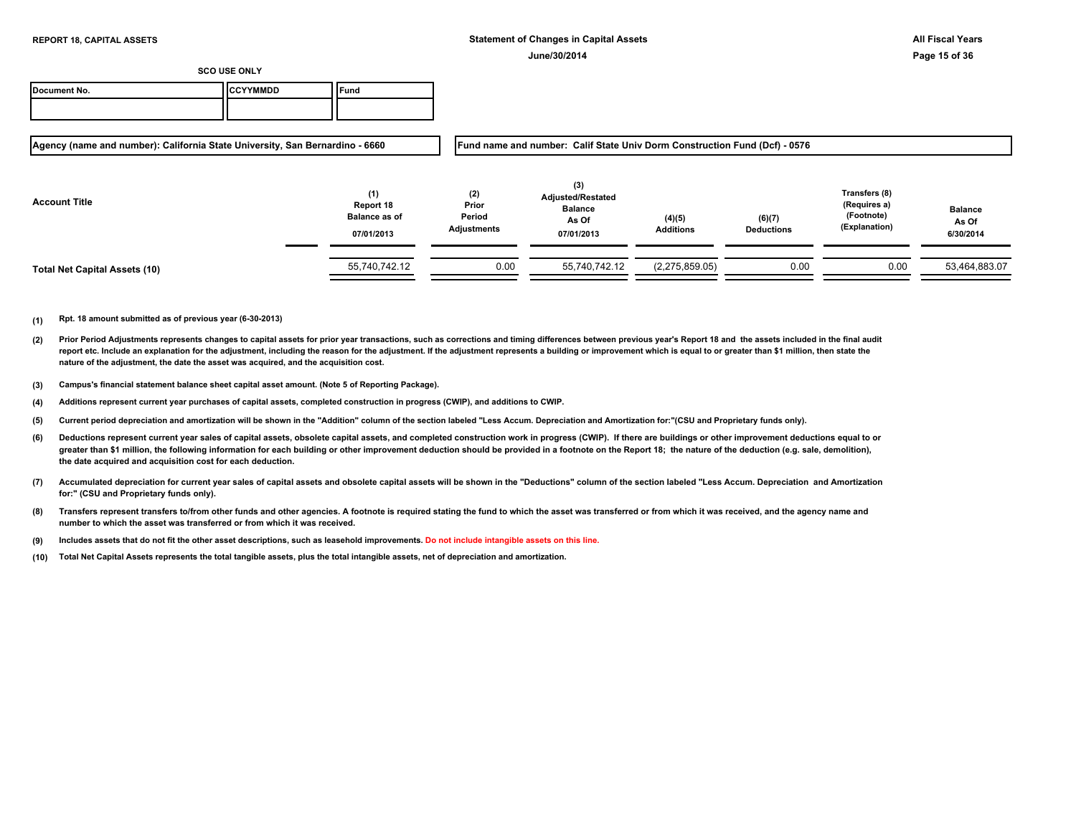| Document No. | <b>ICCYYMMDD</b> | $\epsilon$ und |
|--------------|------------------|----------------|
|              |                  |                |

**Agency (name and number): California State University, San Bernardino - 6660**

**Fund name and number: Calif State Univ Dorm Construction Fund (Dcf) - 0576**

| <b>Account Title</b>                 | (1)<br>Report 18<br><b>Balance as of</b><br>07/01/2013 | (2)<br>Prior<br>Period<br>Adjustments | (3)<br><b>Adjusted/Restated</b><br><b>Balance</b><br>As Of<br>07/01/2013 | (4)(5)<br><b>Additions</b> | (6)(7)<br><b>Deductions</b> | Transfers (8)<br>(Requires a)<br>(Footnote)<br>(Explanation) | <b>Balance</b><br>As Of<br>6/30/2014 |
|--------------------------------------|--------------------------------------------------------|---------------------------------------|--------------------------------------------------------------------------|----------------------------|-----------------------------|--------------------------------------------------------------|--------------------------------------|
| <b>Total Net Capital Assets (10)</b> | 55,740,742.12                                          | 0.00                                  | 55,740,742.12                                                            | (2,275,859.05)             | 0.00                        | 0.00                                                         | 53,464,883.07                        |

- **(2)** Prior Period Adjustments represents changes to capital assets for prior year transactions, such as corrections and timing differences between previous year's Report 18 and the assets included in the final audit report etc. Include an explanation for the adjustment, including the reason for the adjustment. If the adjustment represents a building or improvement which is equal to or greater than \$1 million, then state the **nature of the adjustment, the date the asset was acquired, and the acquisition cost.**
- **(3) Campus's financial statement balance sheet capital asset amount. (Note 5 of Reporting Package).**
- **(4) Additions represent current year purchases of capital assets, completed construction in progress (CWIP), and additions to CWIP.**
- **(5) Current period depreciation and amortization will be shown in the "Addition" column of the section labeled "Less Accum. Depreciation and Amortization for:"(CSU and Proprietary funds only).**
- **(6)** Deductions represent current year sales of capital assets, obsolete capital assets, and completed construction work in progress (CWIP). If there are buildings or other improvement deductions equal to or greater than \$1 million, the following information for each building or other improvement deduction should be provided in a footnote on the Report 18; the nature of the deduction (e.g. sale, demolition), **the date acquired and acquisition cost for each deduction.**
- **(7) Accumulated depreciation for current year sales of capital assets and obsolete capital assets will be shown in the "Deductions" column of the section labeled "Less Accum. Depreciation and Amortization for:" (CSU and Proprietary funds only).**
- **(8) Transfers represent transfers to/from other funds and other agencies. A footnote is required stating the fund to which the asset was transferred or from which it was received, and the agency name and number to which the asset was transferred or from which it was received.**
- **(9) Includes assets that do not fit the other asset descriptions, such as leasehold improvements. Do not include intangible assets on this line.**
- **(10) Total Net Capital Assets represents the total tangible assets, plus the total intangible assets, net of depreciation and amortization.**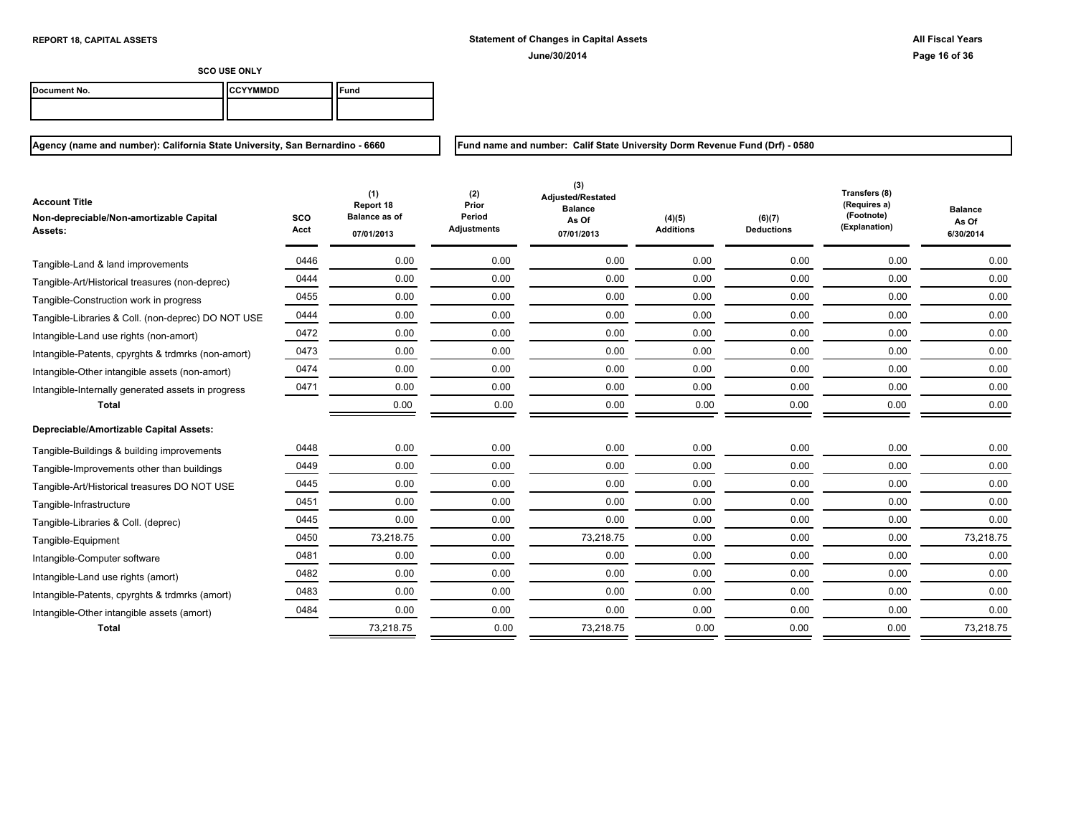| Document No. | <b>ICCYYMMDD</b> | "und |
|--------------|------------------|------|
|              |                  |      |

**Agency (name and number): California State University, San Bernardino - 6660**

**Fund name and number: Calif State University Dorm Revenue Fund (Drf) - 0580**

| <b>Account Title</b><br>Non-depreciable/Non-amortizable Capital<br><b>Assets:</b> | sco<br>Acct | (1)<br>Report 18<br><b>Balance as of</b><br>07/01/2013 | (2)<br>Prior<br>Period<br>Adjustments | (3)<br>Adjusted/Restated<br><b>Balance</b><br>As Of<br>07/01/2013 | (4)(5)<br><b>Additions</b> | (6)(7)<br><b>Deductions</b> | Transfers (8)<br>(Requires a)<br>(Footnote)<br>(Explanation) | <b>Balance</b><br>As Of<br>6/30/2014 |
|-----------------------------------------------------------------------------------|-------------|--------------------------------------------------------|---------------------------------------|-------------------------------------------------------------------|----------------------------|-----------------------------|--------------------------------------------------------------|--------------------------------------|
| Tangible-Land & land improvements                                                 | 0446        | 0.00                                                   | 0.00                                  | 0.00                                                              | 0.00                       | 0.00                        | 0.00                                                         | 0.00                                 |
| Tangible-Art/Historical treasures (non-deprec)                                    | 0444        | 0.00                                                   | 0.00                                  | 0.00                                                              | 0.00                       | 0.00                        | 0.00                                                         | 0.00                                 |
| Tangible-Construction work in progress                                            | 0455        | 0.00                                                   | 0.00                                  | 0.00                                                              | 0.00                       | 0.00                        | 0.00                                                         | 0.00                                 |
| Tangible-Libraries & Coll. (non-deprec) DO NOT USE                                | 0444        | 0.00                                                   | 0.00                                  | 0.00                                                              | 0.00                       | 0.00                        | 0.00                                                         | 0.00                                 |
| Intangible-Land use rights (non-amort)                                            | 0472        | 0.00                                                   | 0.00                                  | 0.00                                                              | 0.00                       | 0.00                        | 0.00                                                         | 0.00                                 |
| Intangible-Patents, cpyrghts & trdmrks (non-amort)                                | 0473        | 0.00                                                   | 0.00                                  | 0.00                                                              | 0.00                       | 0.00                        | 0.00                                                         | 0.00                                 |
| Intangible-Other intangible assets (non-amort)                                    | 0474        | 0.00                                                   | 0.00                                  | 0.00                                                              | 0.00                       | 0.00                        | 0.00                                                         | 0.00                                 |
| Intangible-Internally generated assets in progress                                | 0471        | 0.00                                                   | 0.00                                  | 0.00                                                              | 0.00                       | 0.00                        | 0.00                                                         | 0.00                                 |
| Total                                                                             |             | 0.00                                                   | 0.00                                  | 0.00                                                              | 0.00                       | 0.00                        | 0.00                                                         | 0.00                                 |
| Depreciable/Amortizable Capital Assets:                                           |             |                                                        |                                       |                                                                   |                            |                             |                                                              |                                      |
| Tangible-Buildings & building improvements                                        | 0448        | 0.00                                                   | 0.00                                  | 0.00                                                              | 0.00                       | 0.00                        | 0.00                                                         | 0.00                                 |
| Tangible-Improvements other than buildings                                        | 0449        | 0.00                                                   | 0.00                                  | 0.00                                                              | 0.00                       | 0.00                        | 0.00                                                         | 0.00                                 |
| Tangible-Art/Historical treasures DO NOT USE                                      | 0445        | 0.00                                                   | 0.00                                  | 0.00                                                              | 0.00                       | 0.00                        | 0.00                                                         | 0.00                                 |
| Tangible-Infrastructure                                                           | 0451        | 0.00                                                   | 0.00                                  | 0.00                                                              | 0.00                       | 0.00                        | 0.00                                                         | 0.00                                 |
| Tangible-Libraries & Coll. (deprec)                                               | 0445        | 0.00                                                   | 0.00                                  | 0.00                                                              | 0.00                       | 0.00                        | 0.00                                                         | 0.00                                 |
| Tangible-Equipment                                                                | 0450        | 73,218.75                                              | 0.00                                  | 73,218.75                                                         | 0.00                       | 0.00                        | 0.00                                                         | 73,218.75                            |
| Intangible-Computer software                                                      | 0481        | 0.00                                                   | 0.00                                  | 0.00                                                              | 0.00                       | 0.00                        | 0.00                                                         | 0.00                                 |
| Intangible-Land use rights (amort)                                                | 0482        | 0.00                                                   | 0.00                                  | 0.00                                                              | 0.00                       | 0.00                        | 0.00                                                         | 0.00                                 |
| Intangible-Patents, cpyrghts & trdmrks (amort)                                    | 0483        | 0.00                                                   | 0.00                                  | 0.00                                                              | 0.00                       | 0.00                        | 0.00                                                         | 0.00                                 |
| Intangible-Other intangible assets (amort)                                        | 0484        | 0.00                                                   | 0.00                                  | 0.00                                                              | 0.00                       | 0.00                        | 0.00                                                         | 0.00                                 |
| <b>Total</b>                                                                      |             | 73,218.75                                              | 0.00                                  | 73,218.75                                                         | 0.00                       | 0.00                        | 0.00                                                         | 73,218.75                            |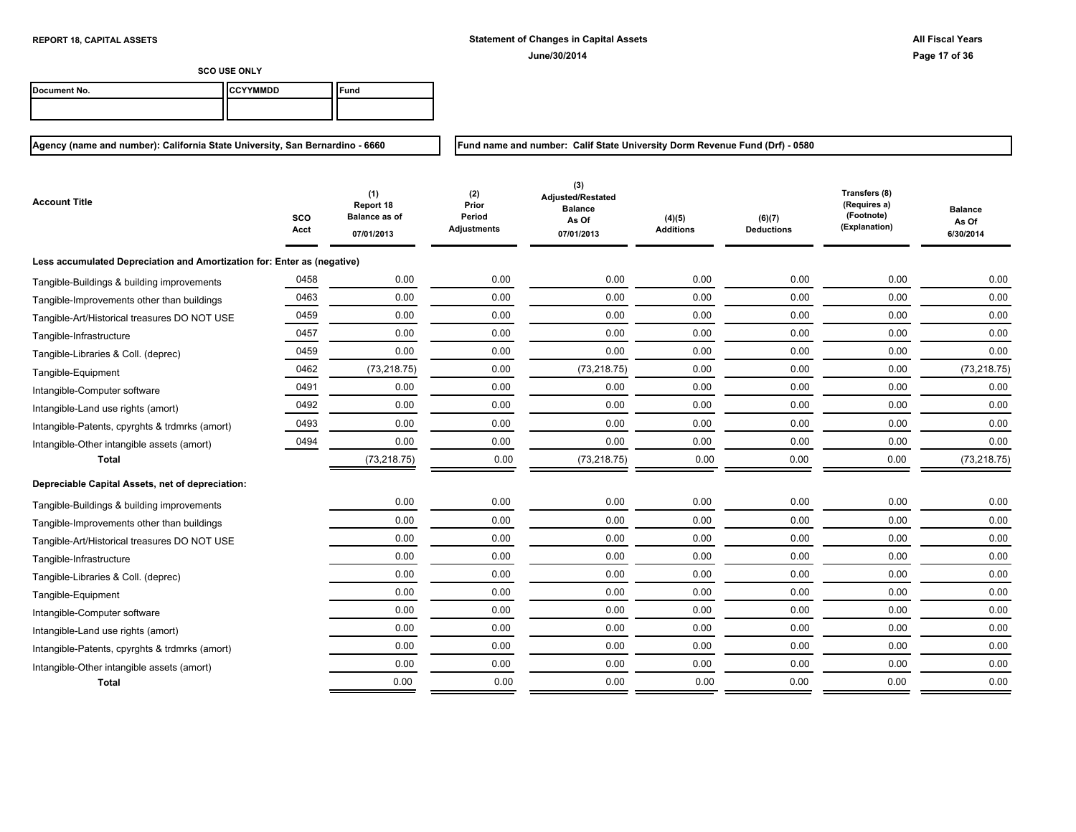**Fund name and number: Calif State University Dorm Revenue Fund (Drf) - 0580**

**SCO USE ONLY**

| Document No. | <b>ICCYYMMDD</b> | Fund |
|--------------|------------------|------|
|              |                  |      |

| Account Title                                                           | SCO<br>Acct | (1)<br>Report 18<br><b>Balance as of</b><br>07/01/2013 | (2)<br>Prior<br>Period<br><b>Adjustments</b> | (3)<br>Adjusted/Restated<br><b>Balance</b><br>As Of<br>07/01/2013 | (4)(5)<br><b>Additions</b> | (6)(7)<br><b>Deductions</b> | Transfers (8)<br>(Requires a)<br>(Footnote)<br>(Explanation) | <b>Balance</b><br>As Of<br>6/30/2014 |
|-------------------------------------------------------------------------|-------------|--------------------------------------------------------|----------------------------------------------|-------------------------------------------------------------------|----------------------------|-----------------------------|--------------------------------------------------------------|--------------------------------------|
| Less accumulated Depreciation and Amortization for: Enter as (negative) |             |                                                        |                                              |                                                                   |                            |                             |                                                              |                                      |
| Tangible-Buildings & building improvements                              | 0458        | 0.00                                                   | 0.00                                         | 0.00                                                              | 0.00                       | 0.00                        | 0.00                                                         | 0.00                                 |
| Tangible-Improvements other than buildings                              | 0463        | 0.00                                                   | 0.00                                         | 0.00                                                              | 0.00                       | 0.00                        | 0.00                                                         | 0.00                                 |
| Tangible-Art/Historical treasures DO NOT USE                            | 0459        | 0.00                                                   | 0.00                                         | 0.00                                                              | 0.00                       | 0.00                        | 0.00                                                         | 0.00                                 |
| Tangible-Infrastructure                                                 | 0457        | 0.00                                                   | 0.00                                         | 0.00                                                              | 0.00                       | 0.00                        | 0.00                                                         | 0.00                                 |
| Tangible-Libraries & Coll. (deprec)                                     | 0459        | 0.00                                                   | 0.00                                         | 0.00                                                              | 0.00                       | 0.00                        | 0.00                                                         | 0.00                                 |
| Tangible-Equipment                                                      | 0462        | (73, 218.75)                                           | 0.00                                         | (73, 218.75)                                                      | 0.00                       | 0.00                        | 0.00                                                         | (73, 218.75)                         |
| Intangible-Computer software                                            | 0491        | 0.00                                                   | 0.00                                         | 0.00                                                              | 0.00                       | 0.00                        | 0.00                                                         | 0.00                                 |
| Intangible-Land use rights (amort)                                      | 0492        | 0.00                                                   | 0.00                                         | 0.00                                                              | 0.00                       | 0.00                        | 0.00                                                         | 0.00                                 |
| Intangible-Patents, cpyrghts & trdmrks (amort)                          | 0493        | 0.00                                                   | 0.00                                         | 0.00                                                              | 0.00                       | 0.00                        | 0.00                                                         | 0.00                                 |
| Intangible-Other intangible assets (amort)                              | 0494        | 0.00                                                   | 0.00                                         | 0.00                                                              | 0.00                       | 0.00                        | 0.00                                                         | 0.00                                 |
| <b>Total</b>                                                            |             | (73, 218.75)                                           | 0.00                                         | (73, 218.75)                                                      | 0.00                       | 0.00                        | 0.00                                                         | (73, 218.75)                         |
| Depreciable Capital Assets, net of depreciation:                        |             |                                                        |                                              |                                                                   |                            |                             |                                                              |                                      |
| Tangible-Buildings & building improvements                              |             | 0.00                                                   | 0.00                                         | 0.00                                                              | 0.00                       | 0.00                        | 0.00                                                         | 0.00                                 |
| Tangible-Improvements other than buildings                              |             | 0.00                                                   | 0.00                                         | 0.00                                                              | 0.00                       | 0.00                        | 0.00                                                         | 0.00                                 |
| Tangible-Art/Historical treasures DO NOT USE                            |             | 0.00                                                   | 0.00                                         | 0.00                                                              | 0.00                       | 0.00                        | 0.00                                                         | 0.00                                 |
| Tangible-Infrastructure                                                 |             | 0.00                                                   | 0.00                                         | 0.00                                                              | 0.00                       | 0.00                        | 0.00                                                         | 0.00                                 |
| Tangible-Libraries & Coll. (deprec)                                     |             | 0.00                                                   | 0.00                                         | 0.00                                                              | 0.00                       | 0.00                        | 0.00                                                         | 0.00                                 |
| Tangible-Equipment                                                      |             | 0.00                                                   | 0.00                                         | 0.00                                                              | 0.00                       | 0.00                        | 0.00                                                         | 0.00                                 |
| Intangible-Computer software                                            |             | 0.00                                                   | 0.00                                         | 0.00                                                              | 0.00                       | 0.00                        | 0.00                                                         | 0.00                                 |
| Intangible-Land use rights (amort)                                      |             | 0.00                                                   | 0.00                                         | 0.00                                                              | 0.00                       | 0.00                        | 0.00                                                         | 0.00                                 |
| Intangible-Patents, cpyrghts & trdmrks (amort)                          |             | 0.00                                                   | 0.00                                         | 0.00                                                              | 0.00                       | 0.00                        | 0.00                                                         | 0.00                                 |
| Intangible-Other intangible assets (amort)                              |             | 0.00                                                   | 0.00                                         | 0.00                                                              | 0.00                       | 0.00                        | 0.00                                                         | 0.00                                 |
| <b>Total</b>                                                            |             | 0.00                                                   | 0.00                                         | 0.00                                                              | 0.00                       | 0.00                        | 0.00                                                         | 0.00                                 |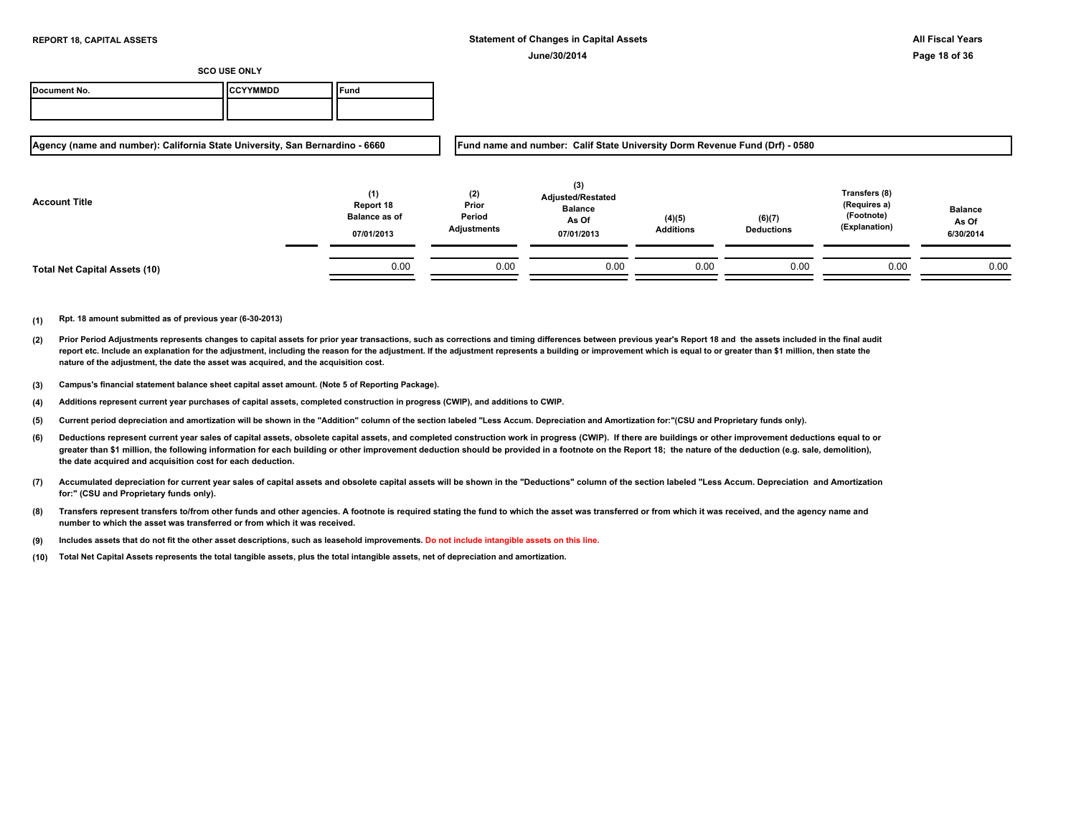| Document No. | ICCYYMMDD | Tuna |
|--------------|-----------|------|
|              |           |      |

**Agency (name and number): California State University, San Bernardino - 6660**

**Fund name and number: Calif State University Dorm Revenue Fund (Drf) - 0580**

| <b>Account Title</b>                 | (1)<br>Report 18<br><b>Balance as of</b><br>07/01/2013 | (2)<br>Prior<br>Period<br>Adjustments | (3)<br><b>Adjusted/Restated</b><br><b>Balance</b><br>As Of<br>07/01/2013 | (4)(5)<br><b>Additions</b> | (6)(7)<br><b>Deductions</b> | Transfers (8)<br>(Requires a)<br>(Footnote)<br>(Explanation) | <b>Balance</b><br>As Of<br>6/30/2014 |
|--------------------------------------|--------------------------------------------------------|---------------------------------------|--------------------------------------------------------------------------|----------------------------|-----------------------------|--------------------------------------------------------------|--------------------------------------|
| <b>Total Net Capital Assets (10)</b> | 0.00                                                   | 0.00                                  | 0.00                                                                     | 0.00                       | 0.00                        | 0.00                                                         | 0.00                                 |

- **(2)** Prior Period Adjustments represents changes to capital assets for prior year transactions, such as corrections and timing differences between previous year's Report 18 and the assets included in the final audit report etc. Include an explanation for the adjustment, including the reason for the adjustment. If the adjustment represents a building or improvement which is equal to or greater than \$1 million, then state the **nature of the adjustment, the date the asset was acquired, and the acquisition cost.**
- **(3) Campus's financial statement balance sheet capital asset amount. (Note 5 of Reporting Package).**
- **(4) Additions represent current year purchases of capital assets, completed construction in progress (CWIP), and additions to CWIP.**
- **(5) Current period depreciation and amortization will be shown in the "Addition" column of the section labeled "Less Accum. Depreciation and Amortization for:"(CSU and Proprietary funds only).**
- **(6)** Deductions represent current year sales of capital assets, obsolete capital assets, and completed construction work in progress (CWIP). If there are buildings or other improvement deductions equal to or greater than \$1 million, the following information for each building or other improvement deduction should be provided in a footnote on the Report 18; the nature of the deduction (e.g. sale, demolition), **the date acquired and acquisition cost for each deduction.**
- **(7) Accumulated depreciation for current year sales of capital assets and obsolete capital assets will be shown in the "Deductions" column of the section labeled "Less Accum. Depreciation and Amortization for:" (CSU and Proprietary funds only).**
- **(8) Transfers represent transfers to/from other funds and other agencies. A footnote is required stating the fund to which the asset was transferred or from which it was received, and the agency name and number to which the asset was transferred or from which it was received.**
- **(9) Includes assets that do not fit the other asset descriptions, such as leasehold improvements. Do not include intangible assets on this line.**
- **(10) Total Net Capital Assets represents the total tangible assets, plus the total intangible assets, net of depreciation and amortization.**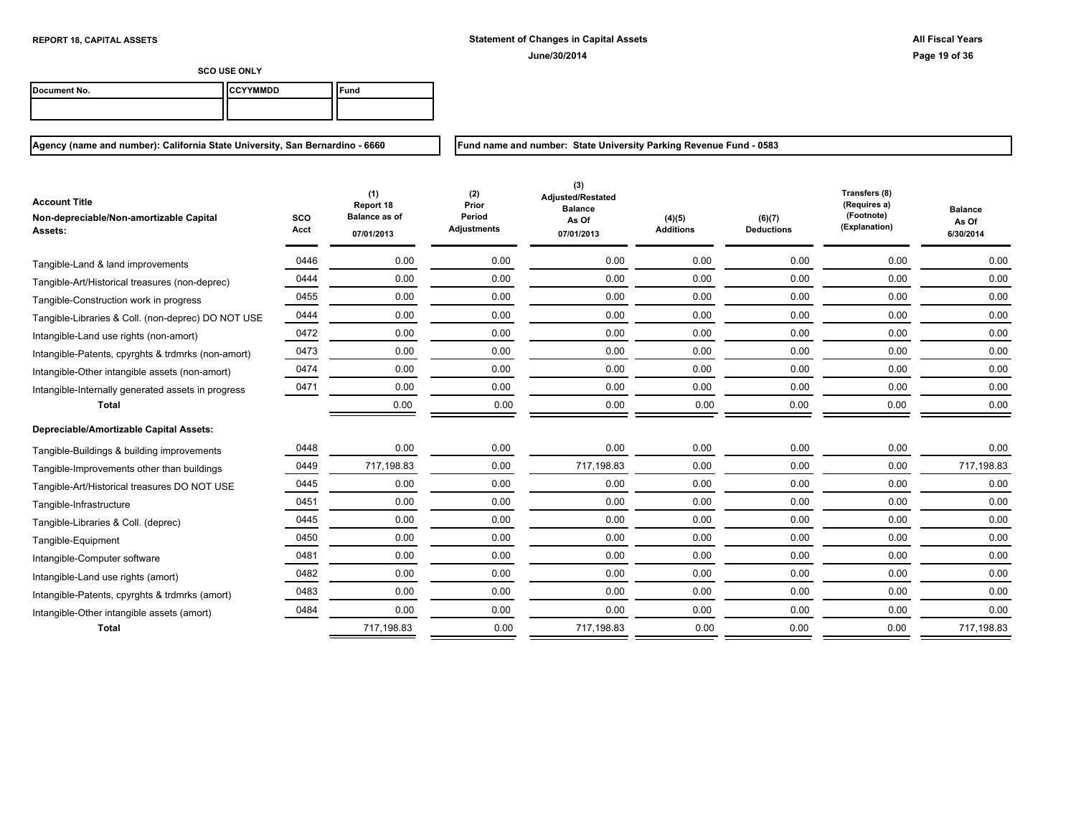Ξ

**SCO USE ONLY**

| Document No. | ICCYYMMDD | ` <sup>c</sup> una |
|--------------|-----------|--------------------|
|              |           |                    |

**Agency (name and number): California State University, San Bernardino - 6660**

**Fund name and number: State University Parking Revenue Fund - 0583**

| <b>Account Title</b><br>Non-depreciable/Non-amortizable Capital<br><b>Assets:</b> | sco<br>Acct | (1)<br>Report 18<br><b>Balance as of</b><br>07/01/2013 | (2)<br>Prior<br>Period<br><b>Adjustments</b> | (3)<br><b>Adjusted/Restated</b><br><b>Balance</b><br>As Of<br>07/01/2013 | (4)(5)<br><b>Additions</b> | (6)(7)<br><b>Deductions</b> | Transfers (8)<br>(Requires a)<br>(Footnote)<br>(Explanation) | <b>Balance</b><br>As Of<br>6/30/2014 |
|-----------------------------------------------------------------------------------|-------------|--------------------------------------------------------|----------------------------------------------|--------------------------------------------------------------------------|----------------------------|-----------------------------|--------------------------------------------------------------|--------------------------------------|
| Tangible-Land & land improvements                                                 | 0446        | 0.00                                                   | 0.00                                         | 0.00                                                                     | 0.00                       | 0.00                        | 0.00                                                         | 0.00                                 |
| Tangible-Art/Historical treasures (non-deprec)                                    | 0444        | 0.00                                                   | 0.00                                         | 0.00                                                                     | 0.00                       | 0.00                        | 0.00                                                         | 0.00                                 |
| Tangible-Construction work in progress                                            | 0455        | 0.00                                                   | 0.00                                         | 0.00                                                                     | 0.00                       | 0.00                        | 0.00                                                         | 0.00                                 |
| Tangible-Libraries & Coll. (non-deprec) DO NOT USE                                | 0444        | 0.00                                                   | 0.00                                         | 0.00                                                                     | 0.00                       | 0.00                        | 0.00                                                         | 0.00                                 |
| Intangible-Land use rights (non-amort)                                            | 0472        | 0.00                                                   | 0.00                                         | 0.00                                                                     | 0.00                       | 0.00                        | 0.00                                                         | 0.00                                 |
| Intangible-Patents, cpyrghts & trdmrks (non-amort)                                | 0473        | 0.00                                                   | 0.00                                         | 0.00                                                                     | 0.00                       | 0.00                        | 0.00                                                         | 0.00                                 |
| Intangible-Other intangible assets (non-amort)                                    | 0474        | 0.00                                                   | 0.00                                         | 0.00                                                                     | 0.00                       | 0.00                        | 0.00                                                         | 0.00                                 |
| Intangible-Internally generated assets in progress                                | 0471        | 0.00                                                   | 0.00                                         | 0.00                                                                     | 0.00                       | 0.00                        | 0.00                                                         | 0.00                                 |
| <b>Total</b>                                                                      |             | 0.00                                                   | 0.00                                         | 0.00                                                                     | 0.00                       | 0.00                        | 0.00                                                         | 0.00                                 |
| Depreciable/Amortizable Capital Assets:                                           |             |                                                        |                                              |                                                                          |                            |                             |                                                              |                                      |
| Tangible-Buildings & building improvements                                        | 0448        | 0.00                                                   | 0.00                                         | 0.00                                                                     | 0.00                       | 0.00                        | 0.00                                                         | 0.00                                 |
| Tangible-Improvements other than buildings                                        | 0449        | 717,198.83                                             | 0.00                                         | 717,198.83                                                               | 0.00                       | 0.00                        | 0.00                                                         | 717,198.83                           |
| Tangible-Art/Historical treasures DO NOT USE                                      | 0445        | 0.00                                                   | 0.00                                         | 0.00                                                                     | 0.00                       | 0.00                        | 0.00                                                         | 0.00                                 |
| Tangible-Infrastructure                                                           | 0451        | 0.00                                                   | 0.00                                         | 0.00                                                                     | 0.00                       | 0.00                        | 0.00                                                         | 0.00                                 |
| Tangible-Libraries & Coll. (deprec)                                               | 0445        | 0.00                                                   | 0.00                                         | 0.00                                                                     | 0.00                       | 0.00                        | 0.00                                                         | 0.00                                 |
| Tangible-Equipment                                                                | 0450        | 0.00                                                   | 0.00                                         | 0.00                                                                     | 0.00                       | 0.00                        | 0.00                                                         | 0.00                                 |
| Intangible-Computer software                                                      | 0481        | 0.00                                                   | 0.00                                         | 0.00                                                                     | 0.00                       | 0.00                        | 0.00                                                         | 0.00                                 |
| Intangible-Land use rights (amort)                                                | 0482        | 0.00                                                   | 0.00                                         | 0.00                                                                     | 0.00                       | 0.00                        | 0.00                                                         | 0.00                                 |
| Intangible-Patents, cpyrghts & trdmrks (amort)                                    | 0483        | 0.00                                                   | 0.00                                         | 0.00                                                                     | 0.00                       | 0.00                        | 0.00                                                         | 0.00                                 |
| Intangible-Other intangible assets (amort)                                        | 0484        | 0.00                                                   | 0.00                                         | 0.00                                                                     | 0.00                       | 0.00                        | 0.00                                                         | 0.00                                 |
| <b>Total</b>                                                                      |             | 717,198.83                                             | 0.00                                         | 717,198.83                                                               | 0.00                       | 0.00                        | 0.00                                                         | 717,198.83                           |

- 7

Ξ Ξ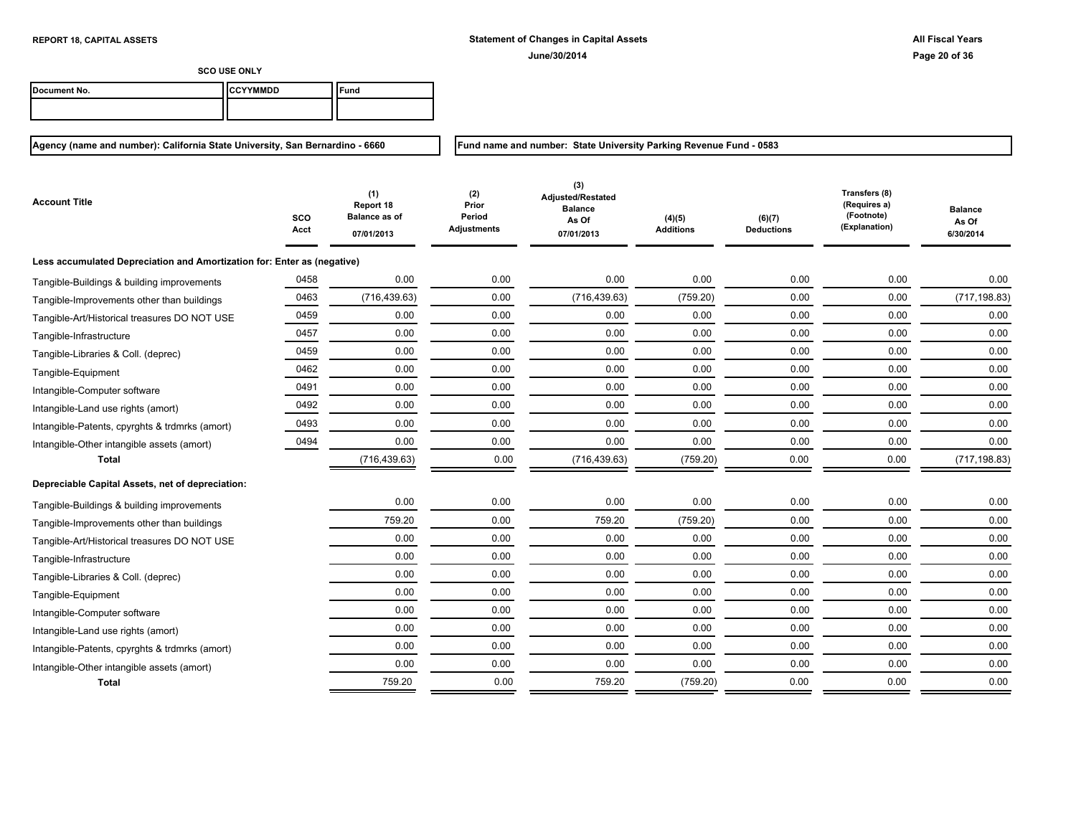**Fund name and number: State University Parking Revenue Fund - 0583**

**SCO USE ONLY**

| Document No. | <b>ICCYYMMDD</b> | ™und |
|--------------|------------------|------|
|              |                  |      |

| Account Title                                                           | SCO<br>Acct | (1)<br>Report 18<br><b>Balance as of</b><br>07/01/2013 | (2)<br>Prior<br>Period<br>Adjustments | (3)<br>Adjusted/Restated<br><b>Balance</b><br>As Of<br>07/01/2013 | (4)(5)<br><b>Additions</b> | (6)(7)<br><b>Deductions</b> | Transfers (8)<br>(Requires a)<br>(Footnote)<br>(Explanation) | <b>Balance</b><br>As Of<br>6/30/2014 |
|-------------------------------------------------------------------------|-------------|--------------------------------------------------------|---------------------------------------|-------------------------------------------------------------------|----------------------------|-----------------------------|--------------------------------------------------------------|--------------------------------------|
| Less accumulated Depreciation and Amortization for: Enter as (negative) |             |                                                        |                                       |                                                                   |                            |                             |                                                              |                                      |
| Tangible-Buildings & building improvements                              | 0458        | 0.00                                                   | 0.00                                  | 0.00                                                              | 0.00                       | 0.00                        | 0.00                                                         | 0.00                                 |
| Tangible-Improvements other than buildings                              | 0463        | (716, 439.63)                                          | 0.00                                  | (716, 439.63)                                                     | (759.20)                   | 0.00                        | 0.00                                                         | (717, 198.83)                        |
| Tangible-Art/Historical treasures DO NOT USE                            | 0459        | 0.00                                                   | 0.00                                  | 0.00                                                              | 0.00                       | 0.00                        | 0.00                                                         | 0.00                                 |
| Tangible-Infrastructure                                                 | 0457        | 0.00                                                   | 0.00                                  | 0.00                                                              | 0.00                       | 0.00                        | 0.00                                                         | 0.00                                 |
| Tangible-Libraries & Coll. (deprec)                                     | 0459        | 0.00                                                   | 0.00                                  | 0.00                                                              | 0.00                       | 0.00                        | 0.00                                                         | 0.00                                 |
| Tangible-Equipment                                                      | 0462        | 0.00                                                   | 0.00                                  | 0.00                                                              | 0.00                       | 0.00                        | 0.00                                                         | 0.00                                 |
| Intangible-Computer software                                            | 0491        | 0.00                                                   | 0.00                                  | 0.00                                                              | 0.00                       | 0.00                        | 0.00                                                         | 0.00                                 |
| Intangible-Land use rights (amort)                                      | 0492        | 0.00                                                   | 0.00                                  | 0.00                                                              | 0.00                       | 0.00                        | 0.00                                                         | 0.00                                 |
| Intangible-Patents, cpyrghts & trdmrks (amort)                          | 0493        | 0.00                                                   | 0.00                                  | 0.00                                                              | 0.00                       | 0.00                        | 0.00                                                         | 0.00                                 |
| Intangible-Other intangible assets (amort)                              | 0494        | 0.00                                                   | 0.00                                  | 0.00                                                              | 0.00                       | 0.00                        | 0.00                                                         | 0.00                                 |
| <b>Total</b>                                                            |             | (716, 439.63)                                          | 0.00                                  | (716, 439.63)                                                     | (759.20)                   | 0.00                        | 0.00                                                         | (717, 198.83)                        |
| Depreciable Capital Assets, net of depreciation:                        |             |                                                        |                                       |                                                                   |                            |                             |                                                              |                                      |
| Tangible-Buildings & building improvements                              |             | 0.00                                                   | 0.00                                  | 0.00                                                              | 0.00                       | 0.00                        | 0.00                                                         | 0.00                                 |
| Tangible-Improvements other than buildings                              |             | 759.20                                                 | 0.00                                  | 759.20                                                            | (759.20)                   | 0.00                        | 0.00                                                         | 0.00                                 |
| Tangible-Art/Historical treasures DO NOT USE                            |             | 0.00                                                   | 0.00                                  | 0.00                                                              | 0.00                       | 0.00                        | 0.00                                                         | 0.00                                 |
| Tangible-Infrastructure                                                 |             | 0.00                                                   | 0.00                                  | 0.00                                                              | 0.00                       | 0.00                        | 0.00                                                         | 0.00                                 |
| Tangible-Libraries & Coll. (deprec)                                     |             | 0.00                                                   | 0.00                                  | 0.00                                                              | 0.00                       | 0.00                        | 0.00                                                         | 0.00                                 |
| Tangible-Equipment                                                      |             | 0.00                                                   | 0.00                                  | 0.00                                                              | 0.00                       | 0.00                        | 0.00                                                         | 0.00                                 |
| Intangible-Computer software                                            |             | 0.00                                                   | 0.00                                  | 0.00                                                              | 0.00                       | 0.00                        | 0.00                                                         | 0.00                                 |
| Intangible-Land use rights (amort)                                      |             | 0.00                                                   | 0.00                                  | 0.00                                                              | 0.00                       | 0.00                        | 0.00                                                         | 0.00                                 |
| Intangible-Patents, cpyrghts & trdmrks (amort)                          |             | 0.00                                                   | 0.00                                  | 0.00                                                              | 0.00                       | 0.00                        | 0.00                                                         | 0.00                                 |
| Intangible-Other intangible assets (amort)                              |             | 0.00                                                   | 0.00                                  | 0.00                                                              | 0.00                       | 0.00                        | 0.00                                                         | 0.00                                 |
| Total                                                                   |             | 759.20                                                 | 0.00                                  | 759.20                                                            | (759.20)                   | 0.00                        | 0.00                                                         | 0.00                                 |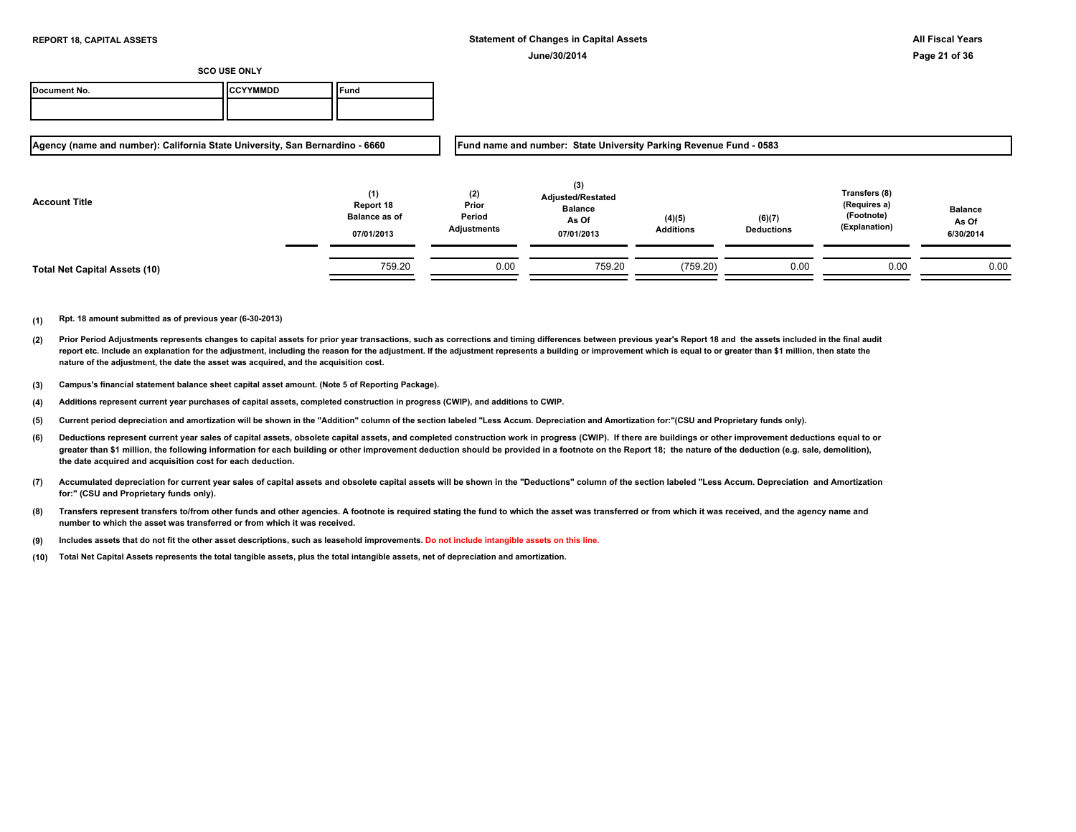| Document No. | <b>ICCYYMMDD</b> | Fund |
|--------------|------------------|------|
|              |                  |      |

**Agency (name and number): California State University, San Bernardino - 6660**

**Fund name and number: State University Parking Revenue Fund - 0583**

| <b>Account Title</b>          | (1)<br>Report 18<br><b>Balance as of</b><br>07/01/2013 | (2)<br>Prior<br>Period<br>Adjustments | (3)<br><b>Adjusted/Restated</b><br><b>Balance</b><br>As Of<br>07/01/2013 | (4)(5)<br><b>Additions</b> | (6)(7)<br><b>Deductions</b> | Transfers (8)<br>(Requires a)<br>(Footnote)<br>(Explanation) | <b>Balance</b><br>As Of<br>6/30/2014 |
|-------------------------------|--------------------------------------------------------|---------------------------------------|--------------------------------------------------------------------------|----------------------------|-----------------------------|--------------------------------------------------------------|--------------------------------------|
| Total Net Capital Assets (10) | 759.20                                                 | 0.00                                  | 759.20                                                                   | (759.20)                   | 0.00                        | 0.00                                                         | 0.00                                 |

- **(2)** Prior Period Adjustments represents changes to capital assets for prior year transactions, such as corrections and timing differences between previous year's Report 18 and the assets included in the final audit report etc. Include an explanation for the adjustment, including the reason for the adjustment. If the adjustment represents a building or improvement which is equal to or greater than \$1 million, then state the **nature of the adjustment, the date the asset was acquired, and the acquisition cost.**
- **(3) Campus's financial statement balance sheet capital asset amount. (Note 5 of Reporting Package).**
- **(4) Additions represent current year purchases of capital assets, completed construction in progress (CWIP), and additions to CWIP.**
- **(5) Current period depreciation and amortization will be shown in the "Addition" column of the section labeled "Less Accum. Depreciation and Amortization for:"(CSU and Proprietary funds only).**
- **(6)** Deductions represent current year sales of capital assets, obsolete capital assets, and completed construction work in progress (CWIP). If there are buildings or other improvement deductions equal to or greater than \$1 million, the following information for each building or other improvement deduction should be provided in a footnote on the Report 18; the nature of the deduction (e.g. sale, demolition), **the date acquired and acquisition cost for each deduction.**
- **(7) Accumulated depreciation for current year sales of capital assets and obsolete capital assets will be shown in the "Deductions" column of the section labeled "Less Accum. Depreciation and Amortization for:" (CSU and Proprietary funds only).**
- **(8) Transfers represent transfers to/from other funds and other agencies. A footnote is required stating the fund to which the asset was transferred or from which it was received, and the agency name and number to which the asset was transferred or from which it was received.**
- **(9) Includes assets that do not fit the other asset descriptions, such as leasehold improvements. Do not include intangible assets on this line.**
- **(10) Total Net Capital Assets represents the total tangible assets, plus the total intangible assets, net of depreciation and amortization.**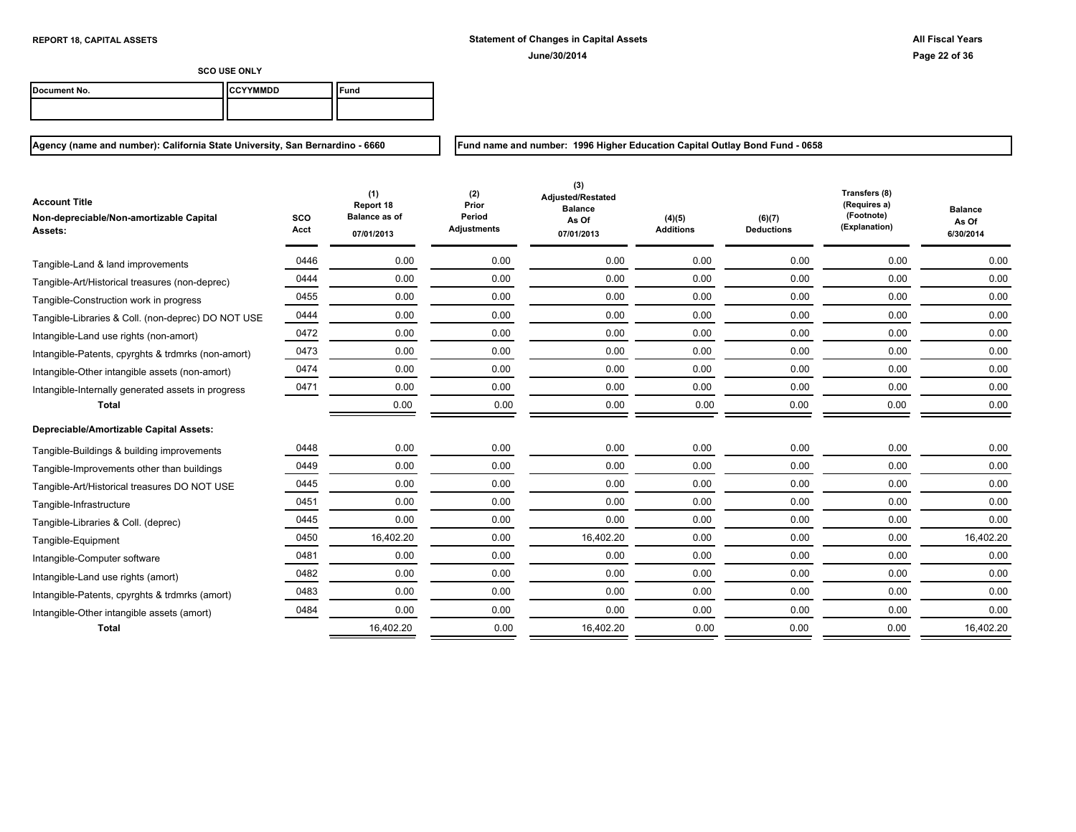| Document No. | ICCYYMMDD | ` <sup>c</sup> una |
|--------------|-----------|--------------------|
|              |           |                    |

**Agency (name and number): California State University, San Bernardino - 6660**

**Fund name and number: 1996 Higher Education Capital Outlay Bond Fund - 0658**

| <b>Account Title</b><br>Non-depreciable/Non-amortizable Capital<br>Assets: | <b>SCO</b><br>Acct | (1)<br>Report 18<br><b>Balance as of</b><br>07/01/2013 | (2)<br>Prior<br>Period<br><b>Adjustments</b> | (3)<br><b>Adjusted/Restated</b><br><b>Balance</b><br>As Of<br>07/01/2013 | (4)(5)<br><b>Additions</b> | (6)(7)<br><b>Deductions</b> | Transfers (8)<br>(Requires a)<br>(Footnote)<br>(Explanation) | <b>Balance</b><br>As Of<br>6/30/2014 |
|----------------------------------------------------------------------------|--------------------|--------------------------------------------------------|----------------------------------------------|--------------------------------------------------------------------------|----------------------------|-----------------------------|--------------------------------------------------------------|--------------------------------------|
| Tangible-Land & land improvements                                          | 0446               | 0.00                                                   | 0.00                                         | 0.00                                                                     | 0.00                       | 0.00                        | 0.00                                                         | 0.00                                 |
| Tangible-Art/Historical treasures (non-deprec)                             | 0444               | 0.00                                                   | 0.00                                         | 0.00                                                                     | 0.00                       | 0.00                        | 0.00                                                         | 0.00                                 |
| Tangible-Construction work in progress                                     | 0455               | 0.00                                                   | 0.00                                         | 0.00                                                                     | 0.00                       | 0.00                        | 0.00                                                         | 0.00                                 |
| Tangible-Libraries & Coll. (non-deprec) DO NOT USE                         | 0444               | 0.00                                                   | 0.00                                         | 0.00                                                                     | 0.00                       | 0.00                        | 0.00                                                         | 0.00                                 |
| Intangible-Land use rights (non-amort)                                     | 0472               | 0.00                                                   | 0.00                                         | 0.00                                                                     | 0.00                       | 0.00                        | 0.00                                                         | 0.00                                 |
| Intangible-Patents, cpyrghts & trdmrks (non-amort)                         | 0473               | 0.00                                                   | 0.00                                         | 0.00                                                                     | 0.00                       | 0.00                        | 0.00                                                         | 0.00                                 |
| Intangible-Other intangible assets (non-amort)                             | 0474               | 0.00                                                   | 0.00                                         | 0.00                                                                     | 0.00                       | 0.00                        | 0.00                                                         | 0.00                                 |
| Intangible-Internally generated assets in progress                         | 0471               | 0.00                                                   | 0.00                                         | 0.00                                                                     | 0.00                       | 0.00                        | 0.00                                                         | 0.00                                 |
| <b>Total</b>                                                               |                    | 0.00                                                   | 0.00                                         | 0.00                                                                     | 0.00                       | 0.00                        | 0.00                                                         | 0.00                                 |
| Depreciable/Amortizable Capital Assets:                                    |                    |                                                        |                                              |                                                                          |                            |                             |                                                              |                                      |
| Tangible-Buildings & building improvements                                 | 0448               | 0.00                                                   | 0.00                                         | 0.00                                                                     | 0.00                       | 0.00                        | 0.00                                                         | 0.00                                 |
| Tangible-Improvements other than buildings                                 | 0449               | 0.00                                                   | 0.00                                         | 0.00                                                                     | 0.00                       | 0.00                        | 0.00                                                         | 0.00                                 |
| Tangible-Art/Historical treasures DO NOT USE                               | 0445               | 0.00                                                   | 0.00                                         | 0.00                                                                     | 0.00                       | 0.00                        | 0.00                                                         | 0.00                                 |
| Tangible-Infrastructure                                                    | 0451               | 0.00                                                   | 0.00                                         | 0.00                                                                     | 0.00                       | 0.00                        | 0.00                                                         | 0.00                                 |
| Tangible-Libraries & Coll. (deprec)                                        | 0445               | 0.00                                                   | 0.00                                         | 0.00                                                                     | 0.00                       | 0.00                        | 0.00                                                         | 0.00                                 |
| Tangible-Equipment                                                         | 0450               | 16,402.20                                              | 0.00                                         | 16,402.20                                                                | 0.00                       | 0.00                        | 0.00                                                         | 16,402.20                            |
| Intangible-Computer software                                               | 0481               | 0.00                                                   | 0.00                                         | 0.00                                                                     | 0.00                       | 0.00                        | 0.00                                                         | 0.00                                 |
| Intangible-Land use rights (amort)                                         | 0482               | 0.00                                                   | 0.00                                         | 0.00                                                                     | 0.00                       | 0.00                        | 0.00                                                         | 0.00                                 |
| Intangible-Patents, cpyrghts & trdmrks (amort)                             | 0483               | 0.00                                                   | 0.00                                         | 0.00                                                                     | 0.00                       | 0.00                        | 0.00                                                         | 0.00                                 |
| Intangible-Other intangible assets (amort)                                 | 0484               | 0.00                                                   | 0.00                                         | 0.00                                                                     | 0.00                       | 0.00                        | 0.00                                                         | 0.00                                 |
| <b>Total</b>                                                               |                    | 16,402.20                                              | 0.00                                         | 16,402.20                                                                | 0.00                       | 0.00                        | 0.00                                                         | 16,402.20                            |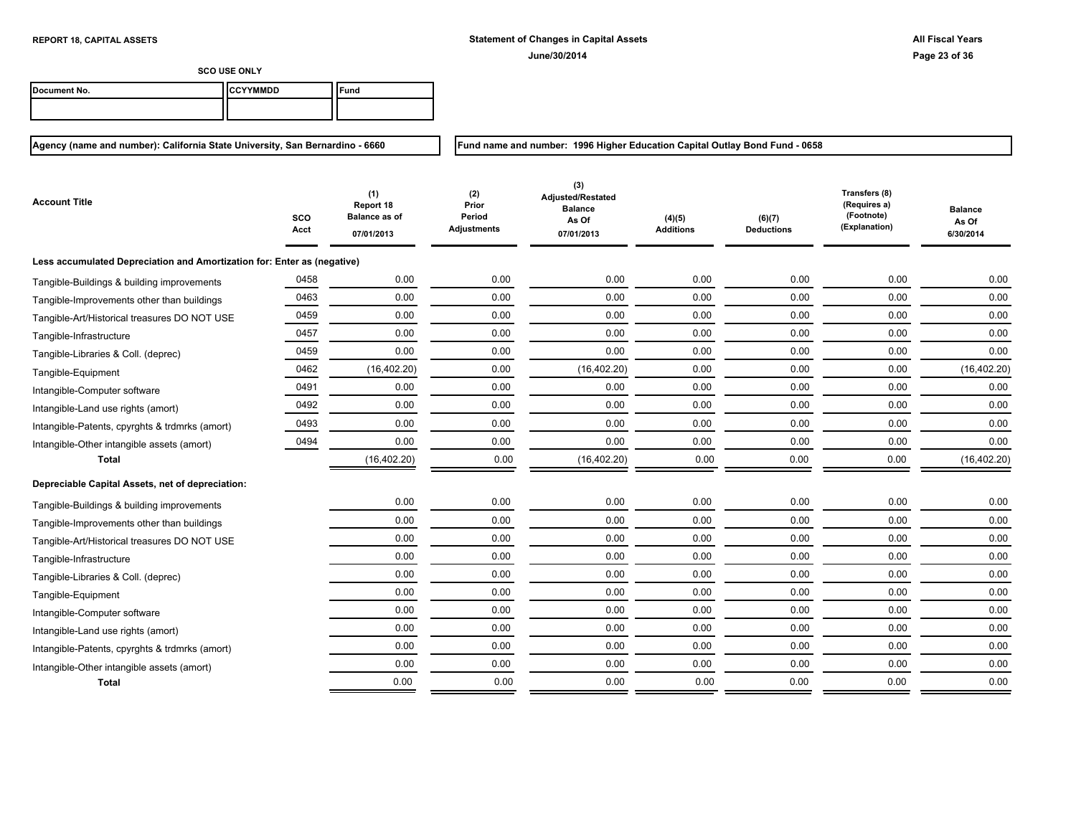**Fund name and number: 1996 Higher Education Capital Outlay Bond Fund - 0658**

**SCO USE ONLY**

| Document No. | <b>ICCYYMMDD</b> | ≂und |
|--------------|------------------|------|
|              |                  |      |

| Account Title                                                           | SCO<br>Acct | (1)<br>Report 18<br><b>Balance as of</b><br>07/01/2013 | (2)<br>Prior<br>Period<br><b>Adjustments</b> | (3)<br>Adjusted/Restated<br><b>Balance</b><br>As Of<br>07/01/2013 | (4)(5)<br><b>Additions</b> | (6)(7)<br><b>Deductions</b> | Transfers (8)<br>(Requires a)<br>(Footnote)<br>(Explanation) | <b>Balance</b><br>As Of<br>6/30/2014 |
|-------------------------------------------------------------------------|-------------|--------------------------------------------------------|----------------------------------------------|-------------------------------------------------------------------|----------------------------|-----------------------------|--------------------------------------------------------------|--------------------------------------|
| Less accumulated Depreciation and Amortization for: Enter as (negative) |             |                                                        |                                              |                                                                   |                            |                             |                                                              |                                      |
| Tangible-Buildings & building improvements                              | 0458        | 0.00                                                   | 0.00                                         | 0.00                                                              | 0.00                       | 0.00                        | 0.00                                                         | 0.00                                 |
| Tangible-Improvements other than buildings                              | 0463        | 0.00                                                   | 0.00                                         | 0.00                                                              | 0.00                       | 0.00                        | 0.00                                                         | 0.00                                 |
| Tangible-Art/Historical treasures DO NOT USE                            | 0459        | 0.00                                                   | 0.00                                         | 0.00                                                              | 0.00                       | 0.00                        | 0.00                                                         | 0.00                                 |
| Tangible-Infrastructure                                                 | 0457        | 0.00                                                   | 0.00                                         | 0.00                                                              | 0.00                       | 0.00                        | 0.00                                                         | 0.00                                 |
| Tangible-Libraries & Coll. (deprec)                                     | 0459        | 0.00                                                   | 0.00                                         | 0.00                                                              | 0.00                       | 0.00                        | 0.00                                                         | 0.00                                 |
| Tangible-Equipment                                                      | 0462        | (16, 402.20)                                           | 0.00                                         | (16, 402.20)                                                      | 0.00                       | 0.00                        | 0.00                                                         | (16, 402.20)                         |
| Intangible-Computer software                                            | 0491        | 0.00                                                   | 0.00                                         | 0.00                                                              | 0.00                       | 0.00                        | 0.00                                                         | 0.00                                 |
| Intangible-Land use rights (amort)                                      | 0492        | 0.00                                                   | 0.00                                         | 0.00                                                              | 0.00                       | 0.00                        | 0.00                                                         | 0.00                                 |
| Intangible-Patents, cpyrghts & trdmrks (amort)                          | 0493        | 0.00                                                   | 0.00                                         | 0.00                                                              | 0.00                       | 0.00                        | 0.00                                                         | 0.00                                 |
| Intangible-Other intangible assets (amort)                              | 0494        | 0.00                                                   | 0.00                                         | 0.00                                                              | 0.00                       | 0.00                        | 0.00                                                         | 0.00                                 |
| <b>Total</b>                                                            |             | (16, 402.20)                                           | 0.00                                         | (16, 402.20)                                                      | 0.00                       | 0.00                        | 0.00                                                         | (16, 402.20)                         |
| Depreciable Capital Assets, net of depreciation:                        |             |                                                        |                                              |                                                                   |                            |                             |                                                              |                                      |
| Tangible-Buildings & building improvements                              |             | 0.00                                                   | 0.00                                         | 0.00                                                              | 0.00                       | 0.00                        | 0.00                                                         | 0.00                                 |
| Tangible-Improvements other than buildings                              |             | 0.00                                                   | 0.00                                         | 0.00                                                              | 0.00                       | 0.00                        | 0.00                                                         | 0.00                                 |
| Tangible-Art/Historical treasures DO NOT USE                            |             | 0.00                                                   | 0.00                                         | 0.00                                                              | 0.00                       | 0.00                        | 0.00                                                         | 0.00                                 |
| Tangible-Infrastructure                                                 |             | 0.00                                                   | 0.00                                         | 0.00                                                              | 0.00                       | 0.00                        | 0.00                                                         | 0.00                                 |
| Tangible-Libraries & Coll. (deprec)                                     |             | 0.00                                                   | 0.00                                         | 0.00                                                              | 0.00                       | 0.00                        | 0.00                                                         | 0.00                                 |
| Tangible-Equipment                                                      |             | 0.00                                                   | 0.00                                         | 0.00                                                              | 0.00                       | 0.00                        | 0.00                                                         | 0.00                                 |
| Intangible-Computer software                                            |             | 0.00                                                   | 0.00                                         | 0.00                                                              | 0.00                       | 0.00                        | 0.00                                                         | 0.00                                 |
| Intangible-Land use rights (amort)                                      |             | 0.00                                                   | 0.00                                         | 0.00                                                              | 0.00                       | 0.00                        | 0.00                                                         | 0.00                                 |
| Intangible-Patents, cpyrghts & trdmrks (amort)                          |             | 0.00                                                   | 0.00                                         | 0.00                                                              | 0.00                       | 0.00                        | 0.00                                                         | 0.00                                 |
| Intangible-Other intangible assets (amort)                              |             | 0.00                                                   | 0.00                                         | 0.00                                                              | 0.00                       | 0.00                        | 0.00                                                         | 0.00                                 |
| <b>Total</b>                                                            |             | 0.00                                                   | 0.00                                         | 0.00                                                              | 0.00                       | 0.00                        | 0.00                                                         | 0.00                                 |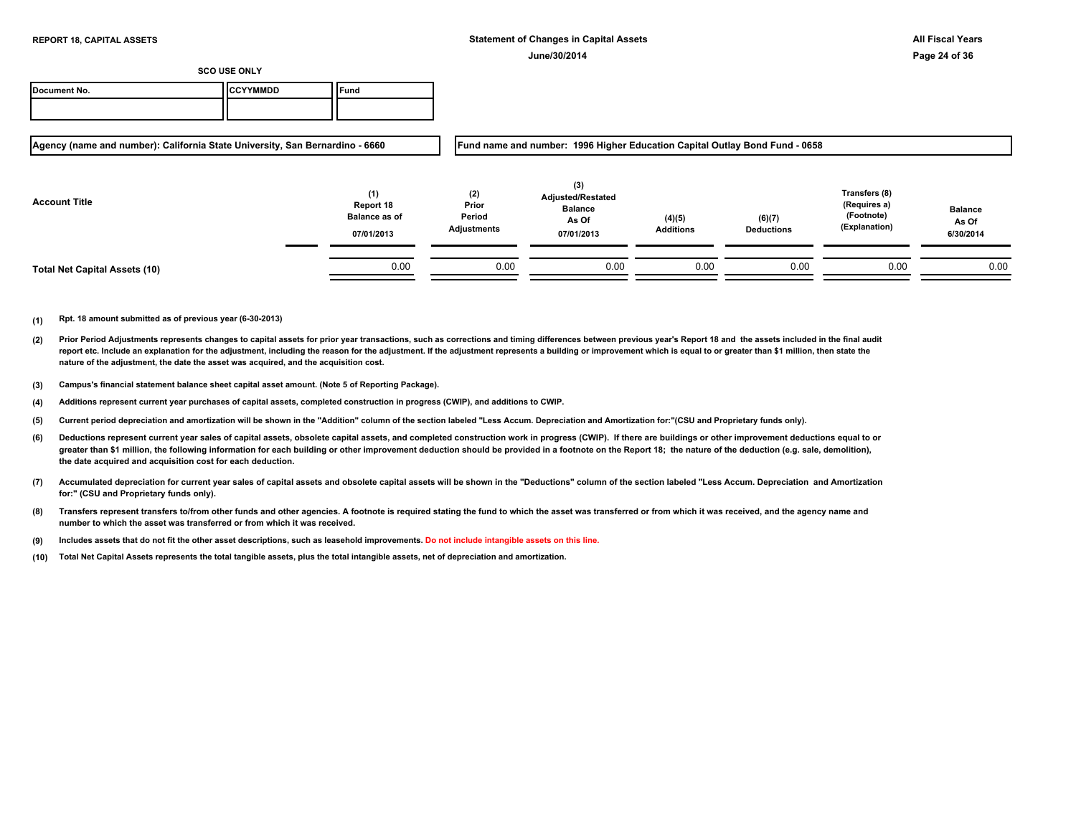| Document No. | ICCYYMMDD | Tuna |
|--------------|-----------|------|
|              |           |      |

**Agency (name and number): California State University, San Bernardino - 6660**

**Fund name and number: 1996 Higher Education Capital Outlay Bond Fund - 0658**

| <b>Account Title</b>                 | (1)<br>Report 18<br><b>Balance as of</b><br>07/01/2013 | (2)<br>Prior<br>Period<br>Adjustments | (3)<br><b>Adjusted/Restated</b><br><b>Balance</b><br>As Of<br>07/01/2013 | (4)(5)<br><b>Additions</b> | (6)(7)<br><b>Deductions</b> | Transfers (8)<br>(Requires a)<br>(Footnote)<br>(Explanation) | <b>Balance</b><br>As Of<br>6/30/2014 |
|--------------------------------------|--------------------------------------------------------|---------------------------------------|--------------------------------------------------------------------------|----------------------------|-----------------------------|--------------------------------------------------------------|--------------------------------------|
| <b>Total Net Capital Assets (10)</b> | 0.00                                                   | 0.00                                  | 0.00                                                                     | 0.00                       | 0.00                        | 0.00                                                         | 0.00                                 |

- **(2)** Prior Period Adjustments represents changes to capital assets for prior year transactions, such as corrections and timing differences between previous year's Report 18 and the assets included in the final audit report etc. Include an explanation for the adjustment, including the reason for the adjustment. If the adjustment represents a building or improvement which is equal to or greater than \$1 million, then state the **nature of the adjustment, the date the asset was acquired, and the acquisition cost.**
- **(3) Campus's financial statement balance sheet capital asset amount. (Note 5 of Reporting Package).**
- **(4) Additions represent current year purchases of capital assets, completed construction in progress (CWIP), and additions to CWIP.**
- **(5) Current period depreciation and amortization will be shown in the "Addition" column of the section labeled "Less Accum. Depreciation and Amortization for:"(CSU and Proprietary funds only).**
- **(6)** Deductions represent current year sales of capital assets, obsolete capital assets, and completed construction work in progress (CWIP). If there are buildings or other improvement deductions equal to or greater than \$1 million, the following information for each building or other improvement deduction should be provided in a footnote on the Report 18; the nature of the deduction (e.g. sale, demolition), **the date acquired and acquisition cost for each deduction.**
- **(7) Accumulated depreciation for current year sales of capital assets and obsolete capital assets will be shown in the "Deductions" column of the section labeled "Less Accum. Depreciation and Amortization for:" (CSU and Proprietary funds only).**
- **(8) Transfers represent transfers to/from other funds and other agencies. A footnote is required stating the fund to which the asset was transferred or from which it was received, and the agency name and number to which the asset was transferred or from which it was received.**
- **(9) Includes assets that do not fit the other asset descriptions, such as leasehold improvements. Do not include intangible assets on this line.**
- **(10) Total Net Capital Assets represents the total tangible assets, plus the total intangible assets, net of depreciation and amortization.**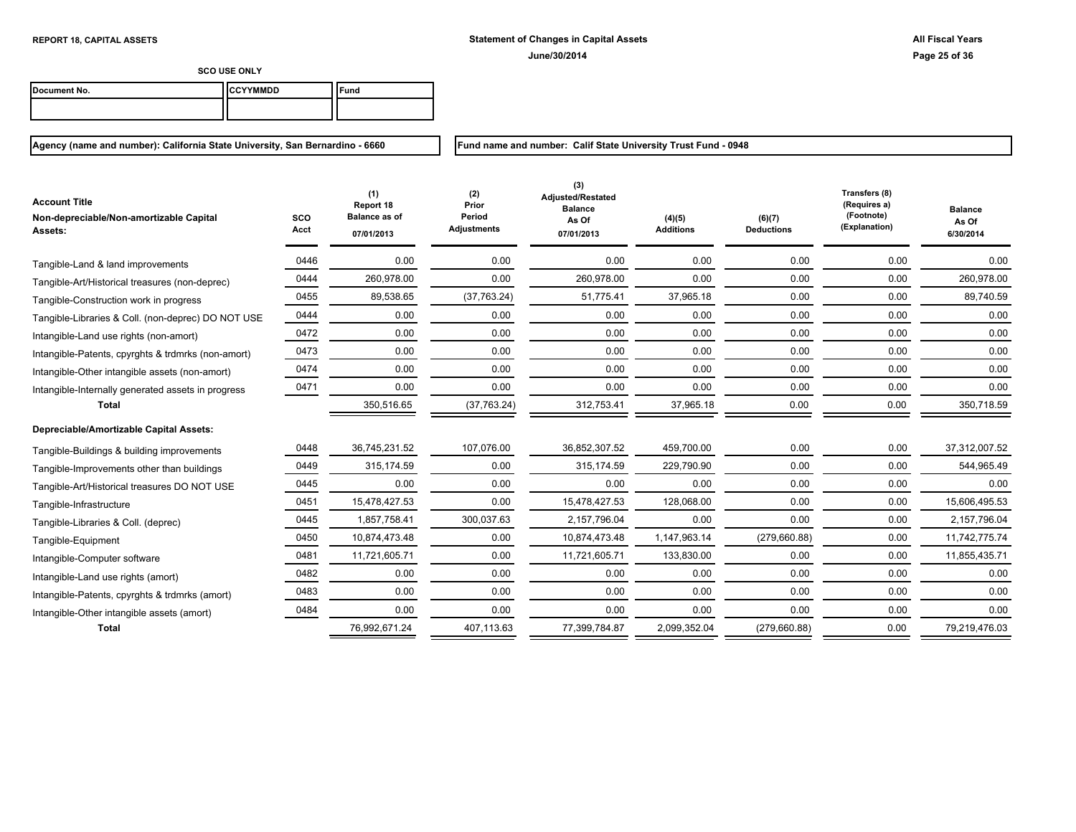| Document No. | ICCYYMMDD | ` <sup>c</sup> una |
|--------------|-----------|--------------------|
|              |           |                    |

**Agency (name and number): California State University, San Bernardino - 6660**

**Fund name and number: Calif State University Trust Fund - 0948**

| <b>Account Title</b><br>Non-depreciable/Non-amortizable Capital<br>Assets: | sco<br>Acct | (1)<br>Report 18<br><b>Balance as of</b><br>07/01/2013 | (2)<br>Prior<br>Period<br><b>Adjustments</b> | (3)<br>Adjusted/Restated<br><b>Balance</b><br>As Of<br>07/01/2013 | (4)(5)<br><b>Additions</b> | (6)(7)<br><b>Deductions</b> | Transfers (8)<br>(Requires a)<br>(Footnote)<br>(Explanation) | <b>Balance</b><br>As Of<br>6/30/2014 |
|----------------------------------------------------------------------------|-------------|--------------------------------------------------------|----------------------------------------------|-------------------------------------------------------------------|----------------------------|-----------------------------|--------------------------------------------------------------|--------------------------------------|
| Tangible-Land & land improvements                                          | 0446        | 0.00                                                   | 0.00                                         | 0.00                                                              | 0.00                       | 0.00                        | 0.00                                                         | 0.00                                 |
| Tangible-Art/Historical treasures (non-deprec)                             | 0444        | 260,978.00                                             | 0.00                                         | 260,978.00                                                        | 0.00                       | 0.00                        | 0.00                                                         | 260,978.00                           |
| Tangible-Construction work in progress                                     | 0455        | 89,538.65                                              | (37,763.24)                                  | 51,775.41                                                         | 37,965.18                  | 0.00                        | 0.00                                                         | 89,740.59                            |
| Tangible-Libraries & Coll. (non-deprec) DO NOT USE                         | 0444        | 0.00                                                   | 0.00                                         | 0.00                                                              | 0.00                       | 0.00                        | 0.00                                                         | 0.00                                 |
| Intangible-Land use rights (non-amort)                                     | 0472        | 0.00                                                   | 0.00                                         | 0.00                                                              | 0.00                       | 0.00                        | 0.00                                                         | 0.00                                 |
| Intangible-Patents, cpyrghts & trdmrks (non-amort)                         | 0473        | 0.00                                                   | 0.00                                         | 0.00                                                              | 0.00                       | 0.00                        | 0.00                                                         | 0.00                                 |
| Intangible-Other intangible assets (non-amort)                             | 0474        | 0.00                                                   | 0.00                                         | 0.00                                                              | 0.00                       | 0.00                        | 0.00                                                         | 0.00                                 |
| Intangible-Internally generated assets in progress                         | 0471        | 0.00                                                   | 0.00                                         | 0.00                                                              | 0.00                       | 0.00                        | 0.00                                                         | 0.00                                 |
| <b>Total</b>                                                               |             | 350,516.65                                             | (37,763.24)                                  | 312,753.41                                                        | 37,965.18                  | 0.00                        | 0.00                                                         | 350,718.59                           |
| Depreciable/Amortizable Capital Assets:                                    |             |                                                        |                                              |                                                                   |                            |                             |                                                              |                                      |
| Tangible-Buildings & building improvements                                 | 0448        | 36,745,231.52                                          | 107,076.00                                   | 36,852,307.52                                                     | 459,700.00                 | 0.00                        | 0.00                                                         | 37,312,007.52                        |
| Tangible-Improvements other than buildings                                 | 0449        | 315.174.59                                             | 0.00                                         | 315.174.59                                                        | 229.790.90                 | 0.00                        | 0.00                                                         | 544.965.49                           |
| Tangible-Art/Historical treasures DO NOT USE                               | 0445        | 0.00                                                   | 0.00                                         | 0.00                                                              | 0.00                       | 0.00                        | 0.00                                                         | 0.00                                 |
| Tangible-Infrastructure                                                    | 0451        | 15.478.427.53                                          | 0.00                                         | 15,478,427.53                                                     | 128,068.00                 | 0.00                        | 0.00                                                         | 15,606,495.53                        |
| Tangible-Libraries & Coll. (deprec)                                        | 0445        | 1.857.758.41                                           | 300,037.63                                   | 2.157.796.04                                                      | 0.00                       | 0.00                        | 0.00                                                         | 2.157.796.04                         |
| Tangible-Equipment                                                         | 0450        | 10,874,473.48                                          | 0.00                                         | 10,874,473.48                                                     | 1,147,963.14               | (279,660.88)                | 0.00                                                         | 11,742,775.74                        |
| Intangible-Computer software                                               | 0481        | 11,721,605.71                                          | 0.00                                         | 11,721,605.71                                                     | 133,830.00                 | 0.00                        | 0.00                                                         | 11,855,435.71                        |
| Intangible-Land use rights (amort)                                         | 0482        | 0.00                                                   | 0.00                                         | 0.00                                                              | 0.00                       | 0.00                        | 0.00                                                         | 0.00                                 |
| Intangible-Patents, cpyrghts & trdmrks (amort)                             | 0483        | 0.00                                                   | 0.00                                         | 0.00                                                              | 0.00                       | 0.00                        | 0.00                                                         | 0.00                                 |
| Intangible-Other intangible assets (amort)                                 | 0484        | 0.00                                                   | 0.00                                         | 0.00                                                              | 0.00                       | 0.00                        | 0.00                                                         | 0.00                                 |
| <b>Total</b>                                                               |             | 76,992,671.24                                          | 407,113.63                                   | 77,399,784.87                                                     | 2,099,352.04               | (279, 660.88)               | 0.00                                                         | 79,219,476.03                        |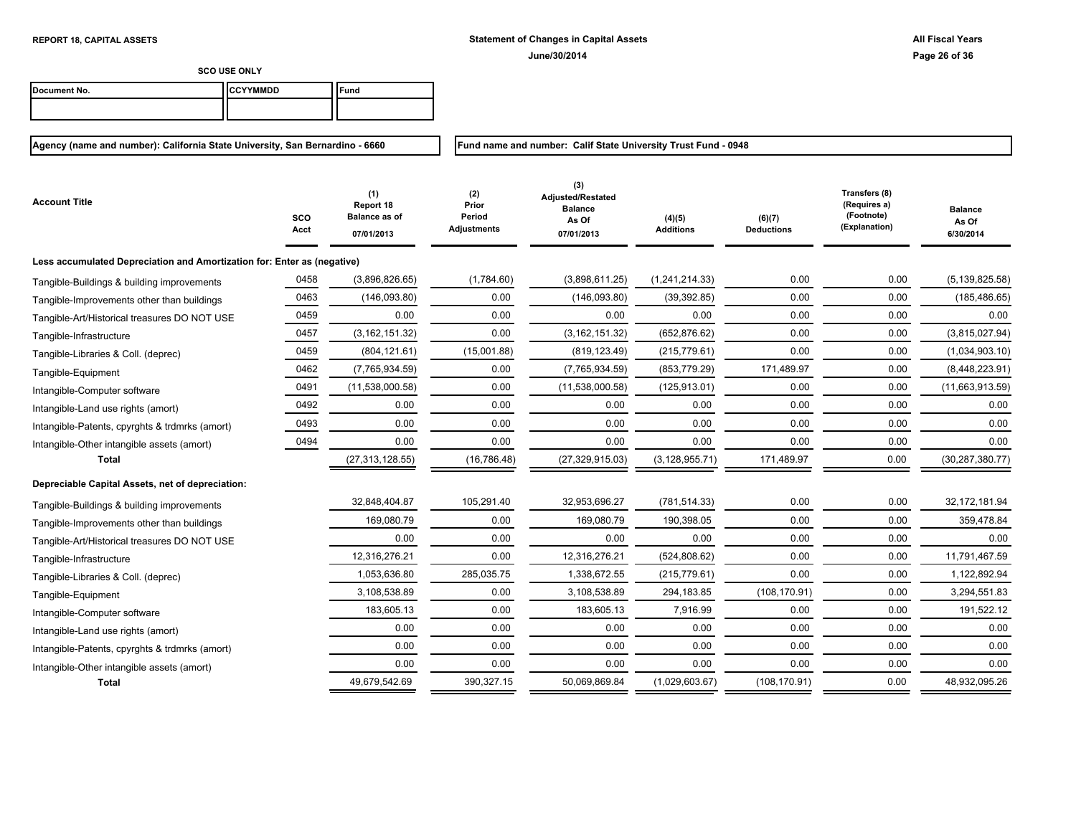**Fund name and number: Calif State University Trust Fund - 0948**

**SCO USE ONLY**

| Document No. | <b>ICCYYMMDD</b> | Fund |
|--------------|------------------|------|
|              |                  |      |

| <b>Account Title</b>                                                    | sco<br>Acct | (1)<br>Report 18<br><b>Balance as of</b><br>07/01/2013 | (2)<br>Prior<br>Period<br><b>Adjustments</b> | (3)<br>Adjusted/Restated<br><b>Balance</b><br>As Of<br>07/01/2013 | (4)(5)<br><b>Additions</b> | (6)(7)<br><b>Deductions</b> | Transfers (8)<br>(Requires a)<br>(Footnote)<br>(Explanation) | <b>Balance</b><br>As Of<br>6/30/2014 |
|-------------------------------------------------------------------------|-------------|--------------------------------------------------------|----------------------------------------------|-------------------------------------------------------------------|----------------------------|-----------------------------|--------------------------------------------------------------|--------------------------------------|
| Less accumulated Depreciation and Amortization for: Enter as (negative) |             |                                                        |                                              |                                                                   |                            |                             |                                                              |                                      |
| Tangible-Buildings & building improvements                              | 0458        | (3,896,826.65)                                         | (1,784.60)                                   | (3,898,611.25)                                                    | (1,241,214.33)             | 0.00                        | 0.00                                                         | (5, 139, 825.58)                     |
| Tangible-Improvements other than buildings                              | 0463        | (146,093.80)                                           | 0.00                                         | (146,093.80)                                                      | (39, 392.85)               | 0.00                        | 0.00                                                         | (185, 486.65)                        |
| Tangible-Art/Historical treasures DO NOT USE                            | 0459        | 0.00                                                   | 0.00                                         | 0.00                                                              | 0.00                       | 0.00                        | 0.00                                                         | 0.00                                 |
| Tangible-Infrastructure                                                 | 0457        | (3, 162, 151.32)                                       | 0.00                                         | (3, 162, 151.32)                                                  | (652, 876.62)              | 0.00                        | 0.00                                                         | (3,815,027.94)                       |
| Tangible-Libraries & Coll. (deprec)                                     | 0459        | (804, 121.61)                                          | (15,001.88)                                  | (819, 123.49)                                                     | (215, 779.61)              | 0.00                        | 0.00                                                         | (1,034,903.10)                       |
| Tangible-Equipment                                                      | 0462        | (7,765,934.59)                                         | 0.00                                         | (7,765,934.59)                                                    | (853, 779.29)              | 171,489.97                  | 0.00                                                         | (8,448,223.91)                       |
| Intangible-Computer software                                            | 0491        | (11,538,000.58)                                        | 0.00                                         | (11,538,000.58)                                                   | (125, 913.01)              | 0.00                        | 0.00                                                         | (11,663,913.59)                      |
| Intangible-Land use rights (amort)                                      | 0492        | 0.00                                                   | 0.00                                         | 0.00                                                              | 0.00                       | 0.00                        | 0.00                                                         | 0.00                                 |
| Intangible-Patents, cpyrghts & trdmrks (amort)                          | 0493        | 0.00                                                   | 0.00                                         | 0.00                                                              | 0.00                       | 0.00                        | 0.00                                                         | 0.00                                 |
| Intangible-Other intangible assets (amort)                              | 0494        | 0.00                                                   | 0.00                                         | 0.00                                                              | 0.00                       | 0.00                        | 0.00                                                         | 0.00                                 |
| <b>Total</b>                                                            |             | (27, 313, 128.55)                                      | (16, 786.48)                                 | (27, 329, 915.03)                                                 | (3, 128, 955.71)           | 171,489.97                  | 0.00                                                         | (30, 287, 380.77)                    |
| Depreciable Capital Assets, net of depreciation:                        |             |                                                        |                                              |                                                                   |                            |                             |                                                              |                                      |
| Tangible-Buildings & building improvements                              |             | 32,848,404.87                                          | 105,291.40                                   | 32,953,696.27                                                     | (781, 514.33)              | 0.00                        | 0.00                                                         | 32, 172, 181.94                      |
| Tangible-Improvements other than buildings                              |             | 169,080.79                                             | 0.00                                         | 169,080.79                                                        | 190,398.05                 | 0.00                        | 0.00                                                         | 359,478.84                           |
| Tangible-Art/Historical treasures DO NOT USE                            |             | 0.00                                                   | 0.00                                         | 0.00                                                              | 0.00                       | 0.00                        | 0.00                                                         | 0.00                                 |
| Tangible-Infrastructure                                                 |             | 12,316,276.21                                          | 0.00                                         | 12,316,276.21                                                     | (524, 808.62)              | 0.00                        | 0.00                                                         | 11,791,467.59                        |
| Tangible-Libraries & Coll. (deprec)                                     |             | 1,053,636.80                                           | 285,035.75                                   | 1,338,672.55                                                      | (215, 779.61)              | 0.00                        | 0.00                                                         | 1,122,892.94                         |
| Tangible-Equipment                                                      |             | 3,108,538.89                                           | 0.00                                         | 3,108,538.89                                                      | 294,183.85                 | (108, 170.91)               | 0.00                                                         | 3,294,551.83                         |
| Intangible-Computer software                                            |             | 183,605.13                                             | 0.00                                         | 183,605.13                                                        | 7,916.99                   | 0.00                        | 0.00                                                         | 191,522.12                           |
| Intangible-Land use rights (amort)                                      |             | 0.00                                                   | 0.00                                         | 0.00                                                              | 0.00                       | 0.00                        | 0.00                                                         | 0.00                                 |
| Intangible-Patents, cpyrghts & trdmrks (amort)                          |             | 0.00                                                   | 0.00                                         | 0.00                                                              | 0.00                       | 0.00                        | 0.00                                                         | 0.00                                 |
| Intangible-Other intangible assets (amort)                              |             | 0.00                                                   | 0.00                                         | 0.00                                                              | 0.00                       | 0.00                        | 0.00                                                         | 0.00                                 |
| <b>Total</b>                                                            |             | 49,679,542.69                                          | 390,327.15                                   | 50,069,869.84                                                     | (1,029,603.67)             | (108, 170.91)               | 0.00                                                         | 48,932,095.26                        |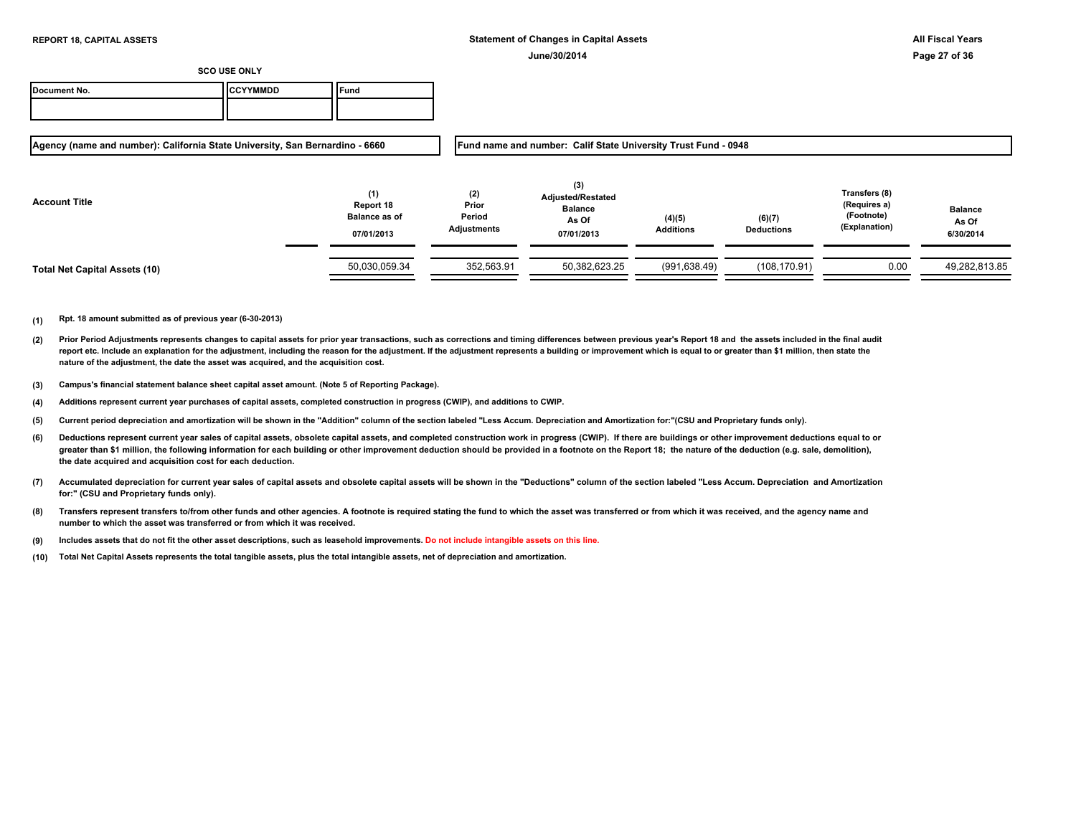| Document No. | <b>ICCYYMMDD</b> | Fund |
|--------------|------------------|------|
|              |                  |      |

**Agency (name and number): California State University, San Bernardino - 6660**

**Fund name and number: Calif State University Trust Fund - 0948**

| <b>Account Title</b>          | (1)<br>Report 18<br><b>Balance as of</b><br>07/01/2013 | (2)<br>Prior<br>Period<br>Adjustments | (3)<br><b>Adjusted/Restated</b><br><b>Balance</b><br>As Of<br>07/01/2013 | (4)(5)<br><b>Additions</b> | (6)(7)<br><b>Deductions</b> | Transfers (8)<br>(Requires a)<br>(Footnote)<br>(Explanation) | <b>Balance</b><br>As Of<br>6/30/2014 |
|-------------------------------|--------------------------------------------------------|---------------------------------------|--------------------------------------------------------------------------|----------------------------|-----------------------------|--------------------------------------------------------------|--------------------------------------|
| Total Net Capital Assets (10) | 50,030,059.34                                          | 352,563.91                            | 50,382,623.25                                                            | (991, 638.49)              | (108, 170.91)               | 0.00                                                         | 49,282,813.85                        |

- **(2)** Prior Period Adjustments represents changes to capital assets for prior year transactions, such as corrections and timing differences between previous year's Report 18 and the assets included in the final audit report etc. Include an explanation for the adjustment, including the reason for the adjustment. If the adjustment represents a building or improvement which is equal to or greater than \$1 million, then state the **nature of the adjustment, the date the asset was acquired, and the acquisition cost.**
- **(3) Campus's financial statement balance sheet capital asset amount. (Note 5 of Reporting Package).**
- **(4) Additions represent current year purchases of capital assets, completed construction in progress (CWIP), and additions to CWIP.**
- **(5) Current period depreciation and amortization will be shown in the "Addition" column of the section labeled "Less Accum. Depreciation and Amortization for:"(CSU and Proprietary funds only).**
- **(6)** Deductions represent current year sales of capital assets, obsolete capital assets, and completed construction work in progress (CWIP). If there are buildings or other improvement deductions equal to or greater than \$1 million, the following information for each building or other improvement deduction should be provided in a footnote on the Report 18; the nature of the deduction (e.g. sale, demolition), **the date acquired and acquisition cost for each deduction.**
- **(7) Accumulated depreciation for current year sales of capital assets and obsolete capital assets will be shown in the "Deductions" column of the section labeled "Less Accum. Depreciation and Amortization for:" (CSU and Proprietary funds only).**
- **(8) Transfers represent transfers to/from other funds and other agencies. A footnote is required stating the fund to which the asset was transferred or from which it was received, and the agency name and number to which the asset was transferred or from which it was received.**
- **(9) Includes assets that do not fit the other asset descriptions, such as leasehold improvements. Do not include intangible assets on this line.**
- **(10) Total Net Capital Assets represents the total tangible assets, plus the total intangible assets, net of depreciation and amortization.**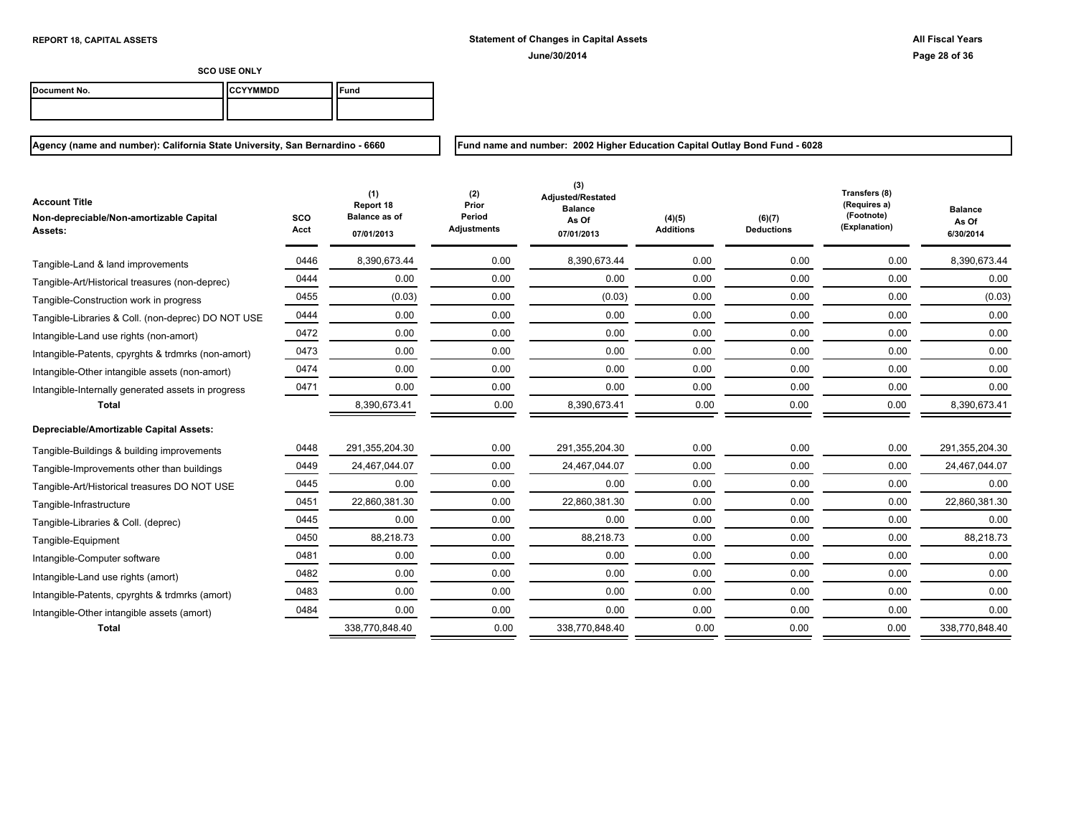| Document No. | ICCYYMMDD | ` <sup>c</sup> una |
|--------------|-----------|--------------------|
|              |           |                    |

**Agency (name and number): California State University, San Bernardino - 6660**

**Fund name and number: 2002 Higher Education Capital Outlay Bond Fund - 6028**

| <b>Account Title</b><br>Non-depreciable/Non-amortizable Capital<br>Assets: | <b>SCO</b><br>Acct | (1)<br>Report 18<br>Balance as of<br>07/01/2013 | (2)<br>Prior<br>Period<br>Adjustments | (3)<br><b>Adiusted/Restated</b><br><b>Balance</b><br>As Of<br>07/01/2013 | (4)(5)<br><b>Additions</b> | (6)(7)<br><b>Deductions</b> | Transfers (8)<br>(Requires a)<br>(Footnote)<br>(Explanation) | <b>Balance</b><br>As Of<br>6/30/2014 |
|----------------------------------------------------------------------------|--------------------|-------------------------------------------------|---------------------------------------|--------------------------------------------------------------------------|----------------------------|-----------------------------|--------------------------------------------------------------|--------------------------------------|
| Tangible-Land & land improvements                                          | 0446               | 8,390,673.44                                    | 0.00                                  | 8,390,673.44                                                             | 0.00                       | 0.00                        | 0.00                                                         | 8.390.673.44                         |
| Tangible-Art/Historical treasures (non-deprec)                             | 0444               | 0.00                                            | 0.00                                  | 0.00                                                                     | 0.00                       | 0.00                        | 0.00                                                         | 0.00                                 |
| Tangible-Construction work in progress                                     | 0455               | (0.03)                                          | 0.00                                  | (0.03)                                                                   | 0.00                       | 0.00                        | 0.00                                                         | (0.03)                               |
| Tangible-Libraries & Coll. (non-deprec) DO NOT USE                         | 0444               | 0.00                                            | 0.00                                  | 0.00                                                                     | 0.00                       | 0.00                        | 0.00                                                         | 0.00                                 |
| Intangible-Land use rights (non-amort)                                     | 0472               | 0.00                                            | 0.00                                  | 0.00                                                                     | 0.00                       | 0.00                        | 0.00                                                         | 0.00                                 |
| Intangible-Patents, cpyrghts & trdmrks (non-amort)                         | 0473               | 0.00                                            | 0.00                                  | 0.00                                                                     | 0.00                       | 0.00                        | 0.00                                                         | 0.00                                 |
| Intangible-Other intangible assets (non-amort)                             | 0474               | 0.00                                            | 0.00                                  | 0.00                                                                     | 0.00                       | 0.00                        | 0.00                                                         | 0.00                                 |
| Intangible-Internally generated assets in progress                         | 0471               | 0.00                                            | 0.00                                  | 0.00                                                                     | 0.00                       | 0.00                        | 0.00                                                         | 0.00                                 |
| <b>Total</b>                                                               |                    | 8,390,673.41                                    | 0.00                                  | 8,390,673.41                                                             | 0.00                       | 0.00                        | 0.00                                                         | 8,390,673.41                         |
| Depreciable/Amortizable Capital Assets:                                    |                    |                                                 |                                       |                                                                          |                            |                             |                                                              |                                      |
| Tangible-Buildings & building improvements                                 | 0448               | 291,355,204.30                                  | 0.00                                  | 291,355,204.30                                                           | 0.00                       | 0.00                        | 0.00                                                         | 291,355,204.30                       |
| Tangible-Improvements other than buildings                                 | 0449               | 24,467,044.07                                   | 0.00                                  | 24,467,044.07                                                            | 0.00                       | 0.00                        | 0.00                                                         | 24,467,044.07                        |
| Tangible-Art/Historical treasures DO NOT USE                               | 0445               | 0.00                                            | 0.00                                  | 0.00                                                                     | 0.00                       | 0.00                        | 0.00                                                         | 0.00                                 |
| Tangible-Infrastructure                                                    | 0451               | 22,860,381.30                                   | 0.00                                  | 22,860,381.30                                                            | 0.00                       | 0.00                        | 0.00                                                         | 22,860,381.30                        |
| Tangible-Libraries & Coll. (deprec)                                        | 0445               | 0.00                                            | 0.00                                  | 0.00                                                                     | 0.00                       | 0.00                        | 0.00                                                         | 0.00                                 |
| Tangible-Equipment                                                         | 0450               | 88,218.73                                       | 0.00                                  | 88,218.73                                                                | 0.00                       | 0.00                        | 0.00                                                         | 88,218.73                            |
| Intangible-Computer software                                               | 0481               | 0.00                                            | 0.00                                  | 0.00                                                                     | 0.00                       | 0.00                        | 0.00                                                         | 0.00                                 |
| Intangible-Land use rights (amort)                                         | 0482               | 0.00                                            | 0.00                                  | 0.00                                                                     | 0.00                       | 0.00                        | 0.00                                                         | 0.00                                 |
| Intangible-Patents, cpyrghts & trdmrks (amort)                             | 0483               | 0.00                                            | 0.00                                  | 0.00                                                                     | 0.00                       | 0.00                        | 0.00                                                         | 0.00                                 |
| Intangible-Other intangible assets (amort)                                 | 0484               | 0.00                                            | 0.00                                  | 0.00                                                                     | 0.00                       | 0.00                        | 0.00                                                         | 0.00                                 |
| <b>Total</b>                                                               |                    | 338,770,848.40                                  | 0.00                                  | 338,770,848.40                                                           | 0.00                       | 0.00                        | 0.00                                                         | 338,770,848.40                       |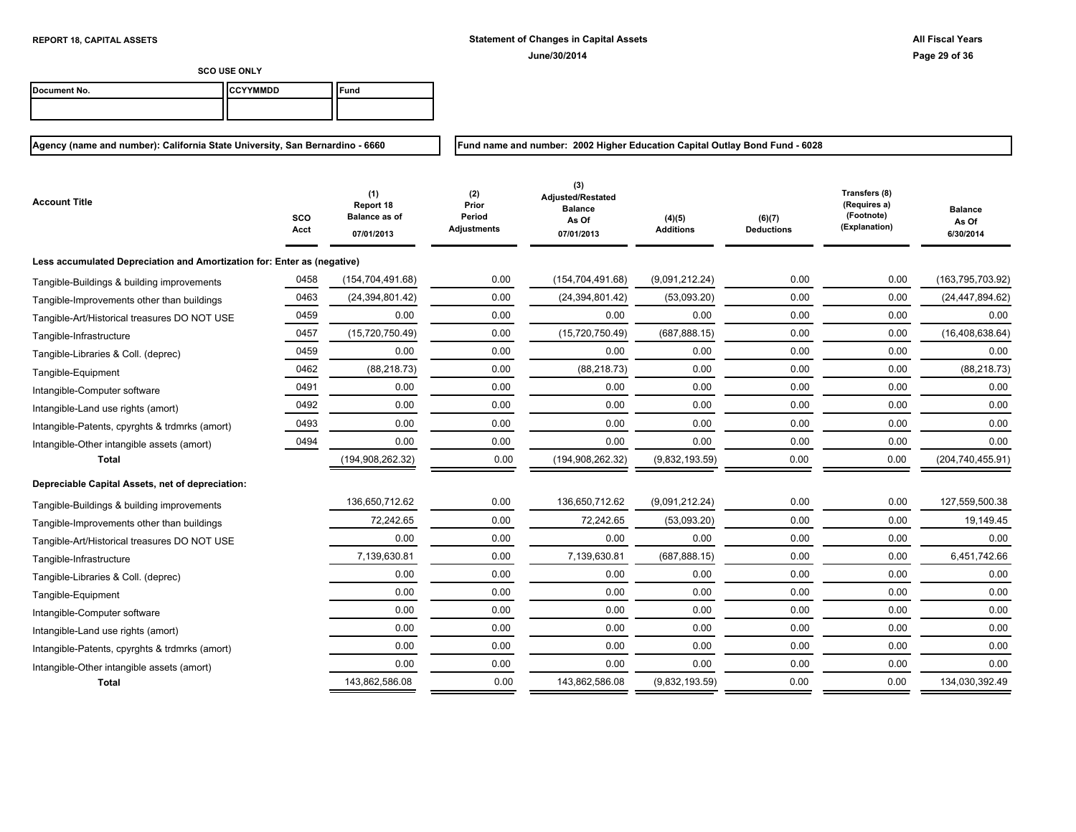**Fund name and number: 2002 Higher Education Capital Outlay Bond Fund - 6028**

**SCO USE ONLY**

| Document No. | <b>ICCYYMMDD</b> | ≂und |
|--------------|------------------|------|
|              |                  |      |

| <b>Account Title</b>                                                    | sco<br>Acct | (1)<br>Report 18<br><b>Balance as of</b><br>07/01/2013 | (2)<br>Prior<br>Period<br>Adjustments | (3)<br>Adjusted/Restated<br><b>Balance</b><br>As Of<br>07/01/2013 | (4)(5)<br><b>Additions</b> | (6)(7)<br><b>Deductions</b> | Transfers (8)<br>(Requires a)<br>(Footnote)<br>(Explanation) | <b>Balance</b><br>As Of<br>6/30/2014 |
|-------------------------------------------------------------------------|-------------|--------------------------------------------------------|---------------------------------------|-------------------------------------------------------------------|----------------------------|-----------------------------|--------------------------------------------------------------|--------------------------------------|
| Less accumulated Depreciation and Amortization for: Enter as (negative) |             |                                                        |                                       |                                                                   |                            |                             |                                                              |                                      |
| Tangible-Buildings & building improvements                              | 0458        | (154, 704, 491.68)                                     | 0.00                                  | (154, 704, 491.68)                                                | (9,091,212.24)             | 0.00                        | 0.00                                                         | (163, 795, 703.92)                   |
| Tangible-Improvements other than buildings                              | 0463        | (24, 394, 801.42)                                      | 0.00                                  | (24, 394, 801.42)                                                 | (53,093.20)                | 0.00                        | 0.00                                                         | (24, 447, 894.62)                    |
| Tangible-Art/Historical treasures DO NOT USE                            | 0459        | 0.00                                                   | 0.00                                  | 0.00                                                              | 0.00                       | 0.00                        | 0.00                                                         | 0.00                                 |
| Tangible-Infrastructure                                                 | 0457        | (15,720,750.49)                                        | 0.00                                  | (15,720,750.49)                                                   | (687, 888.15)              | 0.00                        | 0.00                                                         | (16, 408, 638.64)                    |
| Tangible-Libraries & Coll. (deprec)                                     | 0459        | 0.00                                                   | 0.00                                  | 0.00                                                              | 0.00                       | 0.00                        | 0.00                                                         | 0.00                                 |
| Tangible-Equipment                                                      | 0462        | (88, 218.73)                                           | 0.00                                  | (88, 218.73)                                                      | 0.00                       | 0.00                        | 0.00                                                         | (88, 218.73)                         |
| Intangible-Computer software                                            | 0491        | 0.00                                                   | 0.00                                  | 0.00                                                              | 0.00                       | 0.00                        | 0.00                                                         | 0.00                                 |
| Intangible-Land use rights (amort)                                      | 0492        | 0.00                                                   | 0.00                                  | 0.00                                                              | 0.00                       | 0.00                        | 0.00                                                         | 0.00                                 |
| Intangible-Patents, cpyrghts & trdmrks (amort)                          | 0493        | 0.00                                                   | 0.00                                  | 0.00                                                              | 0.00                       | 0.00                        | 0.00                                                         | 0.00                                 |
| Intangible-Other intangible assets (amort)                              | 0494        | 0.00                                                   | 0.00                                  | 0.00                                                              | 0.00                       | 0.00                        | 0.00                                                         | 0.00                                 |
| <b>Total</b>                                                            |             | (194, 908, 262.32)                                     | 0.00                                  | (194, 908, 262.32)                                                | (9,832,193.59)             | 0.00                        | 0.00                                                         | (204, 740, 455.91)                   |
| Depreciable Capital Assets, net of depreciation:                        |             |                                                        |                                       |                                                                   |                            |                             |                                                              |                                      |
| Tangible-Buildings & building improvements                              |             | 136,650,712.62                                         | 0.00                                  | 136,650,712.62                                                    | (9,091,212.24)             | 0.00                        | 0.00                                                         | 127,559,500.38                       |
| Tangible-Improvements other than buildings                              |             | 72,242.65                                              | 0.00                                  | 72,242.65                                                         | (53,093.20)                | 0.00                        | 0.00                                                         | 19,149.45                            |
| Tangible-Art/Historical treasures DO NOT USE                            |             | 0.00                                                   | 0.00                                  | 0.00                                                              | 0.00                       | 0.00                        | 0.00                                                         | 0.00                                 |
| Tangible-Infrastructure                                                 |             | 7,139,630.81                                           | 0.00                                  | 7,139,630.81                                                      | (687, 888.15)              | 0.00                        | 0.00                                                         | 6,451,742.66                         |
| Tangible-Libraries & Coll. (deprec)                                     |             | 0.00                                                   | 0.00                                  | 0.00                                                              | 0.00                       | 0.00                        | 0.00                                                         | 0.00                                 |
| Tangible-Equipment                                                      |             | 0.00                                                   | 0.00                                  | 0.00                                                              | 0.00                       | 0.00                        | 0.00                                                         | 0.00                                 |
| Intangible-Computer software                                            |             | 0.00                                                   | 0.00                                  | 0.00                                                              | 0.00                       | 0.00                        | 0.00                                                         | 0.00                                 |
| Intangible-Land use rights (amort)                                      |             | 0.00                                                   | 0.00                                  | 0.00                                                              | 0.00                       | 0.00                        | 0.00                                                         | 0.00                                 |
| Intangible-Patents, cpyrghts & trdmrks (amort)                          |             | 0.00                                                   | 0.00                                  | 0.00                                                              | 0.00                       | 0.00                        | 0.00                                                         | 0.00                                 |
| Intangible-Other intangible assets (amort)                              |             | 0.00                                                   | 0.00                                  | 0.00                                                              | 0.00                       | 0.00                        | 0.00                                                         | 0.00                                 |
| Total                                                                   |             | 143,862,586.08                                         | 0.00                                  | 143,862,586.08                                                    | (9,832,193.59)             | 0.00                        | 0.00                                                         | 134,030,392.49                       |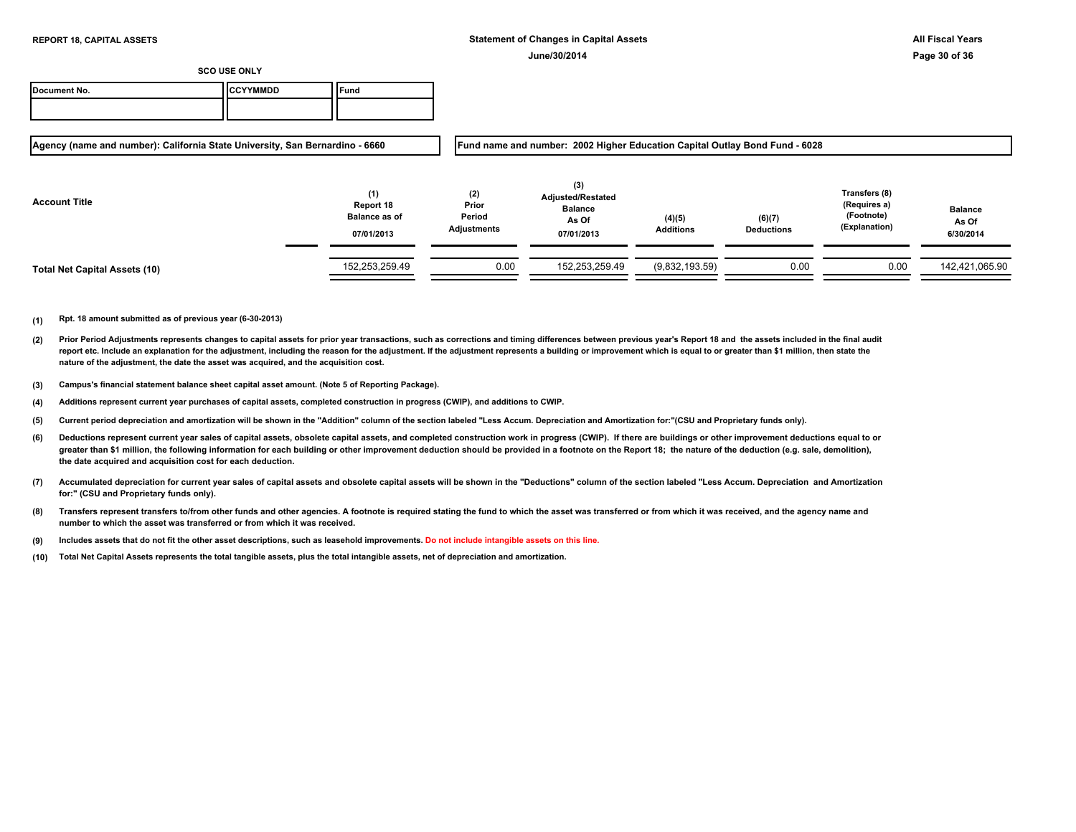| Document No. | <b>ICCYYMMDD</b> | Fund |
|--------------|------------------|------|
|              |                  |      |

**Agency (name and number): California State University, San Bernardino - 6660**

**Fund name and number: 2002 Higher Education Capital Outlay Bond Fund - 6028**

| <b>Account Title</b>          | (1)<br>Report 18<br><b>Balance as of</b><br>07/01/2013 | (2)<br>Prior<br>Period<br>Adjustments | (3)<br><b>Adjusted/Restated</b><br><b>Balance</b><br>As Of<br>07/01/2013 | (4)(5)<br><b>Additions</b> | (6)(7)<br><b>Deductions</b> | Transfers (8)<br>(Requires a)<br>(Footnote)<br>(Explanation) | <b>Balance</b><br>As Of<br>6/30/2014 |
|-------------------------------|--------------------------------------------------------|---------------------------------------|--------------------------------------------------------------------------|----------------------------|-----------------------------|--------------------------------------------------------------|--------------------------------------|
| Total Net Capital Assets (10) | 152,253,259.49                                         | 0.00                                  | 152,253,259.49                                                           | (9,832,193.59)             | 0.00                        | 0.00                                                         | 142,421,065.90                       |

- **(2)** Prior Period Adjustments represents changes to capital assets for prior year transactions, such as corrections and timing differences between previous year's Report 18 and the assets included in the final audit report etc. Include an explanation for the adjustment, including the reason for the adjustment. If the adjustment represents a building or improvement which is equal to or greater than \$1 million, then state the **nature of the adjustment, the date the asset was acquired, and the acquisition cost.**
- **(3) Campus's financial statement balance sheet capital asset amount. (Note 5 of Reporting Package).**
- **(4) Additions represent current year purchases of capital assets, completed construction in progress (CWIP), and additions to CWIP.**
- **(5) Current period depreciation and amortization will be shown in the "Addition" column of the section labeled "Less Accum. Depreciation and Amortization for:"(CSU and Proprietary funds only).**
- **(6)** Deductions represent current year sales of capital assets, obsolete capital assets, and completed construction work in progress (CWIP). If there are buildings or other improvement deductions equal to or greater than \$1 million, the following information for each building or other improvement deduction should be provided in a footnote on the Report 18; the nature of the deduction (e.g. sale, demolition), **the date acquired and acquisition cost for each deduction.**
- **(7) Accumulated depreciation for current year sales of capital assets and obsolete capital assets will be shown in the "Deductions" column of the section labeled "Less Accum. Depreciation and Amortization for:" (CSU and Proprietary funds only).**
- **(8) Transfers represent transfers to/from other funds and other agencies. A footnote is required stating the fund to which the asset was transferred or from which it was received, and the agency name and number to which the asset was transferred or from which it was received.**
- **(9) Includes assets that do not fit the other asset descriptions, such as leasehold improvements. Do not include intangible assets on this line.**
- **(10) Total Net Capital Assets represents the total tangible assets, plus the total intangible assets, net of depreciation and amortization.**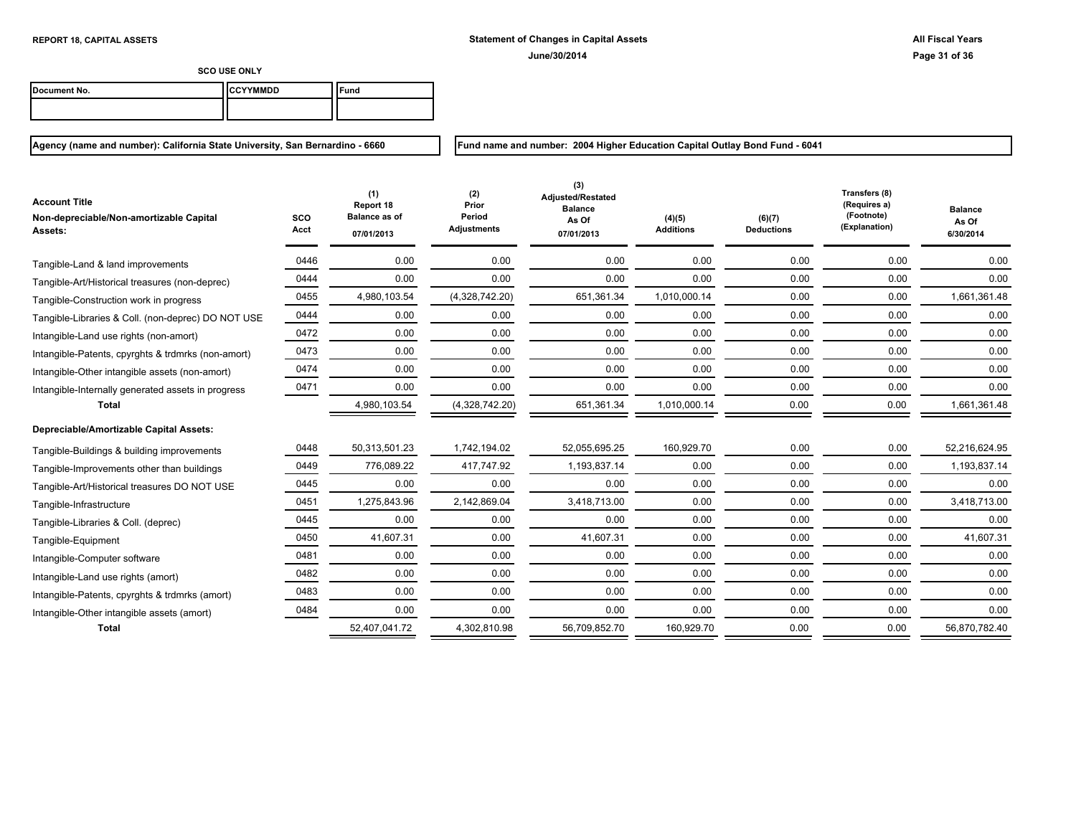| Document No. | ICCYYMMDD | ` <sup>c</sup> una |
|--------------|-----------|--------------------|
|              |           |                    |

**Agency (name and number): California State University, San Bernardino - 6660**

**Fund name and number: 2004 Higher Education Capital Outlay Bond Fund - 6041**

| <b>Account Title</b><br>Non-depreciable/Non-amortizable Capital<br>Assets: | SCO<br>Acct | (1)<br>Report 18<br><b>Balance as of</b><br>07/01/2013 | (2)<br>Prior<br>Period<br><b>Adjustments</b> | (3)<br><b>Adjusted/Restated</b><br><b>Balance</b><br>As Of<br>07/01/2013 | (4)(5)<br><b>Additions</b> | (6)(7)<br><b>Deductions</b> | Transfers (8)<br>(Requires a)<br>(Footnote)<br>(Explanation) | <b>Balance</b><br>As Of<br>6/30/2014 |
|----------------------------------------------------------------------------|-------------|--------------------------------------------------------|----------------------------------------------|--------------------------------------------------------------------------|----------------------------|-----------------------------|--------------------------------------------------------------|--------------------------------------|
| Tangible-Land & land improvements                                          | 0446        | 0.00                                                   | 0.00                                         | 0.00                                                                     | 0.00                       | 0.00                        | 0.00                                                         | 0.00                                 |
| Tangible-Art/Historical treasures (non-deprec)                             | 0444        | 0.00                                                   | 0.00                                         | 0.00                                                                     | 0.00                       | 0.00                        | 0.00                                                         | 0.00                                 |
| Tangible-Construction work in progress                                     | 0455        | 4,980,103.54                                           | (4,328,742.20)                               | 651,361.34                                                               | 1,010,000.14               | 0.00                        | 0.00                                                         | 1,661,361.48                         |
| Tangible-Libraries & Coll. (non-deprec) DO NOT USE                         | 0444        | 0.00                                                   | 0.00                                         | 0.00                                                                     | 0.00                       | 0.00                        | 0.00                                                         | 0.00                                 |
| Intangible-Land use rights (non-amort)                                     | 0472        | 0.00                                                   | 0.00                                         | 0.00                                                                     | 0.00                       | 0.00                        | 0.00                                                         | 0.00                                 |
| Intangible-Patents, cpyrghts & trdmrks (non-amort)                         | 0473        | 0.00                                                   | 0.00                                         | 0.00                                                                     | 0.00                       | 0.00                        | 0.00                                                         | 0.00                                 |
| Intangible-Other intangible assets (non-amort)                             | 0474        | 0.00                                                   | 0.00                                         | 0.00                                                                     | 0.00                       | 0.00                        | 0.00                                                         | 0.00                                 |
| Intangible-Internally generated assets in progress                         | 0471        | 0.00                                                   | 0.00                                         | 0.00                                                                     | 0.00                       | 0.00                        | 0.00                                                         | 0.00                                 |
| <b>Total</b>                                                               |             | 4,980,103.54                                           | (4,328,742.20)                               | 651,361.34                                                               | 1,010,000.14               | 0.00                        | 0.00                                                         | 1,661,361.48                         |
| Depreciable/Amortizable Capital Assets:                                    |             |                                                        |                                              |                                                                          |                            |                             |                                                              |                                      |
| Tangible-Buildings & building improvements                                 | 0448        | 50,313,501.23                                          | 1,742,194.02                                 | 52,055,695.25                                                            | 160,929.70                 | 0.00                        | 0.00                                                         | 52,216,624.95                        |
| Tangible-Improvements other than buildings                                 | 0449        | 776.089.22                                             | 417,747.92                                   | 1.193.837.14                                                             | 0.00                       | 0.00                        | 0.00                                                         | 1.193.837.14                         |
| Tangible-Art/Historical treasures DO NOT USE                               | 0445        | 0.00                                                   | 0.00                                         | 0.00                                                                     | 0.00                       | 0.00                        | 0.00                                                         | 0.00                                 |
| Tangible-Infrastructure                                                    | 0451        | 1.275.843.96                                           | 2,142,869.04                                 | 3.418.713.00                                                             | 0.00                       | 0.00                        | 0.00                                                         | 3.418.713.00                         |
| Tangible-Libraries & Coll. (deprec)                                        | 0445        | 0.00                                                   | 0.00                                         | 0.00                                                                     | 0.00                       | 0.00                        | 0.00                                                         | 0.00                                 |
| Tangible-Equipment                                                         | 0450        | 41,607.31                                              | 0.00                                         | 41,607.31                                                                | 0.00                       | 0.00                        | 0.00                                                         | 41,607.31                            |
| Intangible-Computer software                                               | 0481        | 0.00                                                   | 0.00                                         | 0.00                                                                     | 0.00                       | 0.00                        | 0.00                                                         | 0.00                                 |
| Intangible-Land use rights (amort)                                         | 0482        | 0.00                                                   | 0.00                                         | 0.00                                                                     | 0.00                       | 0.00                        | 0.00                                                         | 0.00                                 |
| Intangible-Patents, cpyrghts & trdmrks (amort)                             | 0483        | 0.00                                                   | 0.00                                         | 0.00                                                                     | 0.00                       | 0.00                        | 0.00                                                         | 0.00                                 |
| Intangible-Other intangible assets (amort)                                 | 0484        | 0.00                                                   | 0.00                                         | 0.00                                                                     | 0.00                       | 0.00                        | 0.00                                                         | 0.00                                 |
| <b>Total</b>                                                               |             | 52,407,041.72                                          | 4,302,810.98                                 | 56,709,852.70                                                            | 160,929.70                 | 0.00                        | 0.00                                                         | 56,870,782.40                        |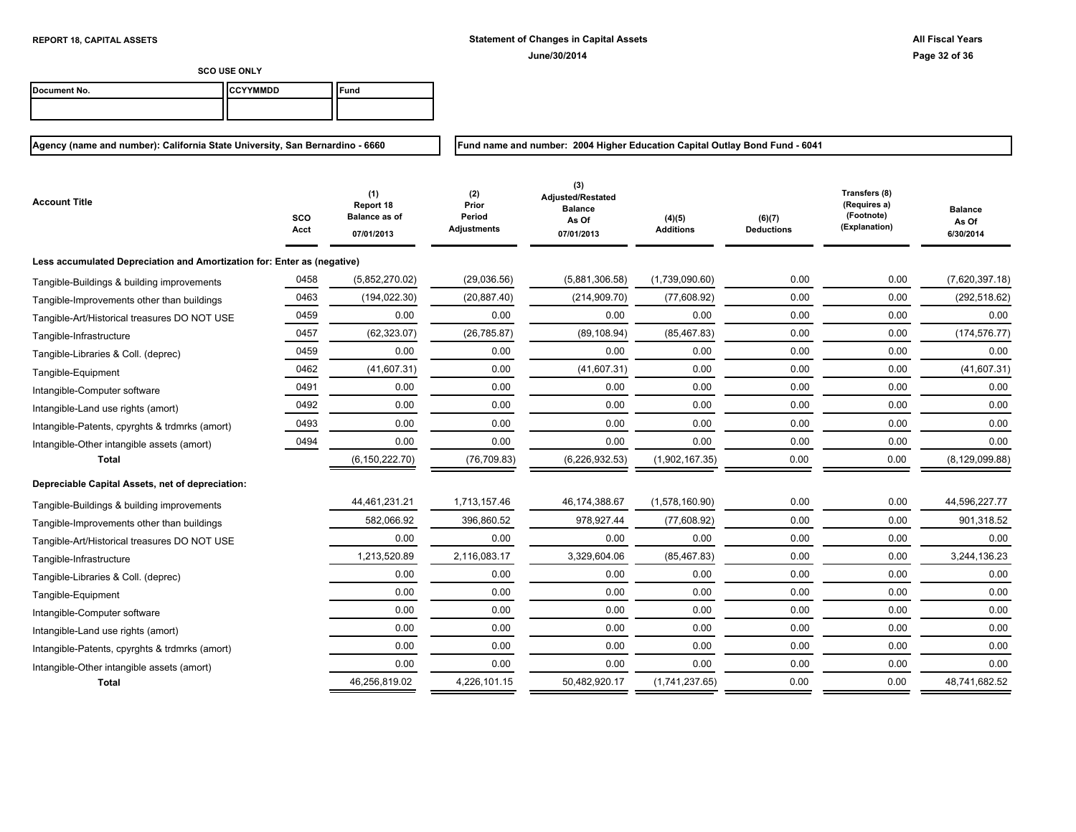**Fund name and number: 2004 Higher Education Capital Outlay Bond Fund - 6041**

**SCO USE ONLY**

| Document No. | <b>ICCYYMMDD</b> | Fund |
|--------------|------------------|------|
|              |                  |      |

| Account Title                                                           | SCO<br>Acct | (1)<br>Report 18<br><b>Balance as of</b><br>07/01/2013 | (2)<br>Prior<br>Period<br>Adjustments | (3)<br>Adjusted/Restated<br><b>Balance</b><br>As Of<br>07/01/2013 | (4)(5)<br><b>Additions</b> | (6)(7)<br><b>Deductions</b> | Transfers (8)<br>(Requires a)<br>(Footnote)<br>(Explanation) | <b>Balance</b><br>As Of<br>6/30/2014 |
|-------------------------------------------------------------------------|-------------|--------------------------------------------------------|---------------------------------------|-------------------------------------------------------------------|----------------------------|-----------------------------|--------------------------------------------------------------|--------------------------------------|
| Less accumulated Depreciation and Amortization for: Enter as (negative) |             |                                                        |                                       |                                                                   |                            |                             |                                                              |                                      |
| Tangible-Buildings & building improvements                              | 0458        | (5,852,270.02)                                         | (29,036.56)                           | (5,881,306.58)                                                    | (1,739,090.60)             | 0.00                        | 0.00                                                         | (7,620,397.18)                       |
| Tangible-Improvements other than buildings                              | 0463        | (194, 022.30)                                          | (20, 887.40)                          | (214, 909.70)                                                     | (77,608.92)                | 0.00                        | 0.00                                                         | (292, 518.62)                        |
| Tangible-Art/Historical treasures DO NOT USE                            | 0459        | 0.00                                                   | 0.00                                  | 0.00                                                              | 0.00                       | 0.00                        | 0.00                                                         | 0.00                                 |
| Tangible-Infrastructure                                                 | 0457        | (62, 323.07)                                           | (26, 785.87)                          | (89, 108.94)                                                      | (85, 467.83)               | 0.00                        | 0.00                                                         | (174, 576.77)                        |
| Tangible-Libraries & Coll. (deprec)                                     | 0459        | 0.00                                                   | 0.00                                  | 0.00                                                              | 0.00                       | 0.00                        | 0.00                                                         | 0.00                                 |
| Tangible-Equipment                                                      | 0462        | (41,607.31)                                            | 0.00                                  | (41,607.31)                                                       | 0.00                       | 0.00                        | 0.00                                                         | (41, 607.31)                         |
| Intangible-Computer software                                            | 0491        | 0.00                                                   | 0.00                                  | 0.00                                                              | 0.00                       | 0.00                        | 0.00                                                         | 0.00                                 |
| Intangible-Land use rights (amort)                                      | 0492        | 0.00                                                   | 0.00                                  | 0.00                                                              | 0.00                       | 0.00                        | 0.00                                                         | 0.00                                 |
| Intangible-Patents, cpyrghts & trdmrks (amort)                          | 0493        | 0.00                                                   | 0.00                                  | 0.00                                                              | 0.00                       | 0.00                        | 0.00                                                         | 0.00                                 |
| Intangible-Other intangible assets (amort)                              | 0494        | 0.00                                                   | 0.00                                  | 0.00                                                              | 0.00                       | 0.00                        | 0.00                                                         | 0.00                                 |
| <b>Total</b>                                                            |             | (6, 150, 222.70)                                       | (76, 709.83)                          | (6, 226, 932.53)                                                  | (1,902,167.35)             | 0.00                        | 0.00                                                         | (8, 129, 099.88)                     |
| Depreciable Capital Assets, net of depreciation:                        |             |                                                        |                                       |                                                                   |                            |                             |                                                              |                                      |
| Tangible-Buildings & building improvements                              |             | 44,461,231.21                                          | 1.713.157.46                          | 46.174.388.67                                                     | (1,578,160.90)             | 0.00                        | 0.00                                                         | 44.596.227.77                        |
| Tangible-Improvements other than buildings                              |             | 582,066.92                                             | 396,860.52                            | 978,927.44                                                        | (77,608.92)                | 0.00                        | 0.00                                                         | 901,318.52                           |
| Tangible-Art/Historical treasures DO NOT USE                            |             | 0.00                                                   | 0.00                                  | 0.00                                                              | 0.00                       | 0.00                        | 0.00                                                         | 0.00                                 |
| Tangible-Infrastructure                                                 |             | 1,213,520.89                                           | 2,116,083.17                          | 3,329,604.06                                                      | (85, 467.83)               | 0.00                        | 0.00                                                         | 3,244,136.23                         |
| Tangible-Libraries & Coll. (deprec)                                     |             | 0.00                                                   | 0.00                                  | 0.00                                                              | 0.00                       | 0.00                        | 0.00                                                         | 0.00                                 |
| Tangible-Equipment                                                      |             | 0.00                                                   | 0.00                                  | 0.00                                                              | 0.00                       | 0.00                        | 0.00                                                         | 0.00                                 |
| Intangible-Computer software                                            |             | 0.00                                                   | 0.00                                  | 0.00                                                              | 0.00                       | 0.00                        | 0.00                                                         | 0.00                                 |
| Intangible-Land use rights (amort)                                      |             | 0.00                                                   | 0.00                                  | 0.00                                                              | 0.00                       | 0.00                        | 0.00                                                         | 0.00                                 |
| Intangible-Patents, cpyrghts & trdmrks (amort)                          |             | 0.00                                                   | 0.00                                  | 0.00                                                              | 0.00                       | 0.00                        | 0.00                                                         | 0.00                                 |
| Intangible-Other intangible assets (amort)                              |             | 0.00                                                   | 0.00                                  | 0.00                                                              | 0.00                       | 0.00                        | 0.00                                                         | 0.00                                 |
| Total                                                                   |             | 46,256,819.02                                          | 4,226,101.15                          | 50,482,920.17                                                     | (1,741,237.65)             | 0.00                        | 0.00                                                         | 48,741,682.52                        |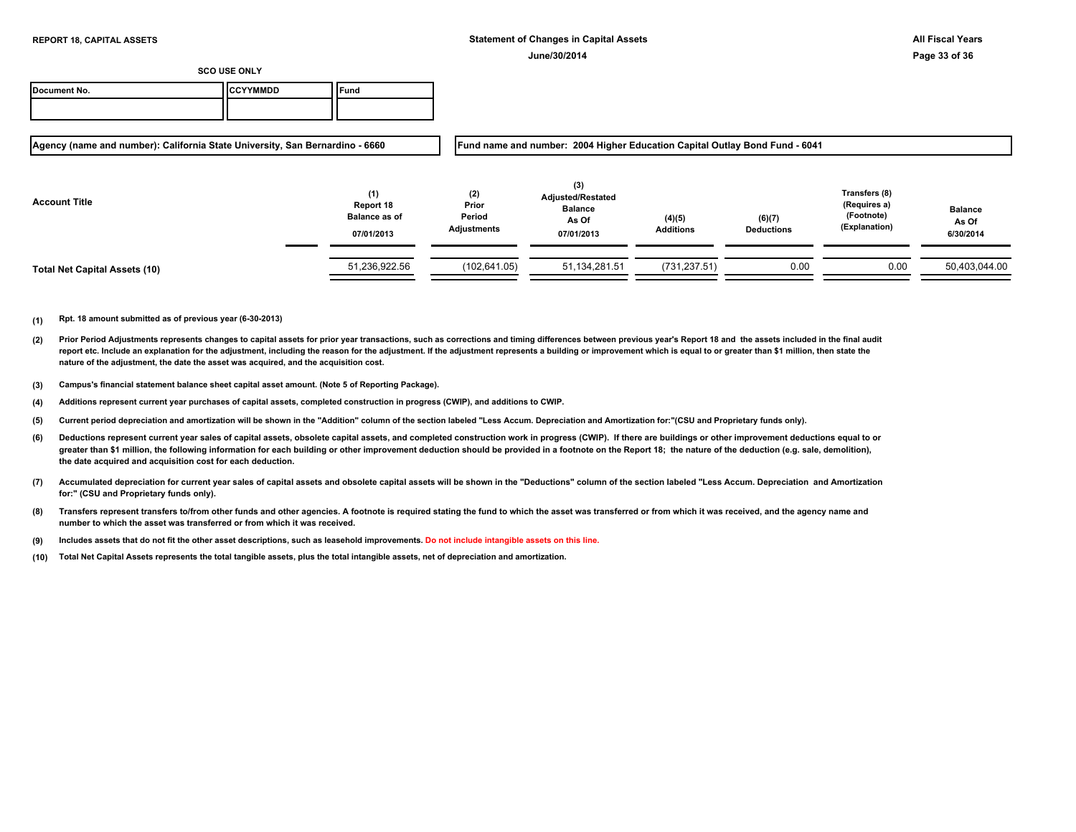| Document No. | <b>ICCYYMMDD</b> | `Fund |
|--------------|------------------|-------|
|              |                  |       |

**Agency (name and number): California State University, San Bernardino - 6660**

**Fund name and number: 2004 Higher Education Capital Outlay Bond Fund - 6041**

| <b>Account Title</b>          | (1)<br>Report 18<br><b>Balance as of</b><br>07/01/2013 | (2)<br>Prior<br>Period<br>Adjustments | (3)<br><b>Adjusted/Restated</b><br><b>Balance</b><br>As Of<br>07/01/2013 | (4)(5)<br><b>Additions</b> | (6)(7)<br><b>Deductions</b> | Transfers (8)<br>(Requires a)<br>(Footnote)<br>(Explanation) | <b>Balance</b><br>As Of<br>6/30/2014 |
|-------------------------------|--------------------------------------------------------|---------------------------------------|--------------------------------------------------------------------------|----------------------------|-----------------------------|--------------------------------------------------------------|--------------------------------------|
| Total Net Capital Assets (10) | 51,236,922.56                                          | (102, 641.05)                         | 51,134,281.51                                                            | (731, 237.51)              | 0.00                        | 0.00                                                         | 50,403,044.00                        |

- **(2)** Prior Period Adjustments represents changes to capital assets for prior year transactions, such as corrections and timing differences between previous year's Report 18 and the assets included in the final audit report etc. Include an explanation for the adjustment, including the reason for the adjustment. If the adjustment represents a building or improvement which is equal to or greater than \$1 million, then state the **nature of the adjustment, the date the asset was acquired, and the acquisition cost.**
- **(3) Campus's financial statement balance sheet capital asset amount. (Note 5 of Reporting Package).**
- **(4) Additions represent current year purchases of capital assets, completed construction in progress (CWIP), and additions to CWIP.**
- **(5) Current period depreciation and amortization will be shown in the "Addition" column of the section labeled "Less Accum. Depreciation and Amortization for:"(CSU and Proprietary funds only).**
- **(6)** Deductions represent current year sales of capital assets, obsolete capital assets, and completed construction work in progress (CWIP). If there are buildings or other improvement deductions equal to or greater than \$1 million, the following information for each building or other improvement deduction should be provided in a footnote on the Report 18; the nature of the deduction (e.g. sale, demolition), **the date acquired and acquisition cost for each deduction.**
- **(7) Accumulated depreciation for current year sales of capital assets and obsolete capital assets will be shown in the "Deductions" column of the section labeled "Less Accum. Depreciation and Amortization for:" (CSU and Proprietary funds only).**
- **(8) Transfers represent transfers to/from other funds and other agencies. A footnote is required stating the fund to which the asset was transferred or from which it was received, and the agency name and number to which the asset was transferred or from which it was received.**
- **(9) Includes assets that do not fit the other asset descriptions, such as leasehold improvements. Do not include intangible assets on this line.**
- **(10) Total Net Capital Assets represents the total tangible assets, plus the total intangible assets, net of depreciation and amortization.**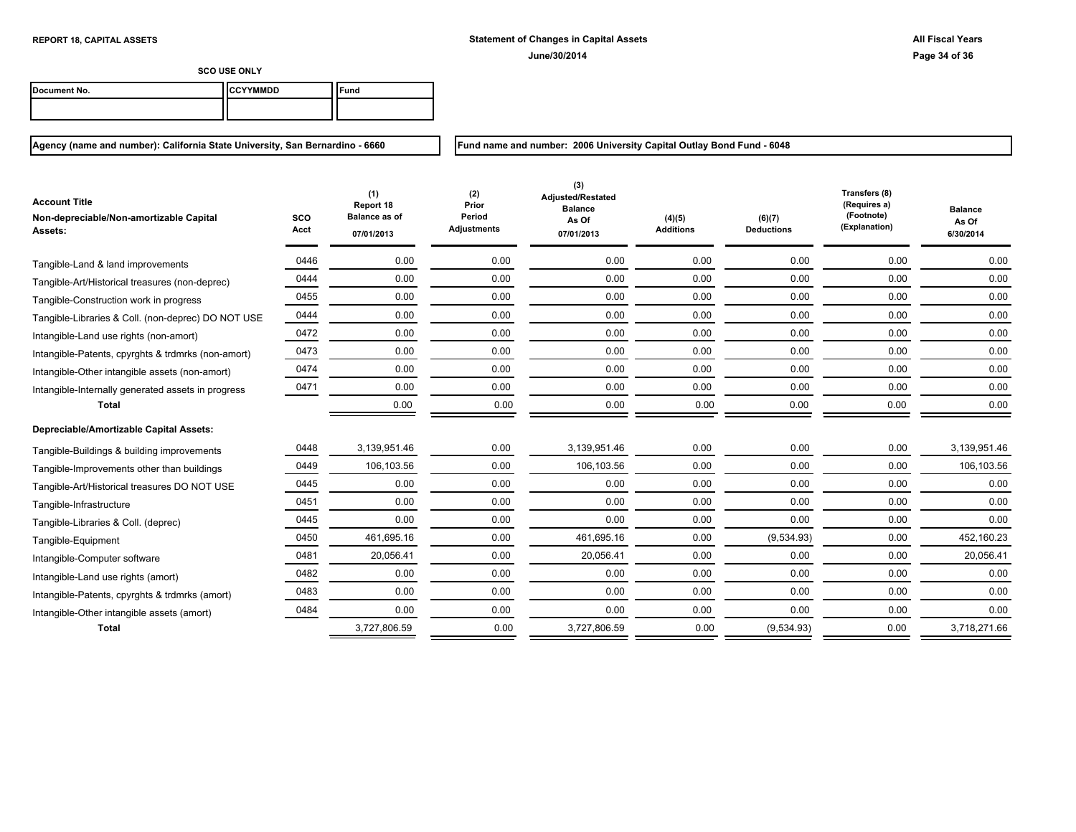| Document No. | ICCYYMMDD | ` <sup>c</sup> una |
|--------------|-----------|--------------------|
|              |           |                    |

**Agency (name and number): California State University, San Bernardino - 6660**

**Fund name and number: 2006 University Capital Outlay Bond Fund - 6048**

| <b>Account Title</b><br>Non-depreciable/Non-amortizable Capital<br>Assets: | <b>SCO</b><br>Acct | (1)<br>Report 18<br><b>Balance as of</b><br>07/01/2013 | (2)<br>Prior<br>Period<br><b>Adjustments</b> | (3)<br>Adjusted/Restated<br><b>Balance</b><br>As Of<br>07/01/2013 | (4)(5)<br><b>Additions</b> | (6)(7)<br><b>Deductions</b> | Transfers (8)<br>(Requires a)<br>(Footnote)<br>(Explanation) | <b>Balance</b><br>As Of<br>6/30/2014 |
|----------------------------------------------------------------------------|--------------------|--------------------------------------------------------|----------------------------------------------|-------------------------------------------------------------------|----------------------------|-----------------------------|--------------------------------------------------------------|--------------------------------------|
| Tangible-Land & land improvements                                          | 0446               | 0.00                                                   | 0.00                                         | 0.00                                                              | 0.00                       | 0.00                        | 0.00                                                         | 0.00                                 |
| Tangible-Art/Historical treasures (non-deprec)                             | 0444               | 0.00                                                   | 0.00                                         | 0.00                                                              | 0.00                       | 0.00                        | 0.00                                                         | 0.00                                 |
| Tangible-Construction work in progress                                     | 0455               | 0.00                                                   | 0.00                                         | 0.00                                                              | 0.00                       | 0.00                        | 0.00                                                         | 0.00                                 |
| Tangible-Libraries & Coll. (non-deprec) DO NOT USE                         | 0444               | 0.00                                                   | 0.00                                         | 0.00                                                              | 0.00                       | 0.00                        | 0.00                                                         | 0.00                                 |
| Intangible-Land use rights (non-amort)                                     | 0472               | 0.00                                                   | 0.00                                         | 0.00                                                              | 0.00                       | 0.00                        | 0.00                                                         | 0.00                                 |
| Intangible-Patents, cpyrghts & trdmrks (non-amort)                         | 0473               | 0.00                                                   | 0.00                                         | 0.00                                                              | 0.00                       | 0.00                        | 0.00                                                         | 0.00                                 |
| Intangible-Other intangible assets (non-amort)                             | 0474               | 0.00                                                   | 0.00                                         | 0.00                                                              | 0.00                       | 0.00                        | 0.00                                                         | 0.00                                 |
| Intangible-Internally generated assets in progress                         | 0471               | 0.00                                                   | 0.00                                         | 0.00                                                              | 0.00                       | 0.00                        | 0.00                                                         | 0.00                                 |
| <b>Total</b>                                                               |                    | 0.00                                                   | 0.00                                         | 0.00                                                              | 0.00                       | 0.00                        | 0.00                                                         | 0.00                                 |
| Depreciable/Amortizable Capital Assets:                                    |                    |                                                        |                                              |                                                                   |                            |                             |                                                              |                                      |
| Tangible-Buildings & building improvements                                 | 0448               | 3,139,951.46                                           | 0.00                                         | 3,139,951.46                                                      | 0.00                       | 0.00                        | 0.00                                                         | 3,139,951.46                         |
| Tangible-Improvements other than buildings                                 | 0449               | 106,103.56                                             | 0.00                                         | 106,103.56                                                        | 0.00                       | 0.00                        | 0.00                                                         | 106,103.56                           |
| Tangible-Art/Historical treasures DO NOT USE                               | 0445               | 0.00                                                   | 0.00                                         | 0.00                                                              | 0.00                       | 0.00                        | 0.00                                                         | 0.00                                 |
| Tangible-Infrastructure                                                    | 0451               | 0.00                                                   | 0.00                                         | 0.00                                                              | 0.00                       | 0.00                        | 0.00                                                         | 0.00                                 |
| Tangible-Libraries & Coll. (deprec)                                        | 0445               | 0.00                                                   | 0.00                                         | 0.00                                                              | 0.00                       | 0.00                        | 0.00                                                         | 0.00                                 |
| Tangible-Equipment                                                         | 0450               | 461,695.16                                             | 0.00                                         | 461,695.16                                                        | 0.00                       | (9,534.93)                  | 0.00                                                         | 452,160.23                           |
| Intangible-Computer software                                               | 0481               | 20,056.41                                              | 0.00                                         | 20,056.41                                                         | 0.00                       | 0.00                        | 0.00                                                         | 20,056.41                            |
| Intangible-Land use rights (amort)                                         | 0482               | 0.00                                                   | 0.00                                         | 0.00                                                              | 0.00                       | 0.00                        | 0.00                                                         | 0.00                                 |
| Intangible-Patents, cpyrghts & trdmrks (amort)                             | 0483               | 0.00                                                   | 0.00                                         | 0.00                                                              | 0.00                       | 0.00                        | 0.00                                                         | 0.00                                 |
| Intangible-Other intangible assets (amort)                                 | 0484               | 0.00                                                   | 0.00                                         | 0.00                                                              | 0.00                       | 0.00                        | 0.00                                                         | 0.00                                 |
| <b>Total</b>                                                               |                    | 3,727,806.59                                           | 0.00                                         | 3,727,806.59                                                      | 0.00                       | (9,534.93)                  | 0.00                                                         | 3,718,271.66                         |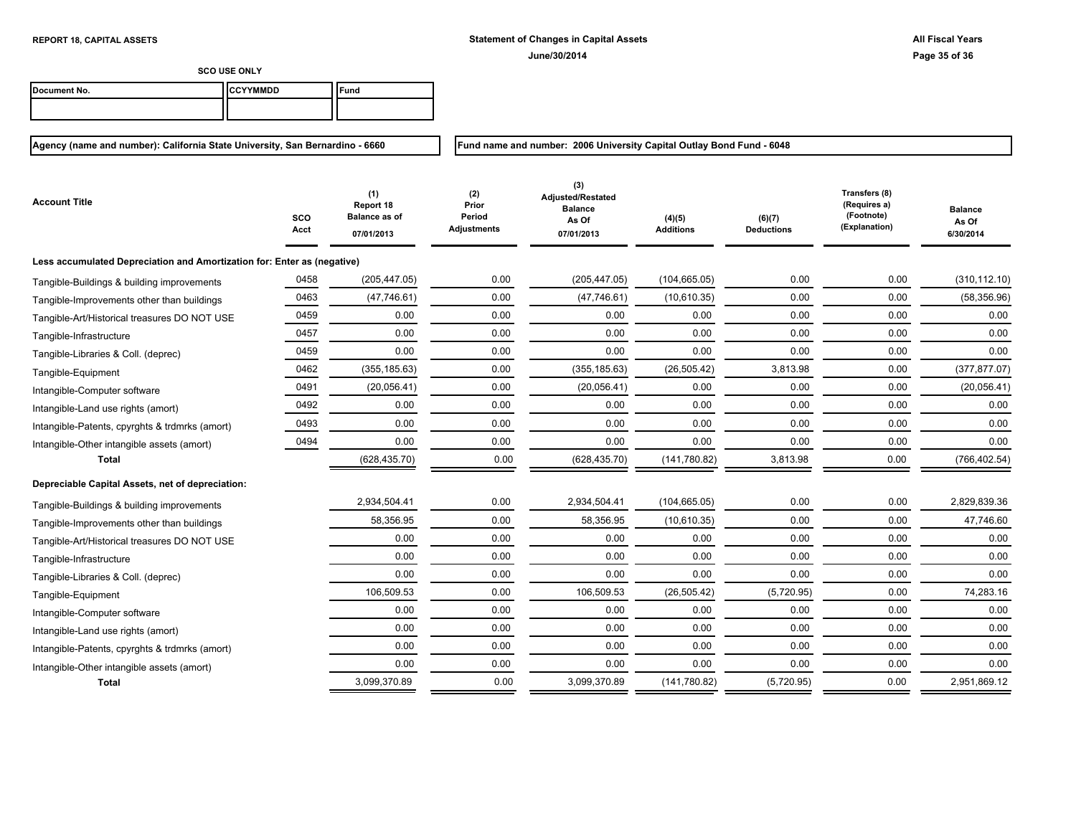**Fund name and number: 2006 University Capital Outlay Bond Fund - 6048**

**SCO USE ONLY**

| Document No. | IICCYYMMDD | <b>Fund</b> |
|--------------|------------|-------------|
|              |            |             |

## **Agency (name and number): California State University, San Bernardino - 6660**

**SCO Acct (1) Report 18 Balance as of 07/01/2013 (2) Prior Period Adjustments (4)(5) Additions (3) Adjusted/Restated Balance As Of 07/01/2013 (6)(7) Deductions Transfers (8) (Requires a) (Footnote) (Explanation) Balance As Of 6/30/2014 Account Title Less accumulated Depreciation and Amortization for: Enter as (negative)** Tangible-Buildings & building improvements  $0.05452$   $0.00$   $0.00$   $0.00$   $0.00$   $0.00$   $0.00$   $0.00$   $0.00$   $0.00$   $0.00$   $0.00$   $0.00$   $0.00$   $0.00$   $0.00$   $0.00$   $0.00$   $0.00$   $0.00$   $0.00$   $0.00$   $0.00$   $0.00$   $0.00$  Tangible-Improvements other than buildings and the computation of the computation of the computation of the computation of the computation of the computation of the computation of the computation of the computation of the Tangible-Art/Historical treasures DO NOT USE  $0.00$   $0.00$   $0.00$   $0.00$   $0.00$   $0.00$   $0.00$   $0.00$   $0.00$   $0.00$   $0.00$   $0.00$   $0.00$ 0457 0.00 0.00 0.00 0.00 0.00 0.00 0.00 Tangible-Infrastructure 0459 0.00 0.00 0.00 0.00 0.00 0.00 0.00 Tangible-Libraries & Coll. (deprec) Tangible-Equipment <u> 0462</u> (355,185.63) (355,185.63) (26,505.42) 3,813.98 (377,877.07) Intangible-Computer software 1990 10491 (20,056.41) 0.00 (20,056.41) 0.00 0.00 0.00 0.00 0.00 0.00 (20,056.41) 0492 0.00 0.00 0.00 0.00 0.00 0.00 0.00 Intangible-Land use rights (amort) 0493 0.00 0.00 0.00 0.00 0.00 0.00 0.00 Intangible-Patents, cpyrghts & trdmrks (amort) Intangible-Other intangible assets (amort)  $0.00 \t 0.00 \t 0.00 \t 0.00 \t 0.00 \t 0.00 \t 0.00 \t 0.00 \t 0.00 \t 0.00$ **Total** (628,435.70) 0.00 (628,435.70) (141,780.82) 3,813.98 0.00 (766,402.54) **Depreciable Capital Assets, net of depreciation:** 2,934,504.41 0.00 2,934,504.41 (104,665.05) 0.00 0.00 2,829,839.36 Tangible-Buildings & building improvements Tangible-Improvements other than buildings  $\qquad \qquad 58,356.95$   $\qquad \qquad 0.00$   $\qquad \qquad 58,356.95$   $\qquad \qquad 0.00$   $\qquad \qquad 47,746.60$ Tangible-Art/Historical treasures DO NOT USE  $\qquad \qquad 0.00$   $\qquad \qquad 0.00$   $\qquad \qquad 0.00$   $\qquad \qquad 0.00$   $\qquad \qquad 0.00$   $\qquad \qquad 0.00$   $\qquad \qquad 0.00$  0.00 0.00 0.00 0.00 0.00 0.00 0.00 Tangible-Infrastructure 0.00 0.00 0.00 0.00 0.00 0.00 0.00 Tangible-Libraries & Coll. (deprec) 106,509.53 0.00 106,509.53 (26,505.42) (5,720.95) 0.00 74,283.16 Tangible-Equipment 0.00 0.00 0.00 0.00 0.00 0.00 0.00 Intangible-Computer software 0.00 0.00 0.00 0.00 0.00 0.00 0.00 Intangible-Land use rights (amort) 0.00 0.00 0.00 0.00 0.00 0.00 0.00 Intangible-Patents, cpyrghts & trdmrks (amort) 0.00 0.00 0.00 0.00 0.00 0.00 0.00 Intangible-Other intangible assets (amort) **Total** 3,099,370.89 0.00 3,099,370.89 (141,780.82) (5,720.95) 0.00 2,951,869.12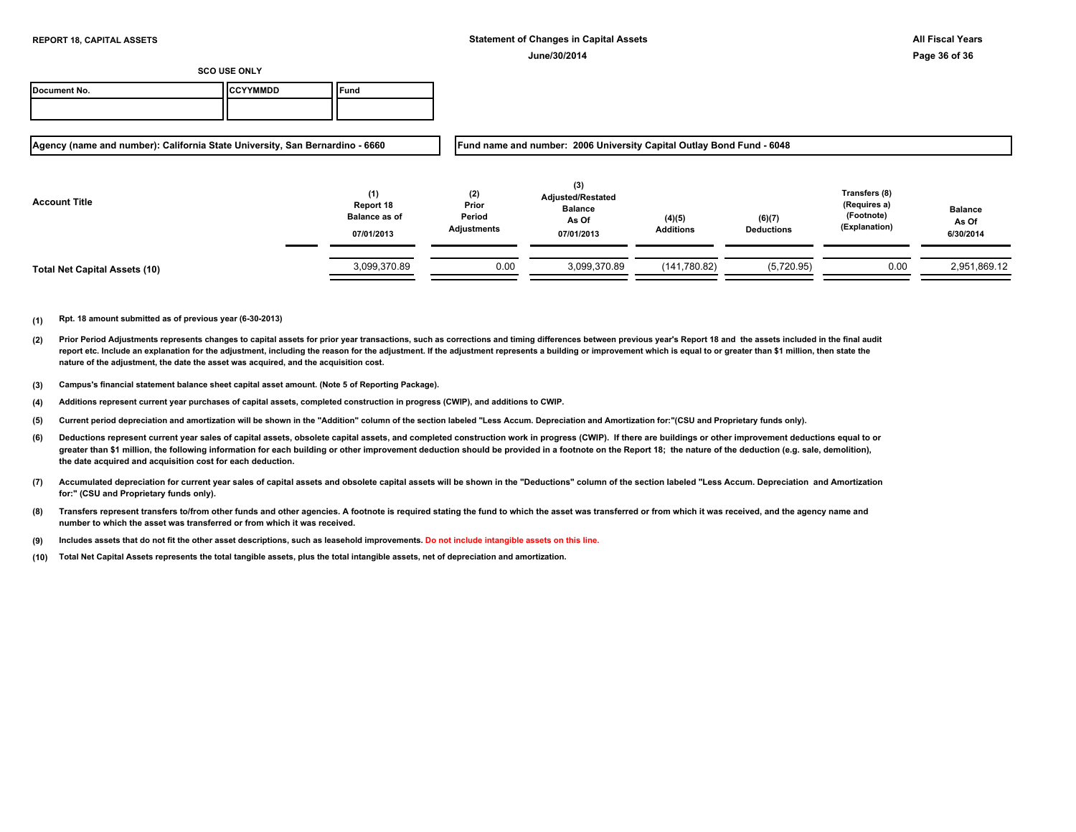| Document No. | <b>ICCYYMMDD</b> | `Fund |
|--------------|------------------|-------|
|              |                  |       |

**Agency (name and number): California State University, San Bernardino - 6660**

**Fund name and number: 2006 University Capital Outlay Bond Fund - 6048**

| <b>Account Title</b>          | (1)<br>Report 18<br><b>Balance as of</b><br>07/01/2013 | (2)<br>Prior<br>Period<br><b>Adjustments</b> | (3)<br><b>Adjusted/Restated</b><br><b>Balance</b><br>As Of<br>07/01/2013 | (4)(5)<br><b>Additions</b> | (6)(7)<br><b>Deductions</b> | Transfers (8)<br>(Requires a)<br>(Footnote)<br>(Explanation) | <b>Balance</b><br>As Of<br>6/30/2014 |
|-------------------------------|--------------------------------------------------------|----------------------------------------------|--------------------------------------------------------------------------|----------------------------|-----------------------------|--------------------------------------------------------------|--------------------------------------|
| Total Net Capital Assets (10) | 3,099,370.89                                           | 0.00                                         | 3,099,370.89                                                             | (141,780.82)               | (5,720.95)                  | 0.00                                                         | 2,951,869.12                         |

- **(2)** Prior Period Adjustments represents changes to capital assets for prior year transactions, such as corrections and timing differences between previous year's Report 18 and the assets included in the final audit report etc. Include an explanation for the adjustment, including the reason for the adjustment. If the adjustment represents a building or improvement which is equal to or greater than \$1 million, then state the **nature of the adjustment, the date the asset was acquired, and the acquisition cost.**
- **(3) Campus's financial statement balance sheet capital asset amount. (Note 5 of Reporting Package).**
- **(4) Additions represent current year purchases of capital assets, completed construction in progress (CWIP), and additions to CWIP.**
- **(5) Current period depreciation and amortization will be shown in the "Addition" column of the section labeled "Less Accum. Depreciation and Amortization for:"(CSU and Proprietary funds only).**
- **(6)** Deductions represent current year sales of capital assets, obsolete capital assets, and completed construction work in progress (CWIP). If there are buildings or other improvement deductions equal to or greater than \$1 million, the following information for each building or other improvement deduction should be provided in a footnote on the Report 18; the nature of the deduction (e.g. sale, demolition), **the date acquired and acquisition cost for each deduction.**
- **(7) Accumulated depreciation for current year sales of capital assets and obsolete capital assets will be shown in the "Deductions" column of the section labeled "Less Accum. Depreciation and Amortization for:" (CSU and Proprietary funds only).**
- **(8) Transfers represent transfers to/from other funds and other agencies. A footnote is required stating the fund to which the asset was transferred or from which it was received, and the agency name and number to which the asset was transferred or from which it was received.**
- **(9) Includes assets that do not fit the other asset descriptions, such as leasehold improvements. Do not include intangible assets on this line.**
- **(10) Total Net Capital Assets represents the total tangible assets, plus the total intangible assets, net of depreciation and amortization.**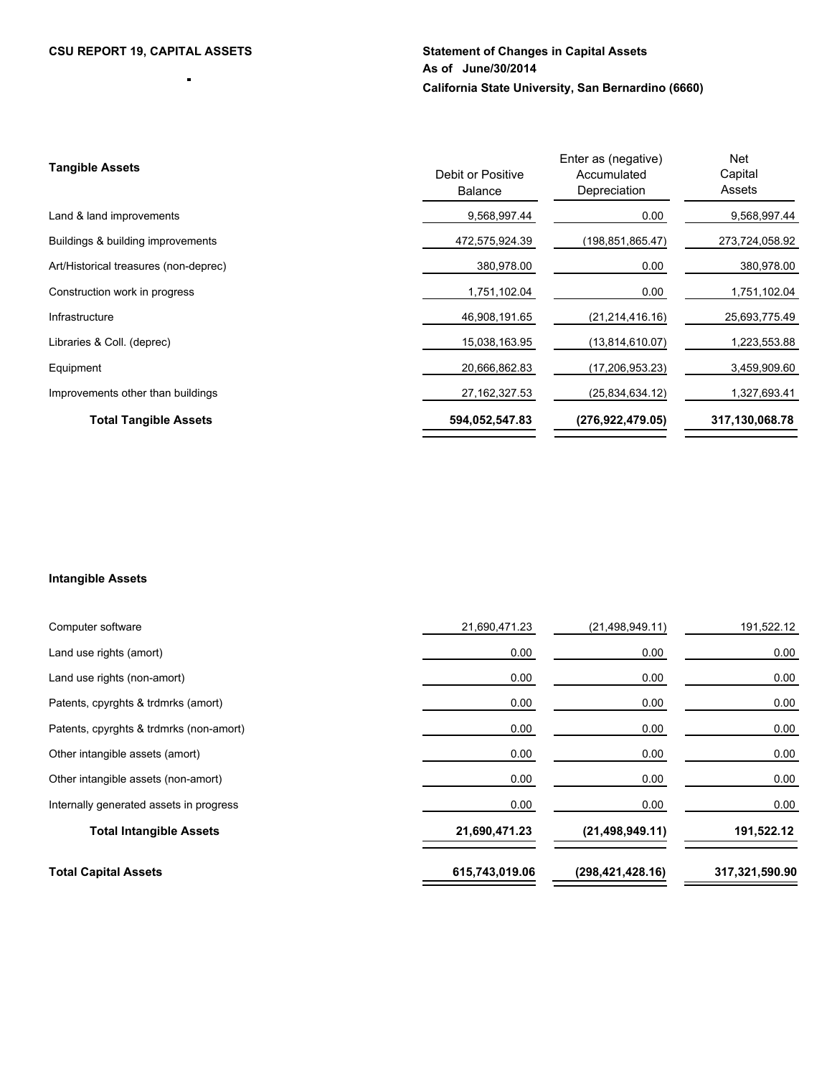ä,

# **CSU REPORT 19, CAPITAL ASSETS Statement of Changes in Capital Assets As of June/30/2014 California State University, San Bernardino (6660)**

| <b>Tangible Assets</b>                | Debit or Positive<br><b>Balance</b> | Enter as (negative)<br>Accumulated<br>Depreciation | <b>Net</b><br>Capital<br>Assets |
|---------------------------------------|-------------------------------------|----------------------------------------------------|---------------------------------|
| Land & land improvements              | 9,568,997.44                        | 0.00                                               | 9,568,997.44                    |
| Buildings & building improvements     | 472,575,924.39                      | (198,851,865.47)                                   | 273,724,058.92                  |
| Art/Historical treasures (non-deprec) | 380,978.00                          | 0.00                                               | 380,978.00                      |
| Construction work in progress         | 1,751,102.04                        | 0.00                                               | 1,751,102.04                    |
| Infrastructure                        | 46,908,191.65                       | (21, 214, 416, 16)                                 | 25,693,775.49                   |
| Libraries & Coll. (deprec)            | 15,038,163.95                       | (13,814,610.07)                                    | 1,223,553.88                    |
| Equipment                             | 20.666.862.83                       | (17, 206, 953.23)                                  | 3,459,909.60                    |
| Improvements other than buildings     | 27, 162, 327.53                     | (25.834.634.12)                                    | 1,327,693.41                    |
| <b>Total Tangible Assets</b>          | 594,052,547.83                      | (276.922.479.05)                                   | 317,130,068.78                  |

# **Intangible Assets**

| Computer software                       | 21,690,471.23  | (21, 498, 949.11)  | 191,522.12     |
|-----------------------------------------|----------------|--------------------|----------------|
| Land use rights (amort)                 | 0.00           | 0.00               | 0.00           |
| Land use rights (non-amort)             | 0.00           | 0.00               | 0.00           |
| Patents, cpyrghts & trdmrks (amort)     | 0.00           | 0.00               | 0.00           |
| Patents, cpyrghts & trdmrks (non-amort) | 0.00           | 0.00               | 0.00           |
| Other intangible assets (amort)         | 0.00           | 0.00               | 0.00           |
| Other intangible assets (non-amort)     | 0.00           | 0.00               | 0.00           |
| Internally generated assets in progress | 0.00           | 0.00               | 0.00           |
| <b>Total Intangible Assets</b>          | 21,690,471.23  | (21, 498, 949.11)  | 191,522.12     |
| <b>Total Capital Assets</b>             | 615,743,019.06 | (298, 421, 428.16) | 317,321,590.90 |